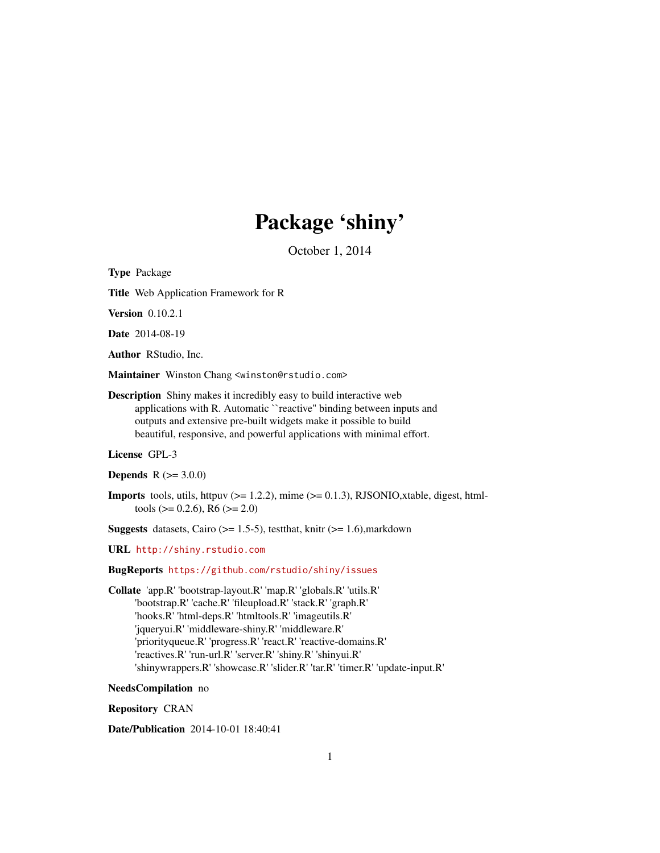# Package 'shiny'

October 1, 2014

<span id="page-0-0"></span>Type Package

Title Web Application Framework for R

Version 0.10.2.1

Date 2014-08-19

Author RStudio, Inc.

Maintainer Winston Chang <winston@rstudio.com>

Description Shiny makes it incredibly easy to build interactive web applications with R. Automatic ``reactive'' binding between inputs and outputs and extensive pre-built widgets make it possible to build beautiful, responsive, and powerful applications with minimal effort.

License GPL-3

**Depends**  $R (= 3.0.0)$ 

**Imports** tools, utils, httpuv ( $> = 1.2.2$ ), mime ( $> = 0.1.3$ ), RJSONIO, xtable, digest, htmltools ( $> = 0.2.6$ ), R6 ( $>= 2.0$ )

**Suggests** datasets, Cairo ( $>= 1.5-5$ ), testthat, knitr ( $>= 1.6$ ), markdown

URL <http://shiny.rstudio.com>

BugReports <https://github.com/rstudio/shiny/issues>

Collate 'app.R' 'bootstrap-layout.R' 'map.R' 'globals.R' 'utils.R' 'bootstrap.R' 'cache.R' 'fileupload.R' 'stack.R' 'graph.R' 'hooks.R' 'html-deps.R' 'htmltools.R' 'imageutils.R' 'jqueryui.R' 'middleware-shiny.R' 'middleware.R' 'priorityqueue.R' 'progress.R' 'react.R' 'reactive-domains.R' 'reactives.R' 'run-url.R' 'server.R' 'shiny.R' 'shinyui.R' 'shinywrappers.R' 'showcase.R' 'slider.R' 'tar.R' 'timer.R' 'update-input.R'

NeedsCompilation no

Repository CRAN

Date/Publication 2014-10-01 18:40:41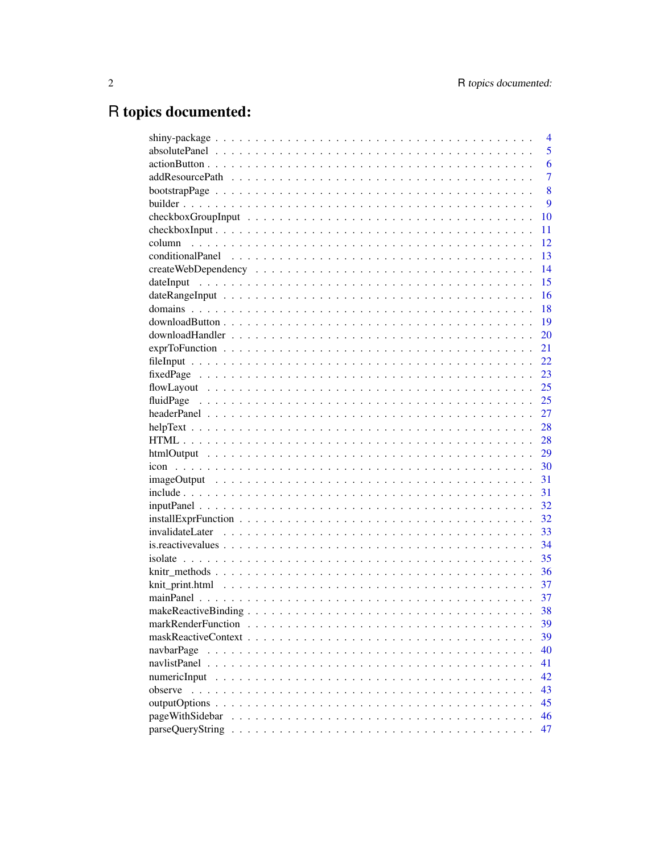# R topics documented:

|                 | $\overline{4}$ |
|-----------------|----------------|
|                 | 5              |
|                 | 6              |
|                 | $\overline{7}$ |
|                 | 8              |
|                 | 9              |
|                 | 10             |
|                 | 11             |
|                 | 12             |
|                 | 13             |
|                 | 14             |
|                 | 15             |
|                 | 16             |
|                 | 18             |
|                 | 19             |
|                 | 20             |
|                 | 21             |
|                 | 22             |
|                 | 23             |
|                 | 25             |
|                 | 25             |
|                 | 27             |
|                 | 28             |
|                 | 28             |
|                 | 29             |
|                 | 30             |
|                 | 31             |
|                 | 31             |
|                 | 32             |
|                 | 32             |
|                 | 33             |
|                 | 34             |
|                 | 35             |
|                 | 36             |
|                 | 37             |
|                 | 37             |
|                 | 38             |
|                 | 39             |
|                 | 39             |
| navbarPage      | 40             |
|                 | 41             |
| numericInput    | 42             |
| observe         | 43             |
|                 | 45             |
| pageWithSidebar | 46             |
|                 | 47             |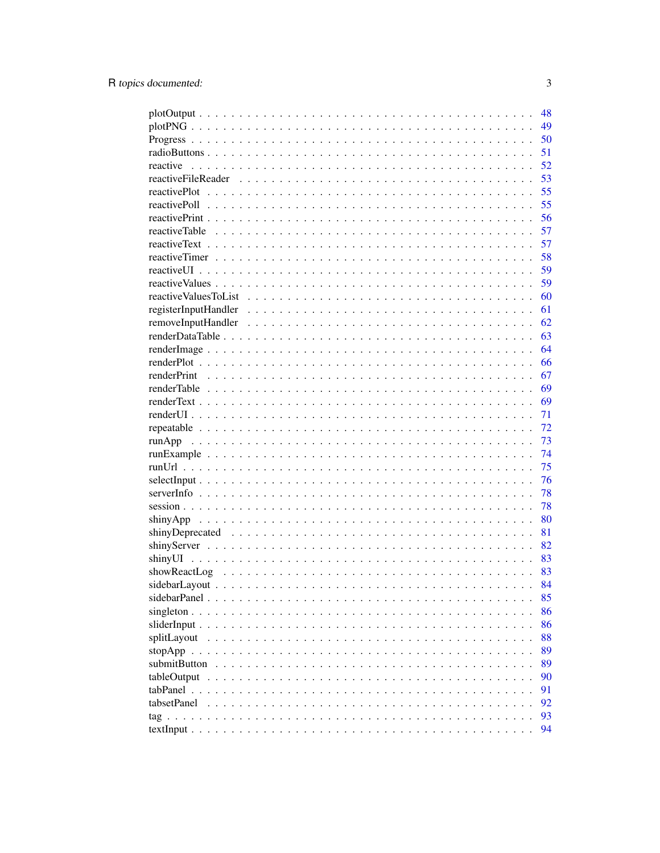|                      | 48 |
|----------------------|----|
|                      | 49 |
|                      | 50 |
|                      | 51 |
| reactive             | 52 |
|                      | 53 |
|                      | 55 |
|                      | 55 |
|                      | 56 |
|                      | 57 |
|                      | 57 |
|                      | 58 |
|                      | 59 |
|                      | 59 |
|                      | 60 |
|                      | 61 |
|                      | 62 |
|                      | 63 |
|                      | 64 |
|                      | 66 |
|                      | 67 |
|                      | 69 |
|                      | 69 |
|                      | 71 |
|                      | 72 |
|                      | 73 |
|                      | 74 |
|                      | 75 |
|                      | 76 |
|                      | 78 |
|                      | 78 |
|                      | 80 |
|                      | 81 |
|                      | 82 |
|                      | 83 |
|                      | 83 |
|                      | 84 |
|                      | 85 |
| singleton $\ldots$ . | 86 |
|                      | 86 |
| splitLayout          | 88 |
|                      | 89 |
| submitButton         | 89 |
|                      |    |
| tableOutput          | 90 |
| tabsetPanel          | 91 |
|                      | 92 |
|                      | 93 |
|                      | 94 |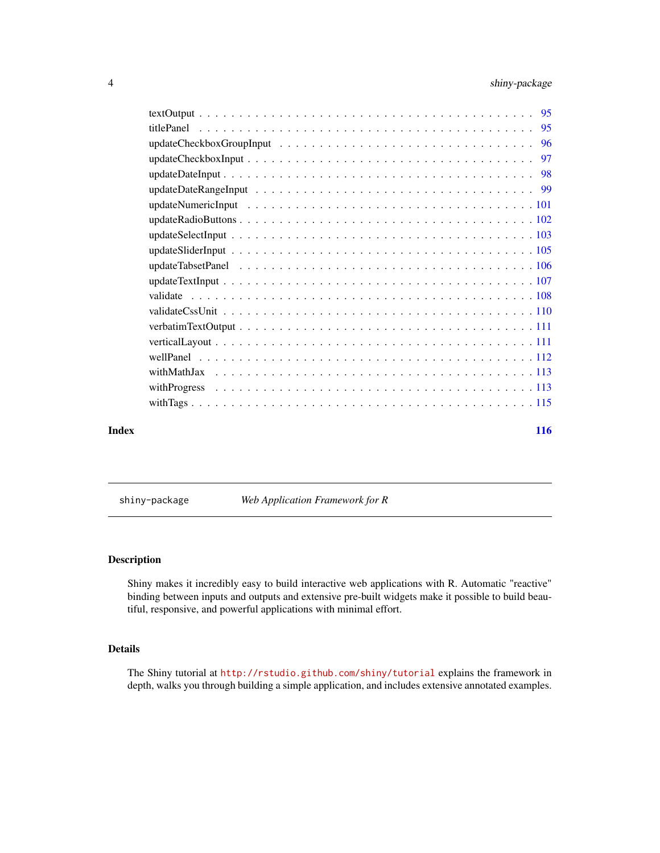<span id="page-3-0"></span>

| Index |            | 116 |
|-------|------------|-----|
|       |            |     |
|       |            |     |
|       |            |     |
|       |            |     |
|       |            |     |
|       |            |     |
|       |            |     |
|       |            |     |
|       |            |     |
|       |            |     |
|       |            |     |
|       |            |     |
|       |            |     |
|       |            |     |
|       |            |     |
|       |            |     |
|       |            |     |
|       |            |     |
|       | titlePanel |     |
|       |            | -95 |
|       |            |     |

shiny-package *Web Application Framework for R*

#### Description

Shiny makes it incredibly easy to build interactive web applications with R. Automatic "reactive" binding between inputs and outputs and extensive pre-built widgets make it possible to build beautiful, responsive, and powerful applications with minimal effort.

# Details

The Shiny tutorial at <http://rstudio.github.com/shiny/tutorial> explains the framework in depth, walks you through building a simple application, and includes extensive annotated examples.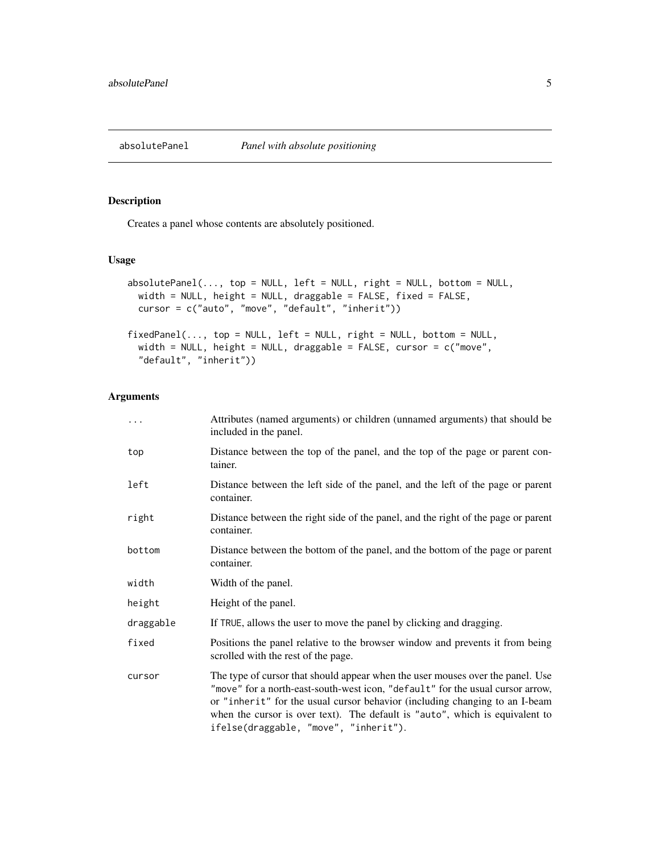<span id="page-4-0"></span>

Creates a panel whose contents are absolutely positioned.

# Usage

```
absolutePanel(..., top = NULL, left = NULL, right = NULL, bottom = NULL,width = NULL, height = NULL, draggable = FALSE, fixed = FALSE,
 cursor = c("auto", "move", "default", "inherit"))
fixedPanel(..., top = NULL, left = NULL, right = NULL, bottom = NULL,width = NULL, height = NULL, draggable = FALSE, cursor = c("move",
```

```
"default", "inherit"))
```
# Arguments

| .         | Attributes (named arguments) or children (unnamed arguments) that should be<br>included in the panel.                                                                                                                                                                                                                                                                    |
|-----------|--------------------------------------------------------------------------------------------------------------------------------------------------------------------------------------------------------------------------------------------------------------------------------------------------------------------------------------------------------------------------|
| top       | Distance between the top of the panel, and the top of the page or parent con-<br>tainer.                                                                                                                                                                                                                                                                                 |
| left      | Distance between the left side of the panel, and the left of the page or parent<br>container.                                                                                                                                                                                                                                                                            |
| right     | Distance between the right side of the panel, and the right of the page or parent<br>container.                                                                                                                                                                                                                                                                          |
| bottom    | Distance between the bottom of the panel, and the bottom of the page or parent<br>container.                                                                                                                                                                                                                                                                             |
| width     | Width of the panel.                                                                                                                                                                                                                                                                                                                                                      |
| height    | Height of the panel.                                                                                                                                                                                                                                                                                                                                                     |
| draggable | If TRUE, allows the user to move the panel by clicking and dragging.                                                                                                                                                                                                                                                                                                     |
| fixed     | Positions the panel relative to the browser window and prevents it from being<br>scrolled with the rest of the page.                                                                                                                                                                                                                                                     |
| cursor    | The type of cursor that should appear when the user mouses over the panel. Use<br>"move" for a north-east-south-west icon, "default" for the usual cursor arrow,<br>or "inherit" for the usual cursor behavior (including changing to an I-beam<br>when the cursor is over text). The default is "auto", which is equivalent to<br>ifelse(draggable, "move", "inherit"). |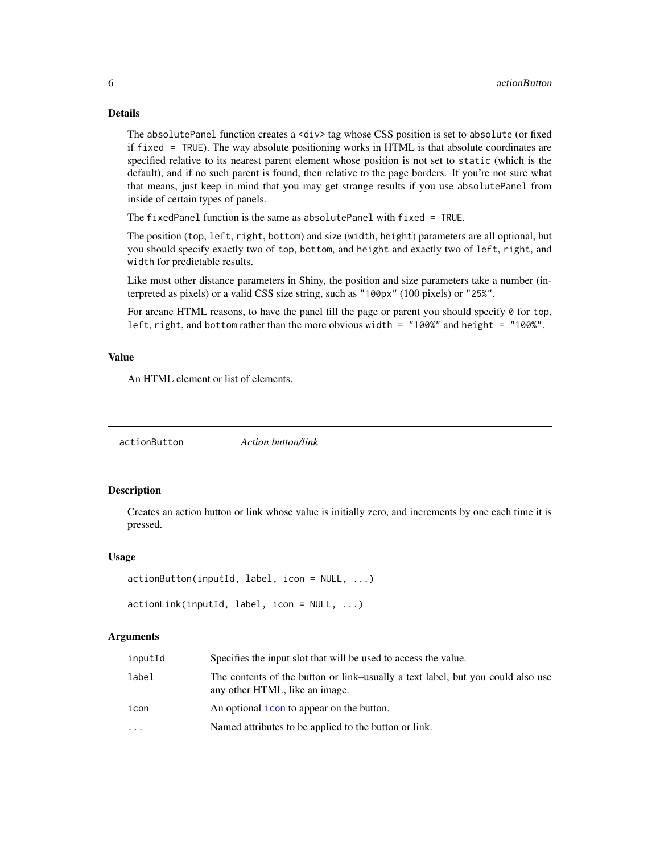# Details

The absolutePanel function creates a <div> tag whose CSS position is set to absolute (or fixed if fixed = TRUE). The way absolute positioning works in HTML is that absolute coordinates are specified relative to its nearest parent element whose position is not set to static (which is the default), and if no such parent is found, then relative to the page borders. If you're not sure what that means, just keep in mind that you may get strange results if you use absolutePanel from inside of certain types of panels.

The fixedPanel function is the same as absolutePanel with fixed = TRUE.

The position (top, left, right, bottom) and size (width, height) parameters are all optional, but you should specify exactly two of top, bottom, and height and exactly two of left, right, and width for predictable results.

Like most other distance parameters in Shiny, the position and size parameters take a number (interpreted as pixels) or a valid CSS size string, such as "100px" (100 pixels) or "25%".

For arcane HTML reasons, to have the panel fill the page or parent you should specify 0 for top, left, right, and bottom rather than the more obvious width =  $"100\%"$  and height =  $"100\%"$ .

#### Value

An HTML element or list of elements.

<span id="page-5-1"></span>actionButton *Action button/link*

#### <span id="page-5-2"></span>Description

Creates an action button or link whose value is initially zero, and increments by one each time it is pressed.

#### Usage

```
actionButton(inputId, label, icon = NULL, ...)
```

```
actionLink(inputId, label, icon = NULL, ...)
```
#### Arguments

| inputId | Specifies the input slot that will be used to access the value.                                                   |
|---------|-------------------------------------------------------------------------------------------------------------------|
| label   | The contents of the button or link–usually a text label, but you could also use<br>any other HTML, like an image. |
| icon    | An optional icon to appear on the button.                                                                         |
| .       | Named attributes to be applied to the button or link.                                                             |

<span id="page-5-0"></span>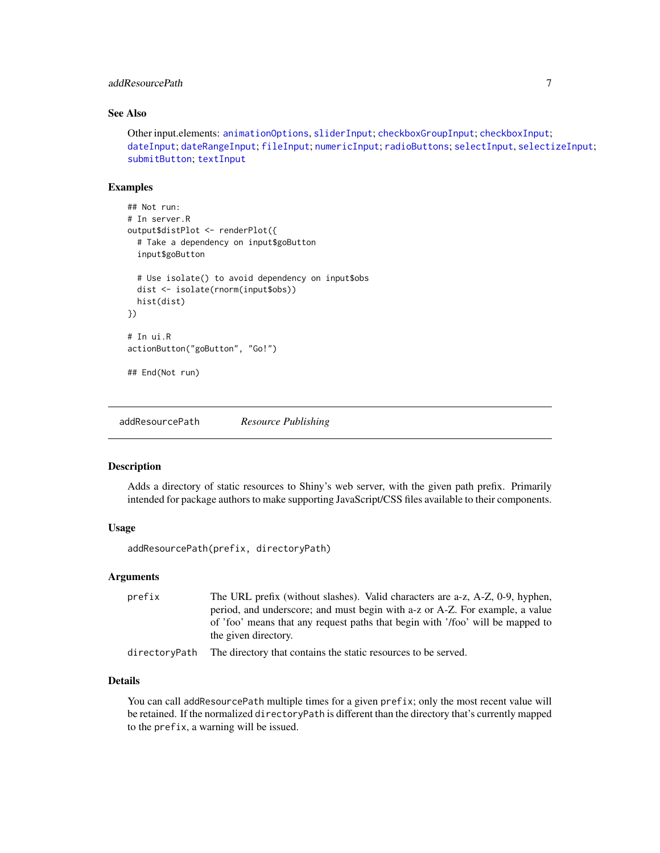# <span id="page-6-0"></span>addResourcePath 7 and 7 and 7 and 7 and 7 and 7 and 7 and 7 and 7 and 7 and 7 and 7 and 7 and 7 and 7 and 7 and 7 and 7 and 7 and 7 and 7 and 7 and 7 and 7 and 7 and 7 and 7 and 7 and 7 and 7 and 7 and 7 and 7 and 7 and 7

# See Also

Other input.elements: [animationOptions](#page-85-1), [sliderInput](#page-85-2); [checkboxGroupInput](#page-9-1); [checkboxInput](#page-10-1); [dateInput](#page-14-1); [dateRangeInput](#page-15-1); [fileInput](#page-21-1); [numericInput](#page-41-1); [radioButtons](#page-50-1); [selectInput](#page-75-1), [selectizeInput](#page-75-2); [submitButton](#page-88-1); [textInput](#page-93-1)

#### Examples

```
## Not run:
# In server.R
output$distPlot <- renderPlot({
 # Take a dependency on input$goButton
 input$goButton
 # Use isolate() to avoid dependency on input$obs
 dist <- isolate(rnorm(input$obs))
 hist(dist)
})
# In ui.R
actionButton("goButton", "Go!")
## End(Not run)
```
<span id="page-6-1"></span>addResourcePath *Resource Publishing*

#### Description

Adds a directory of static resources to Shiny's web server, with the given path prefix. Primarily intended for package authors to make supporting JavaScript/CSS files available to their components.

#### Usage

```
addResourcePath(prefix, directoryPath)
```
#### Arguments

| prefix | The URL prefix (without slashes). Valid characters are a-z, A-Z, 0-9, hyphen,  |
|--------|--------------------------------------------------------------------------------|
|        | period, and underscore; and must begin with a-z or A-Z. For example, a value   |
|        | of 'foo' means that any request paths that begin with '/foo' will be mapped to |
|        | the given directory.                                                           |
|        |                                                                                |

directoryPath The directory that contains the static resources to be served.

# **Details**

You can call addResourcePath multiple times for a given prefix; only the most recent value will be retained. If the normalized directoryPath is different than the directory that's currently mapped to the prefix, a warning will be issued.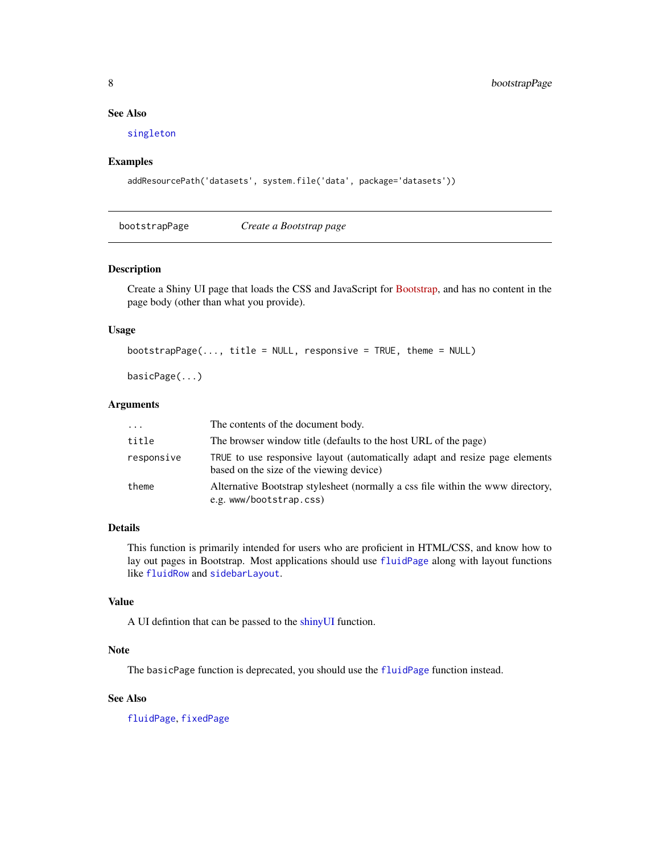# <span id="page-7-0"></span>See Also

[singleton](#page-85-3)

#### Examples

```
addResourcePath('datasets', system.file('data', package='datasets'))
```
bootstrapPage *Create a Bootstrap page*

#### Description

Create a Shiny UI page that loads the CSS and JavaScript for [Bootstrap,](http://getbootstrap.com/2.3.2/) and has no content in the page body (other than what you provide).

#### Usage

```
bootstrapPage(..., title = NULL, response = TRUE, theme = NULL)
```
basicPage(...)

#### Arguments

| $\cdots$   | The contents of the document body.                                                                                      |
|------------|-------------------------------------------------------------------------------------------------------------------------|
| title      | The browser window title (defaults to the host URL of the page)                                                         |
| responsive | TRUE to use responsive layout (automatically adapt and resize page elements<br>based on the size of the viewing device) |
| theme      | Alternative Bootstrap stylesheet (normally a css file within the www directory,<br>e.g. www/bootstrap.css)              |

# Details

This function is primarily intended for users who are proficient in HTML/CSS, and know how to lay out pages in Bootstrap. Most applications should use [fluidPage](#page-24-1) along with layout functions like [fluidRow](#page-24-2) and [sidebarLayout](#page-83-1).

# Value

A UI defintion that can be passed to the [shinyUI](#page-82-1) function.

#### Note

The basicPage function is deprecated, you should use the [fluidPage](#page-24-1) function instead.

# See Also

[fluidPage](#page-24-1), [fixedPage](#page-22-1)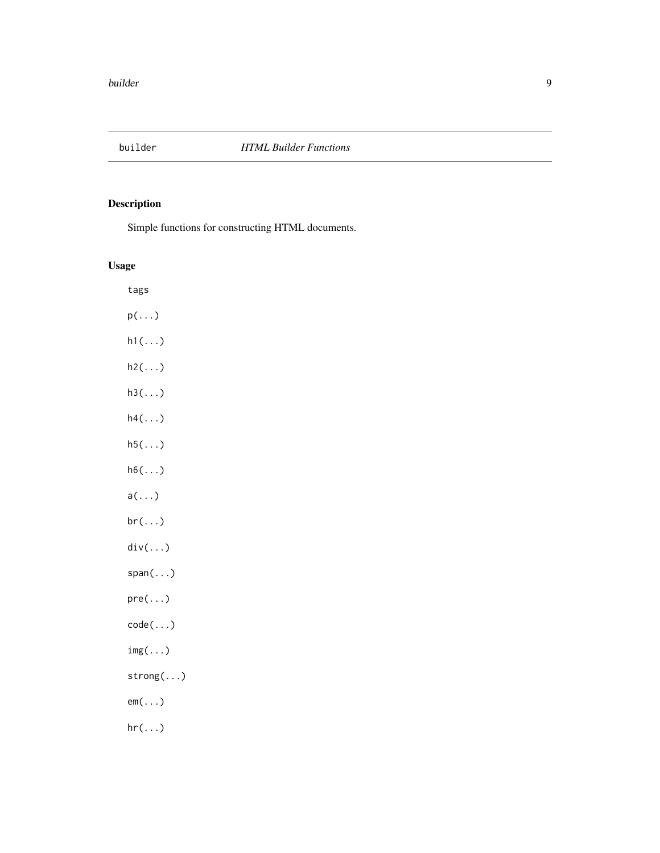<span id="page-8-1"></span><span id="page-8-0"></span>

Simple functions for constructing HTML documents.

# Usage

tags p(...)  $h1(\ldots)$ h2(...)  $h3(\ldots)$ h4(...)  $h5(\ldots)$ h6(...) a(...) br(...) div(...) span(...) pre(...) code(...) img(...) strong(...) em(...)  $hr(...)$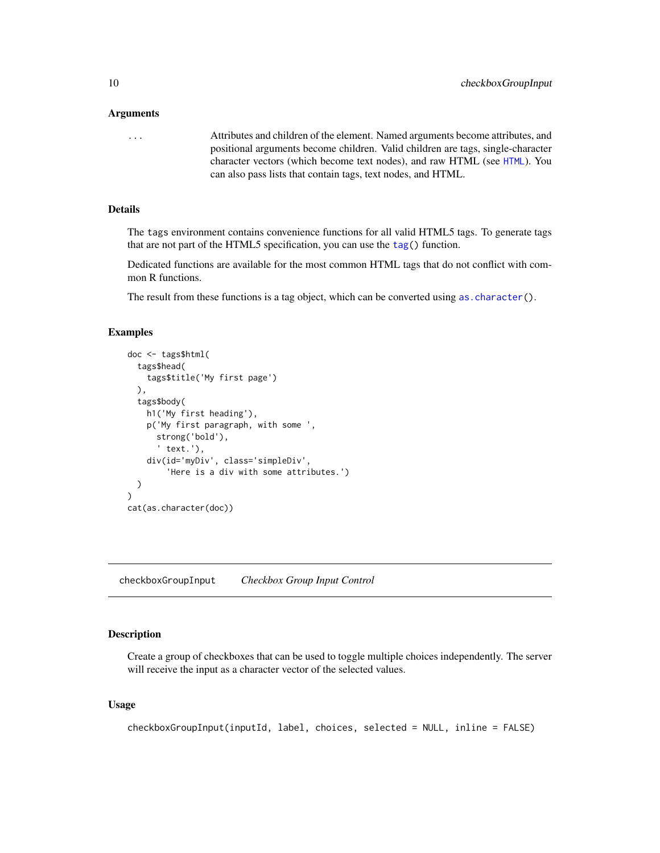#### <span id="page-9-0"></span>Arguments

... Attributes and children of the element. Named arguments become attributes, and positional arguments become children. Valid children are tags, single-character character vectors (which become text nodes), and raw HTML (see [HTML](#page-27-1)). You can also pass lists that contain tags, text nodes, and HTML.

#### Details

The tags environment contains convenience functions for all valid HTML5 tags. To generate tags that are not part of the HTML5 specification, you can use the [tag\(](#page-92-1)) function.

Dedicated functions are available for the most common HTML tags that do not conflict with common R functions.

The result from these functions is a tag object, which can be converted using as character().

#### Examples

```
doc <- tags$html(
 tags$head(
   tags$title('My first page')
 ),
 tags$body(
   h1('My first heading'),
   p('My first paragraph, with some ',
      strong('bold'),
      ' text.'),
    div(id='myDiv', class='simpleDiv',
        'Here is a div with some attributes.')
 )
)
cat(as.character(doc))
```
<span id="page-9-1"></span>checkboxGroupInput *Checkbox Group Input Control*

#### Description

Create a group of checkboxes that can be used to toggle multiple choices independently. The server will receive the input as a character vector of the selected values.

#### Usage

```
checkboxGroupInput(inputId, label, choices, selected = NULL, inline = FALSE)
```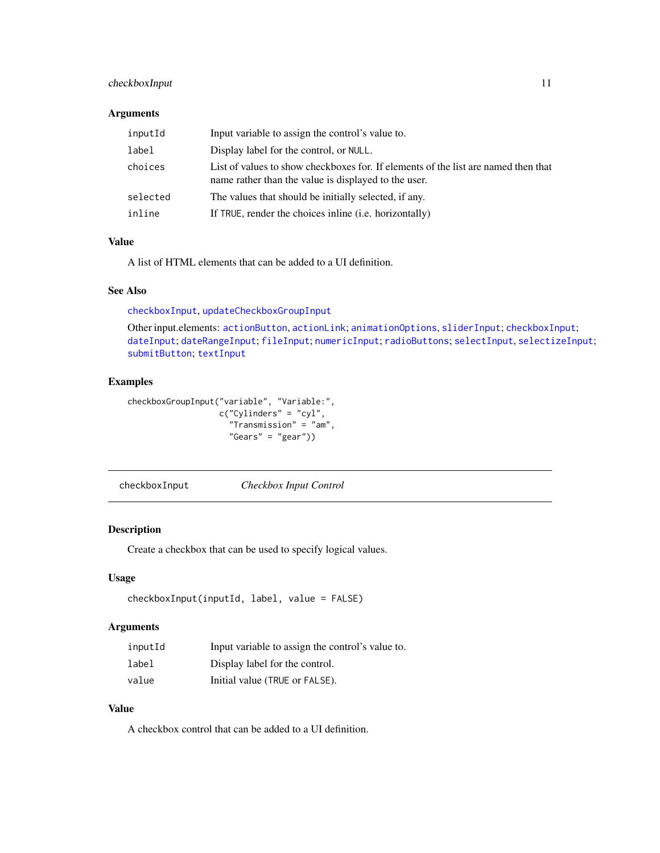# <span id="page-10-0"></span>checkboxInput 11

#### Arguments

| inputId  | Input variable to assign the control's value to.                                                                                           |
|----------|--------------------------------------------------------------------------------------------------------------------------------------------|
| label    | Display label for the control, or NULL.                                                                                                    |
| choices  | List of values to show checkboxes for. If elements of the list are named then that<br>name rather than the value is displayed to the user. |
| selected | The values that should be initially selected, if any.                                                                                      |
| inline   | If TRUE, render the choices in line (i.e. horizontally)                                                                                    |

# Value

A list of HTML elements that can be added to a UI definition.

# See Also

[checkboxInput](#page-10-1), [updateCheckboxGroupInput](#page-95-1)

Other input.elements: [actionButton](#page-5-1), [actionLink](#page-5-2); [animationOptions](#page-85-1), [sliderInput](#page-85-2); [checkboxInput](#page-10-1); [dateInput](#page-14-1); [dateRangeInput](#page-15-1); [fileInput](#page-21-1); [numericInput](#page-41-1); [radioButtons](#page-50-1); [selectInput](#page-75-1), [selectizeInput](#page-75-2); [submitButton](#page-88-1); [textInput](#page-93-1)

# Examples

```
checkboxGroupInput("variable", "Variable:",
                   c("Cylinders" = "cyl",
                     "Transmission" = "am",
                     "Gears" = "gear"))
```
<span id="page-10-1"></span>checkboxInput *Checkbox Input Control*

# Description

Create a checkbox that can be used to specify logical values.

# Usage

```
checkboxInput(inputId, label, value = FALSE)
```
#### Arguments

| inputId | Input variable to assign the control's value to. |
|---------|--------------------------------------------------|
| label   | Display label for the control.                   |
| value   | Initial value (TRUE or FALSE).                   |

# Value

A checkbox control that can be added to a UI definition.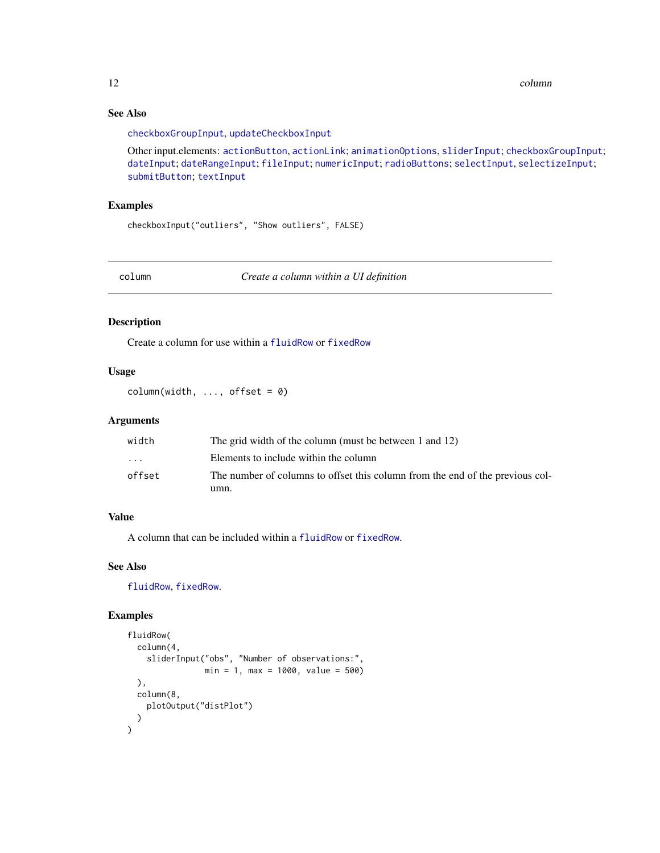12 column control of the column column column column column column column column column column column column column column column column column column column column column column column column column column column column c

# See Also

[checkboxGroupInput](#page-9-1), [updateCheckboxInput](#page-96-1)

Other input.elements: [actionButton](#page-5-1), [actionLink](#page-5-2); [animationOptions](#page-85-1), [sliderInput](#page-85-2); [checkboxGroupInput](#page-9-1); [dateInput](#page-14-1); [dateRangeInput](#page-15-1); [fileInput](#page-21-1); [numericInput](#page-41-1); [radioButtons](#page-50-1); [selectInput](#page-75-1), [selectizeInput](#page-75-2); [submitButton](#page-88-1); [textInput](#page-93-1)

# Examples

checkboxInput("outliers", "Show outliers", FALSE)

<span id="page-11-1"></span>column *Create a column within a UI definition*

#### Description

Create a column for use within a [fluidRow](#page-24-2) or [fixedRow](#page-22-2)

#### Usage

 $column(width, ..., offset = 0)$ 

# Arguments

| width                   | The grid width of the column (must be between 1 and 12)                       |
|-------------------------|-------------------------------------------------------------------------------|
| $\cdot$ $\cdot$ $\cdot$ | Elements to include within the column                                         |
| offset                  | The number of columns to offset this column from the end of the previous col- |
|                         | umn.                                                                          |

#### Value

A column that can be included within a [fluidRow](#page-24-2) or [fixedRow](#page-22-2).

# See Also

[fluidRow](#page-24-2), [fixedRow](#page-22-2).

```
fluidRow(
 column(4,
   sliderInput("obs", "Number of observations:",
                min = 1, max = 1000, value = 500),
 column(8,
   plotOutput("distPlot")
 )
\mathcal{L}
```
<span id="page-11-0"></span>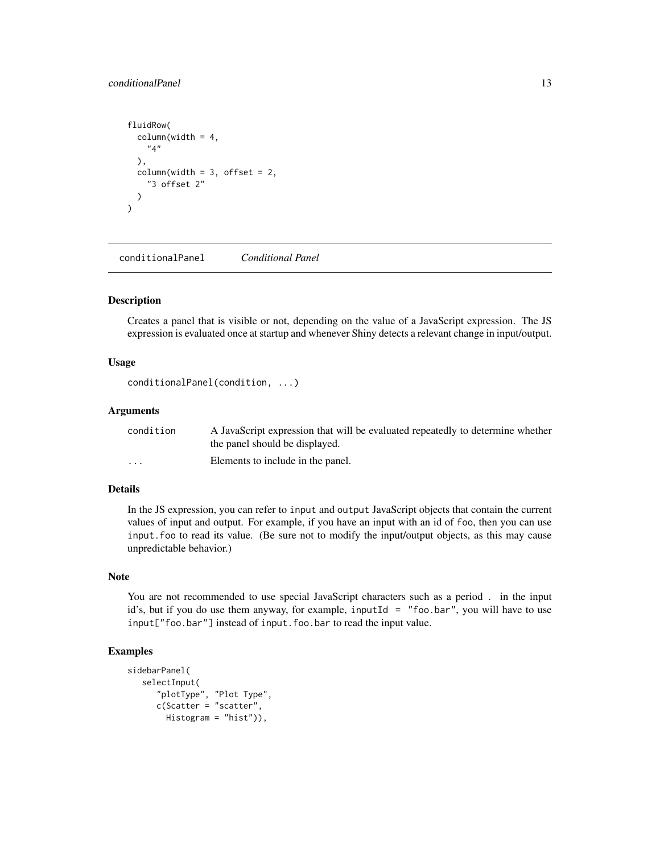# <span id="page-12-0"></span>conditionalPanel 13

```
fluidRow(
 columnwidth = 4,"4"
 ),
 columnwidth = 3, offset = 2,"3 offset 2"
 )
\lambda
```
conditionalPanel *Conditional Panel*

#### Description

Creates a panel that is visible or not, depending on the value of a JavaScript expression. The JS expression is evaluated once at startup and whenever Shiny detects a relevant change in input/output.

#### Usage

conditionalPanel(condition, ...)

#### Arguments

| condition | A JavaScript expression that will be evaluated repeatedly to determine whether<br>the panel should be displayed. |
|-----------|------------------------------------------------------------------------------------------------------------------|
| $\cdots$  | Elements to include in the panel.                                                                                |

#### Details

In the JS expression, you can refer to input and output JavaScript objects that contain the current values of input and output. For example, if you have an input with an id of foo, then you can use input.foo to read its value. (Be sure not to modify the input/output objects, as this may cause unpredictable behavior.)

# Note

You are not recommended to use special JavaScript characters such as a period . in the input id's, but if you do use them anyway, for example, inputId = "foo.bar", you will have to use input["foo.bar"] instead of input.foo.bar to read the input value.

```
sidebarPanel(
  selectInput(
      "plotType", "Plot Type",
     c(Scatter = "scatter",
       Histogram = "hist")),
```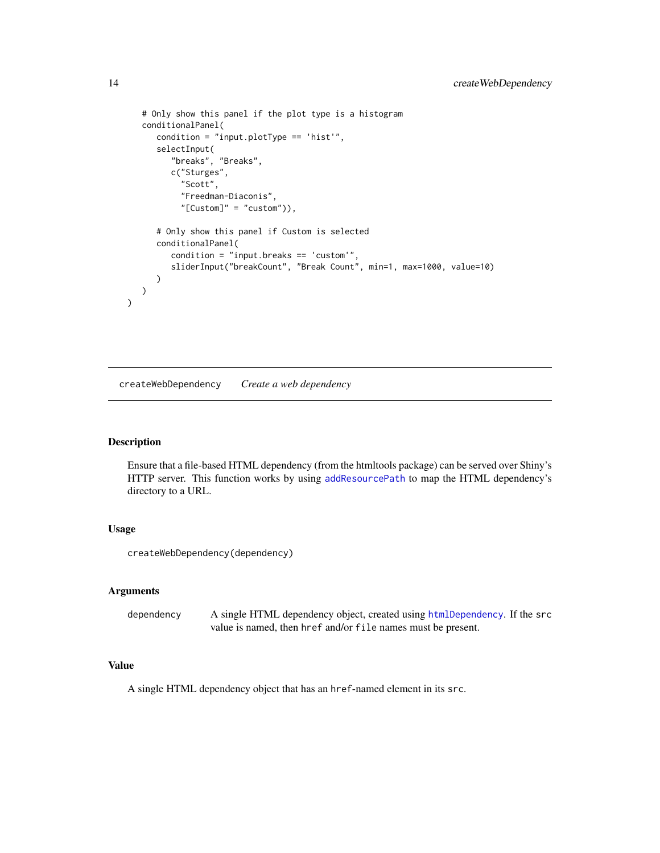```
# Only show this panel if the plot type is a histogram
  conditionalPanel(
     condition = "input.plotType == 'hist'",
     selectInput(
         "breaks", "Breaks",
        c("Sturges",
           "Scott",
           "Freedman-Diaconis",
           "[Customer]" = "custom"),
     # Only show this panel if Custom is selected
     conditionalPanel(
         condition = "input.breaks == 'custom'",
         sliderInput("breakCount", "Break Count", min=1, max=1000, value=10)
     )
  )
)
```
createWebDependency *Create a web dependency*

#### Description

Ensure that a file-based HTML dependency (from the htmltools package) can be served over Shiny's HTTP server. This function works by using [addResourcePath](#page-6-1) to map the HTML dependency's directory to a URL.

# Usage

createWebDependency(dependency)

#### Arguments

dependency A single HTML dependency object, created using [htmlDependency](#page-0-0). If the src value is named, then href and/or file names must be present.

#### Value

A single HTML dependency object that has an href-named element in its src.

<span id="page-13-0"></span>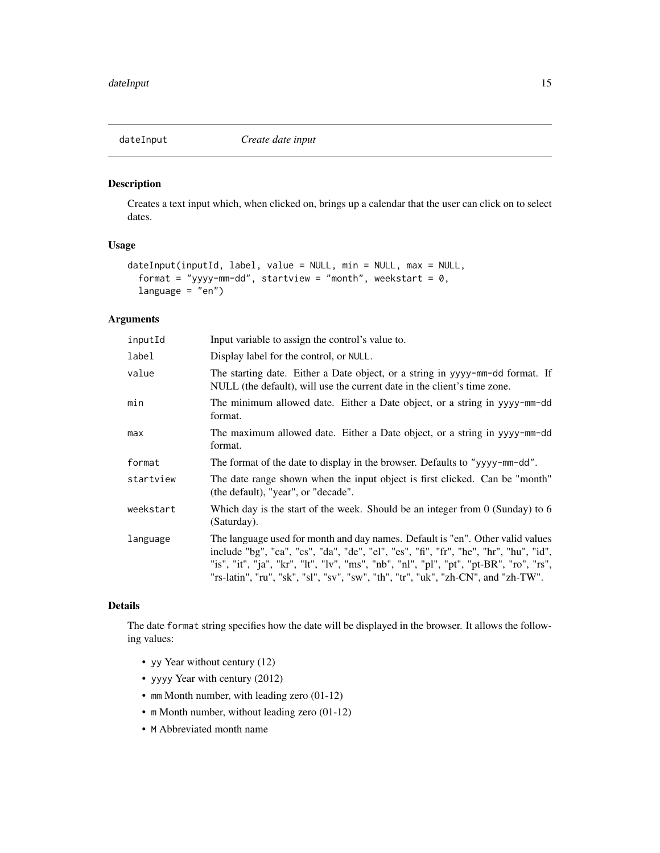<span id="page-14-1"></span><span id="page-14-0"></span>

Creates a text input which, when clicked on, brings up a calendar that the user can click on to select dates.

# Usage

```
dateInput(inputId, label, value = NULL, min = NULL, max = NULL,
 format = "yyyy-mm-dd", startview = "month", weekstart = 0,
  language = "en")
```
# Arguments

| inputId   | Input variable to assign the control's value to.                                                                                                                                                                                                                                                                                                       |
|-----------|--------------------------------------------------------------------------------------------------------------------------------------------------------------------------------------------------------------------------------------------------------------------------------------------------------------------------------------------------------|
| label     | Display label for the control, or NULL.                                                                                                                                                                                                                                                                                                                |
| value     | The starting date. Either a Date object, or a string in yyyy-mm-dd format. If<br>NULL (the default), will use the current date in the client's time zone.                                                                                                                                                                                              |
| min       | The minimum allowed date. Either a Date object, or a string in yyyy-mm-dd<br>format.                                                                                                                                                                                                                                                                   |
| max       | The maximum allowed date. Either a Date object, or a string in yyyy-mm-dd<br>format.                                                                                                                                                                                                                                                                   |
| format    | The format of the date to display in the browser. Defaults to "yyyy-mm-dd".                                                                                                                                                                                                                                                                            |
| startview | The date range shown when the input object is first clicked. Can be "month"<br>(the default), "year", or "decade".                                                                                                                                                                                                                                     |
| weekstart | Which day is the start of the week. Should be an integer from $0$ (Sunday) to 6<br>(Saturday).                                                                                                                                                                                                                                                         |
| language  | The language used for month and day names. Default is "en". Other valid values<br>include "bg", "ca", "cs", "da", "de", "el", "es", "fi", "fr", "he", "hr", "hu", "id",<br>"is", "it", "ja", "kr", "lt", "lv", "ms", "nb", "nl", "pl", "pt", "pt-BR", "ro", "rs",<br>"rs-latin", "ru", "sk", "sl", "sv", "sw", "th", "tr", "uk", "zh-CN", and "zh-TW". |

# Details

The date format string specifies how the date will be displayed in the browser. It allows the following values:

- yy Year without century (12)
- yyyy Year with century (2012)
- mm Month number, with leading zero (01-12)
- m Month number, without leading zero (01-12)
- M Abbreviated month name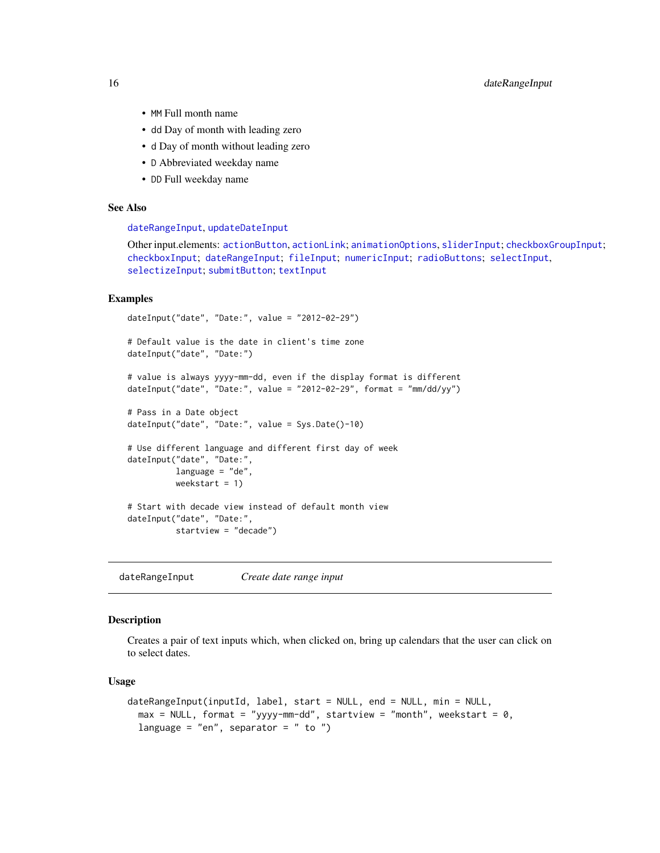- <span id="page-15-0"></span>• MM Full month name
- dd Day of month with leading zero
- d Day of month without leading zero
- D Abbreviated weekday name
- DD Full weekday name

# See Also

#### [dateRangeInput](#page-15-1), [updateDateInput](#page-97-1)

Other input.elements: [actionButton](#page-5-1), [actionLink](#page-5-2); [animationOptions](#page-85-1), [sliderInput](#page-85-2); [checkboxGroupInput](#page-9-1); [checkboxInput](#page-10-1); [dateRangeInput](#page-15-1); [fileInput](#page-21-1); [numericInput](#page-41-1); [radioButtons](#page-50-1); [selectInput](#page-75-1), [selectizeInput](#page-75-2); [submitButton](#page-88-1); [textInput](#page-93-1)

#### Examples

```
dateInput("date", "Date:", value = "2012-02-29")
# Default value is the date in client's time zone
dateInput("date", "Date:")
# value is always yyyy-mm-dd, even if the display format is different
dateInput("date", "Date:", value = "2012-02-29", format = "mm/dd/yy")
# Pass in a Date object
dateInput("date", "Date:", value = Sys.Date()-10)
# Use different language and different first day of week
dateInput("date", "Date:",
          language = "de",
         weekstart = 1)
# Start with decade view instead of default month view
dateInput("date", "Date:",
         startview = "decade")
```
<span id="page-15-1"></span>dateRangeInput *Create date range input*

# Description

Creates a pair of text inputs which, when clicked on, bring up calendars that the user can click on to select dates.

#### Usage

```
dateRangeInput(inputId, label, start = NULL, end = NULL, min = NULL,
 max = NULL, format = "yyyy-mm-dd", startview = "month", weekstart = 0,
 language = "en", separator = " to ")
```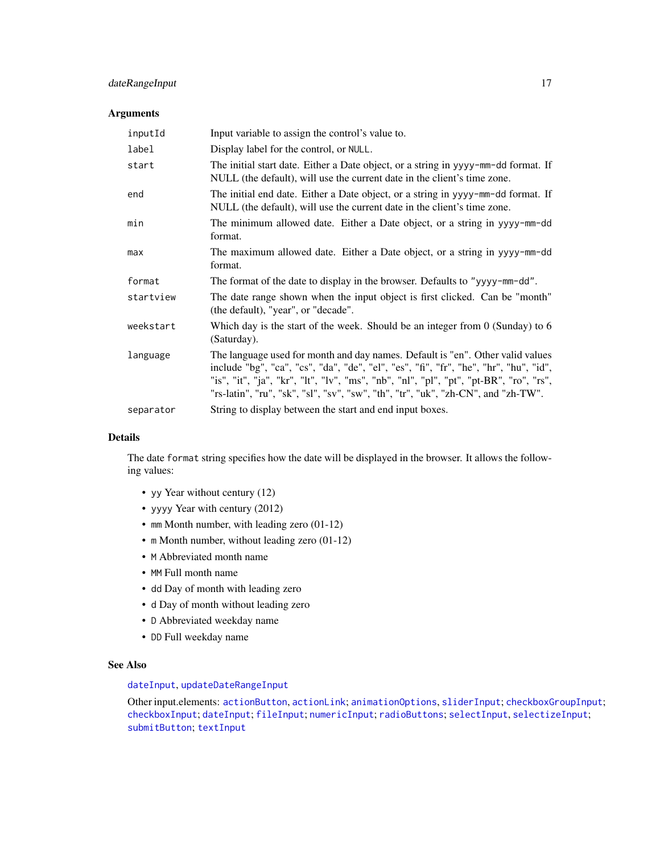# dateRangeInput 17

#### Arguments

| inputId   | Input variable to assign the control's value to.                                                                                                                                                                                                                                                                                                       |
|-----------|--------------------------------------------------------------------------------------------------------------------------------------------------------------------------------------------------------------------------------------------------------------------------------------------------------------------------------------------------------|
| label     | Display label for the control, or NULL.                                                                                                                                                                                                                                                                                                                |
| start     | The initial start date. Either a Date object, or a string in yyyy-mm-dd format. If<br>NULL (the default), will use the current date in the client's time zone.                                                                                                                                                                                         |
| end       | The initial end date. Either a Date object, or a string in yyyy-mm-dd format. If<br>NULL (the default), will use the current date in the client's time zone.                                                                                                                                                                                           |
| min       | The minimum allowed date. Either a Date object, or a string in yyyy-mm-dd<br>format.                                                                                                                                                                                                                                                                   |
| max       | The maximum allowed date. Either a Date object, or a string in yyyy-mm-dd<br>format.                                                                                                                                                                                                                                                                   |
| format    | The format of the date to display in the browser. Defaults to "yyyy-mm-dd".                                                                                                                                                                                                                                                                            |
| startview | The date range shown when the input object is first clicked. Can be "month"<br>(the default), "year", or "decade".                                                                                                                                                                                                                                     |
| weekstart | Which day is the start of the week. Should be an integer from $0$ (Sunday) to 6<br>(Saturday).                                                                                                                                                                                                                                                         |
| language  | The language used for month and day names. Default is "en". Other valid values<br>include "bg", "ca", "cs", "da", "de", "el", "es", "fi", "fr", "he", "hr", "hu", "id",<br>"is", "it", "ja", "kr", "lt", "lv", "ms", "nb", "nl", "pl", "pt", "pt-BR", "ro", "rs",<br>"rs-latin", "ru", "sk", "sl", "sv", "sw", "th", "tr", "uk", "zh-CN", and "zh-TW". |
| separator | String to display between the start and end input boxes.                                                                                                                                                                                                                                                                                               |

# Details

The date format string specifies how the date will be displayed in the browser. It allows the following values:

- yy Year without century (12)
- yyyy Year with century (2012)
- mm Month number, with leading zero (01-12)
- m Month number, without leading zero (01-12)
- M Abbreviated month name
- MM Full month name
- dd Day of month with leading zero
- d Day of month without leading zero
- D Abbreviated weekday name
- DD Full weekday name

# See Also

#### [dateInput](#page-14-1), [updateDateRangeInput](#page-98-1)

Other input.elements: [actionButton](#page-5-1), [actionLink](#page-5-2); [animationOptions](#page-85-1), [sliderInput](#page-85-2); [checkboxGroupInput](#page-9-1); [checkboxInput](#page-10-1); [dateInput](#page-14-1); [fileInput](#page-21-1); [numericInput](#page-41-1); [radioButtons](#page-50-1); [selectInput](#page-75-1), [selectizeInput](#page-75-2); [submitButton](#page-88-1); [textInput](#page-93-1)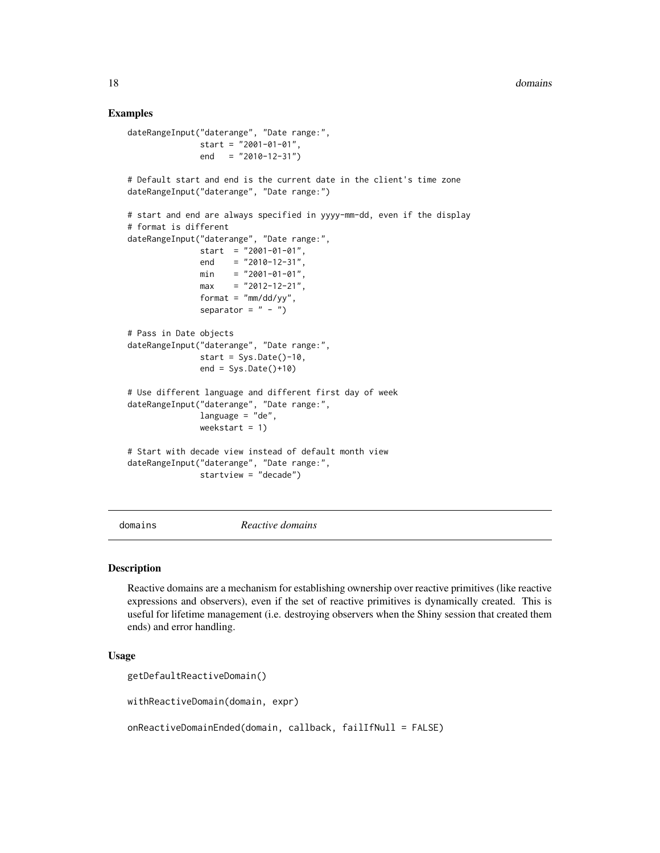#### <span id="page-17-0"></span>Examples

```
dateRangeInput("daterange", "Date range:",
              start = "2001-01-01",
              end = "2010-12-31"# Default start and end is the current date in the client's time zone
dateRangeInput("daterange", "Date range:")
# start and end are always specified in yyyy-mm-dd, even if the display
# format is different
dateRangeInput("daterange", "Date range:",
              start = "2001-01-01",end = "2010-12-31",
              min = "2001-01-01".max = "2012-12-21",format = m/m/dd/yy'',
              separator = " - ")
# Pass in Date objects
dateRangeInput("daterange", "Date range:",
               start = Sys.Date() - 10,
              end = Sys.Date() + 10)# Use different language and different first day of week
dateRangeInput("daterange", "Date range:",
              language = "de",
              weekstart = 1)
# Start with decade view instead of default month view
dateRangeInput("daterange", "Date range:",
              startview = "decade")
```
domains *Reactive domains*

#### Description

Reactive domains are a mechanism for establishing ownership over reactive primitives (like reactive expressions and observers), even if the set of reactive primitives is dynamically created. This is useful for lifetime management (i.e. destroying observers when the Shiny session that created them ends) and error handling.

#### Usage

```
getDefaultReactiveDomain()
```
withReactiveDomain(domain, expr)

onReactiveDomainEnded(domain, callback, failIfNull = FALSE)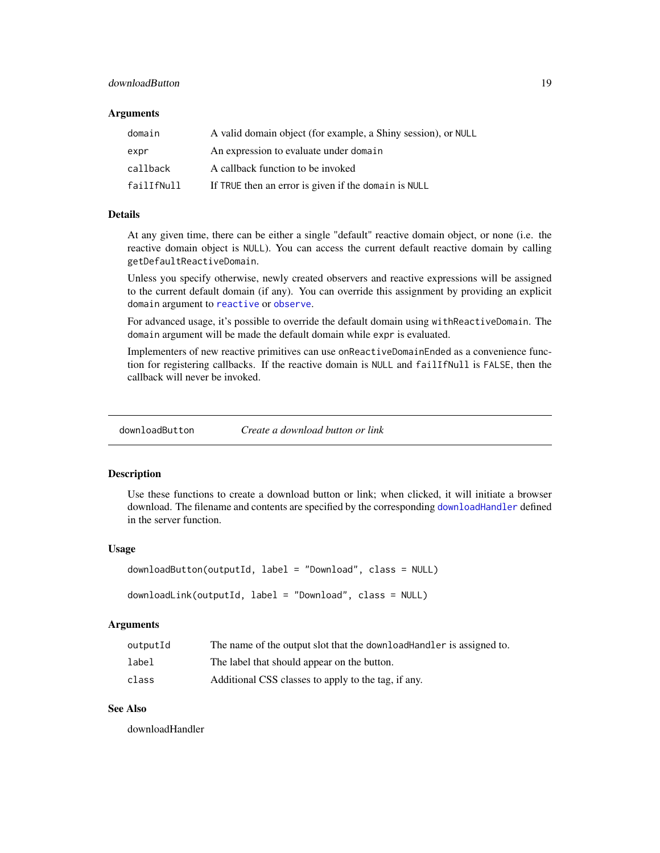# <span id="page-18-0"></span>downloadButton 19

#### Arguments

| domain     | A valid domain object (for example, a Shiny session), or NULL |
|------------|---------------------------------------------------------------|
| expr       | An expression to evaluate under domain                        |
| callback   | A callback function to be invoked                             |
| failIfNull | If TRUE then an error is given if the domain is NULL          |

# Details

At any given time, there can be either a single "default" reactive domain object, or none (i.e. the reactive domain object is NULL). You can access the current default reactive domain by calling getDefaultReactiveDomain.

Unless you specify otherwise, newly created observers and reactive expressions will be assigned to the current default domain (if any). You can override this assignment by providing an explicit domain argument to [reactive](#page-51-1) or [observe](#page-42-1).

For advanced usage, it's possible to override the default domain using withReactiveDomain. The domain argument will be made the default domain while expr is evaluated.

Implementers of new reactive primitives can use onReactiveDomainEnded as a convenience function for registering callbacks. If the reactive domain is NULL and failIfNull is FALSE, then the callback will never be invoked.

<span id="page-18-1"></span>downloadButton *Create a download button or link*

# <span id="page-18-2"></span>**Description**

Use these functions to create a download button or link; when clicked, it will initiate a browser download. The filename and contents are specified by the corresponding [downloadHandler](#page-19-1) defined in the server function.

#### Usage

```
downloadButton(outputId, label = "Download", class = NULL)
downloadLink(outputId, label = "Download", class = NULL)
```
#### **Arguments**

| outputId | The name of the output slot that the download Handler is assigned to. |
|----------|-----------------------------------------------------------------------|
| label    | The label that should appear on the button.                           |
| class    | Additional CSS classes to apply to the tag, if any.                   |

# See Also

downloadHandler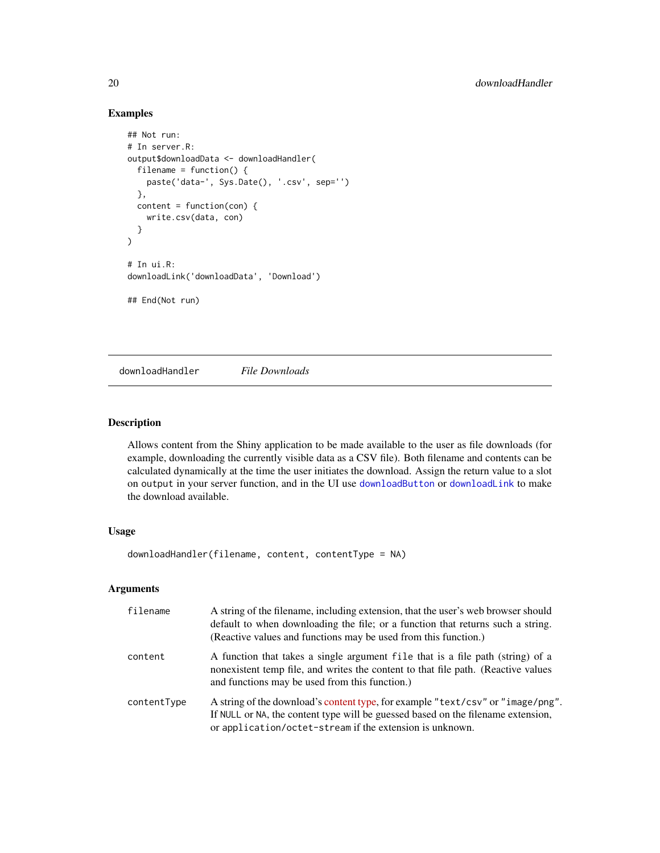# Examples

```
## Not run:
# In server.R:
output$downloadData <- downloadHandler(
 filename = function() {
   paste('data-', Sys.Date(), '.csv', sep='')
 },
 content = function(con)write.csv(data, con)
 }
)
# In ui.R:
downloadLink('downloadData', 'Download')
## End(Not run)
```
<span id="page-19-1"></span>downloadHandler *File Downloads*

#### Description

Allows content from the Shiny application to be made available to the user as file downloads (for example, downloading the currently visible data as a CSV file). Both filename and contents can be calculated dynamically at the time the user initiates the download. Assign the return value to a slot on output in your server function, and in the UI use [downloadButton](#page-18-1) or [downloadLink](#page-18-2) to make the download available.

#### Usage

downloadHandler(filename, content, contentType = NA)

#### Arguments

| filename    | A string of the filename, including extension, that the user's web browser should<br>default to when downloading the file; or a function that returns such a string.<br>(Reactive values and functions may be used from this function.) |
|-------------|-----------------------------------------------------------------------------------------------------------------------------------------------------------------------------------------------------------------------------------------|
| content     | A function that takes a single argument file that is a file path (string) of a<br>nonexistent temp file, and writes the content to that file path. (Reactive values<br>and functions may be used from this function.)                   |
| contentType | A string of the download's content type, for example "text/csv" or "image/png".<br>If NULL or NA, the content type will be guessed based on the filename extension,<br>or application/octet-stream if the extension is unknown.         |

<span id="page-19-0"></span>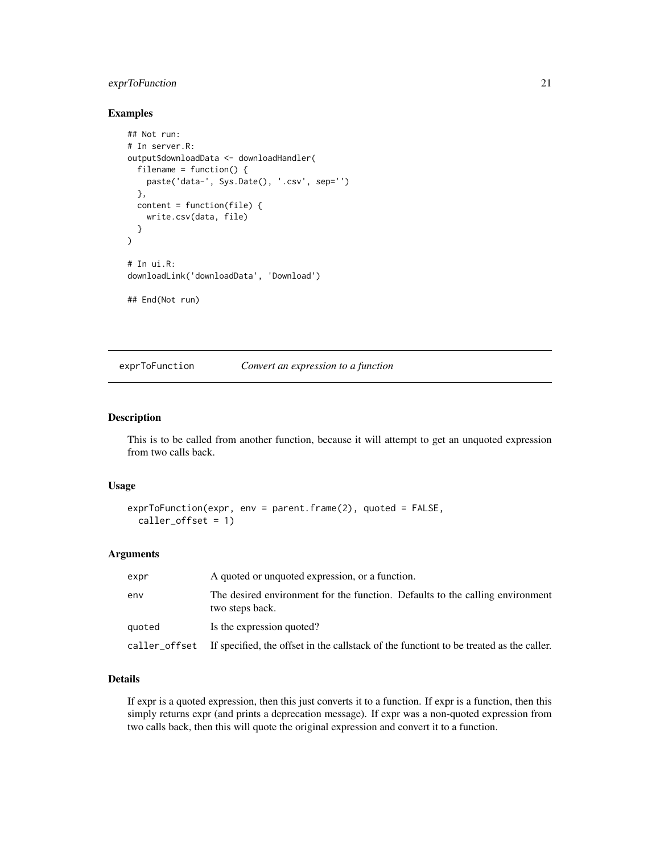# <span id="page-20-0"></span>exprToFunction 21

# Examples

```
## Not run:
# In server.R:
output$downloadData <- downloadHandler(
  filename = function() {
   paste('data-', Sys.Date(), '.csv', sep='')
  },
  content = function(file) {
   write.csv(data, file)
  }
)
# In ui.R:
downloadLink('downloadData', 'Download')
## End(Not run)
```
<span id="page-20-1"></span>exprToFunction *Convert an expression to a function*

#### Description

This is to be called from another function, because it will attempt to get an unquoted expression from two calls back.

#### Usage

```
exprToFunction(expr, env = parent.frame(2), quoted = FALSE,
  caller_offset = 1)
```
#### Arguments

| expr          | A quoted or unquoted expression, or a function.                                                  |
|---------------|--------------------------------------------------------------------------------------------------|
| env           | The desired environment for the function. Defaults to the calling environment<br>two steps back. |
| quoted        | Is the expression quoted?                                                                        |
| caller_offset | If specified, the offset in the callstack of the functiont to be treated as the caller.          |

#### Details

If expr is a quoted expression, then this just converts it to a function. If expr is a function, then this simply returns expr (and prints a deprecation message). If expr was a non-quoted expression from two calls back, then this will quote the original expression and convert it to a function.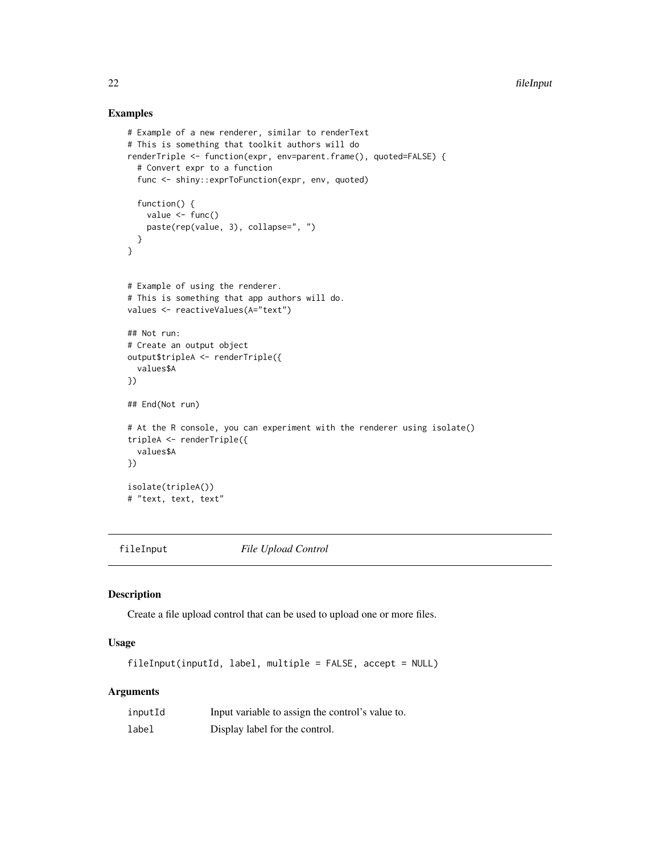#### Examples

```
# Example of a new renderer, similar to renderText
# This is something that toolkit authors will do
renderTriple <- function(expr, env=parent.frame(), quoted=FALSE) {
  # Convert expr to a function
  func <- shiny::exprToFunction(expr, env, quoted)
  function() {
   value <- func()
    paste(rep(value, 3), collapse=", ")
 }
}
# Example of using the renderer.
# This is something that app authors will do.
values <- reactiveValues(A="text")
## Not run:
# Create an output object
output$tripleA <- renderTriple({
  values$A
})
## End(Not run)
# At the R console, you can experiment with the renderer using isolate()
tripleA <- renderTriple({
  values$A
})
isolate(tripleA())
# "text, text, text"
```
<span id="page-21-1"></span>

fileInput *File Upload Control*

#### Description

Create a file upload control that can be used to upload one or more files.

#### Usage

fileInput(inputId, label, multiple = FALSE, accept = NULL)

# Arguments

| inputId | Input variable to assign the control's value to. |
|---------|--------------------------------------------------|
| label   | Display label for the control.                   |

<span id="page-21-0"></span>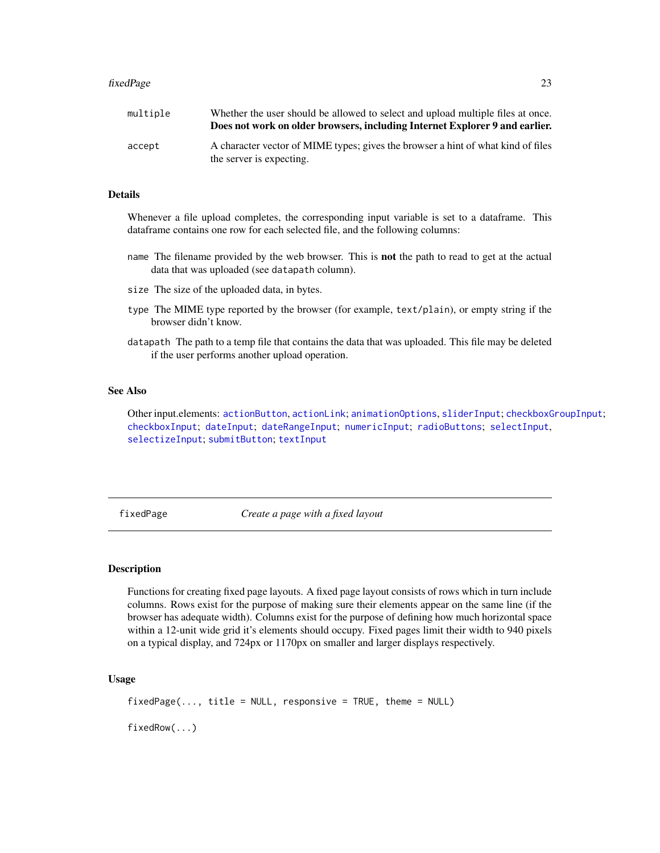#### <span id="page-22-0"></span>fixedPage 23

| multiple | Whether the user should be allowed to select and upload multiple files at once.<br>Does not work on older browsers, including Internet Explorer 9 and earlier. |
|----------|----------------------------------------------------------------------------------------------------------------------------------------------------------------|
| accept   | A character vector of MIME types; gives the browser a hint of what kind of files<br>the server is expecting.                                                   |

# Details

Whenever a file upload completes, the corresponding input variable is set to a dataframe. This dataframe contains one row for each selected file, and the following columns:

- name The filename provided by the web browser. This is not the path to read to get at the actual data that was uploaded (see datapath column).
- size The size of the uploaded data, in bytes.
- type The MIME type reported by the browser (for example, text/plain), or empty string if the browser didn't know.
- datapath The path to a temp file that contains the data that was uploaded. This file may be deleted if the user performs another upload operation.

#### See Also

Other input.elements: [actionButton](#page-5-1), [actionLink](#page-5-2); [animationOptions](#page-85-1), [sliderInput](#page-85-2); [checkboxGroupInput](#page-9-1); [checkboxInput](#page-10-1); [dateInput](#page-14-1); [dateRangeInput](#page-15-1); [numericInput](#page-41-1); [radioButtons](#page-50-1); [selectInput](#page-75-1), [selectizeInput](#page-75-2); [submitButton](#page-88-1); [textInput](#page-93-1)

<span id="page-22-1"></span>fixedPage *Create a page with a fixed layout*

# <span id="page-22-2"></span>Description

Functions for creating fixed page layouts. A fixed page layout consists of rows which in turn include columns. Rows exist for the purpose of making sure their elements appear on the same line (if the browser has adequate width). Columns exist for the purpose of defining how much horizontal space within a 12-unit wide grid it's elements should occupy. Fixed pages limit their width to 940 pixels on a typical display, and 724px or 1170px on smaller and larger displays respectively.

#### Usage

```
fixedPage(..., title = NULL, response = TRUE, theme = NULL)
```
fixedRow(...)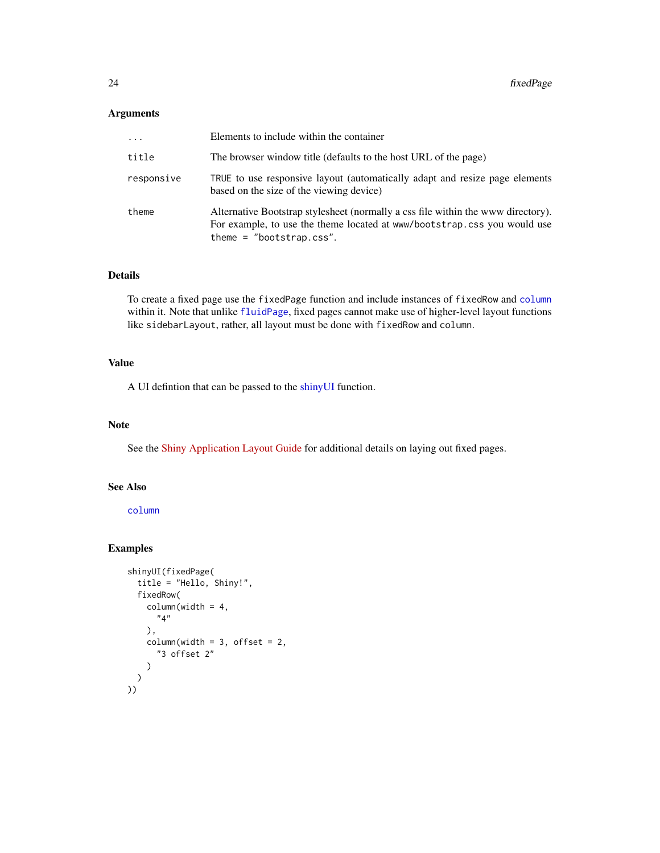# Arguments

| $\ddots$ . | Elements to include within the container                                                                                                                                                   |
|------------|--------------------------------------------------------------------------------------------------------------------------------------------------------------------------------------------|
| title      | The browser window title (defaults to the host URL of the page)                                                                                                                            |
| responsive | TRUE to use responsive layout (automatically adapt and resize page elements<br>based on the size of the viewing device)                                                                    |
| theme      | Alternative Bootstrap stylesheet (normally a css file within the www directory).<br>For example, to use the theme located at www/bootstrap.css you would use<br>theme = $"bootstrap.css".$ |

# Details

To create a fixed page use the fixedPage function and include instances of fixedRow and [column](#page-11-1) within it. Note that unlike [fluidPage](#page-24-1), fixed pages cannot make use of higher-level layout functions like sidebarLayout, rather, all layout must be done with fixedRow and column.

# Value

A UI defintion that can be passed to the [shinyUI](#page-82-1) function.

# Note

See the [Shiny Application Layout Guide](https://github.com/rstudio/shiny/wiki/Shiny-Application-Layout-Guide) for additional details on laying out fixed pages.

# See Also

[column](#page-11-1)

```
shinyUI(fixedPage(
 title = "Hello, Shiny!",
 fixedRow(
   columnwidth = 4,"4"
   ),
   columnwidth = 3, offset = 2,"3 offset 2"
   )
 )
))
```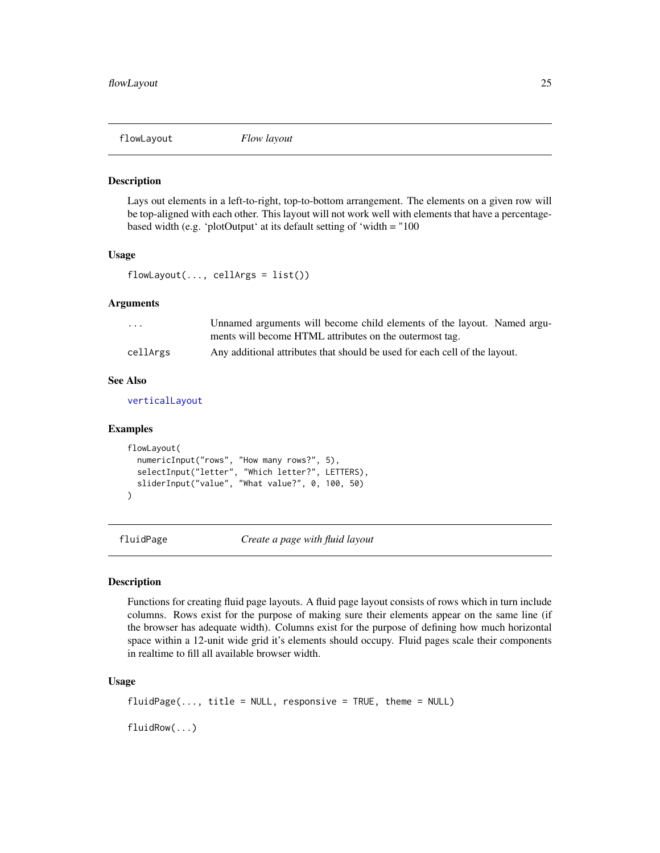<span id="page-24-3"></span><span id="page-24-0"></span>

Lays out elements in a left-to-right, top-to-bottom arrangement. The elements on a given row will be top-aligned with each other. This layout will not work well with elements that have a percentagebased width (e.g. 'plotOutput' at its default setting of 'width = "100

#### Usage

 $flowLayout(..., cellsArgs = list())$ 

#### Arguments

| $\cdot$ $\cdot$ $\cdot$ | Unnamed arguments will become child elements of the layout. Named argu-    |
|-------------------------|----------------------------------------------------------------------------|
|                         | ments will become HTML attributes on the outermost tag.                    |
| cellArgs                | Any additional attributes that should be used for each cell of the layout. |

#### See Also

[verticalLayout](#page-110-1)

#### Examples

```
flowLayout(
 numericInput("rows", "How many rows?", 5),
  selectInput("letter", "Which letter?", LETTERS),
  sliderInput("value", "What value?", 0, 100, 50)
)
```
<span id="page-24-1"></span>fluidPage *Create a page with fluid layout*

#### <span id="page-24-2"></span>Description

Functions for creating fluid page layouts. A fluid page layout consists of rows which in turn include columns. Rows exist for the purpose of making sure their elements appear on the same line (if the browser has adequate width). Columns exist for the purpose of defining how much horizontal space within a 12-unit wide grid it's elements should occupy. Fluid pages scale their components in realtime to fill all available browser width.

# Usage

```
fluidPage(..., title = NULL, response = TRUE, theme = NULL)
```
fluidRow(...)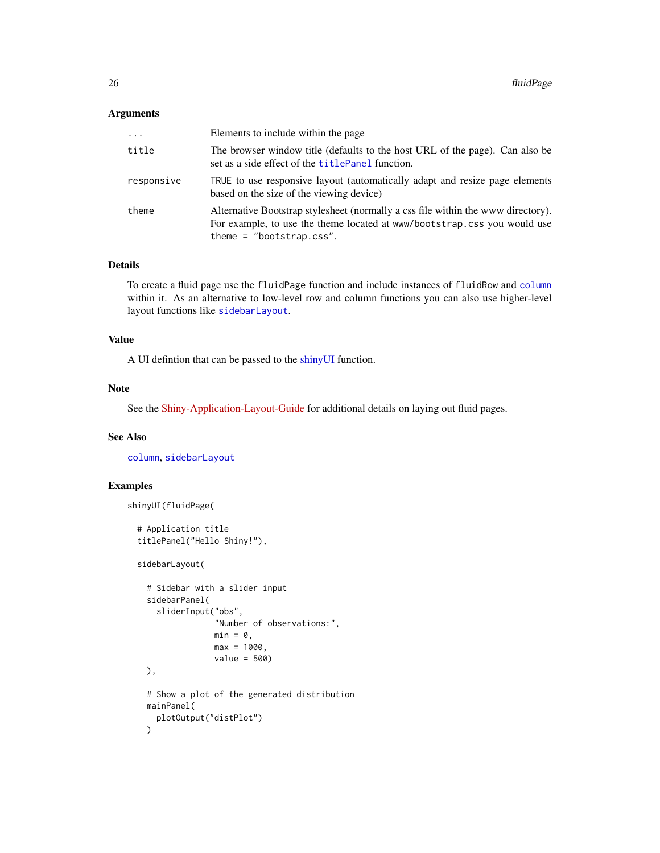# Arguments

| $\cdots$   | Elements to include within the page                                                                                                                                                        |
|------------|--------------------------------------------------------------------------------------------------------------------------------------------------------------------------------------------|
| title      | The browser window title (defaults to the host URL of the page). Can also be<br>set as a side effect of the <b>titlePanel</b> function.                                                    |
| responsive | TRUE to use responsive layout (automatically adapt and resize page elements<br>based on the size of the viewing device)                                                                    |
| theme      | Alternative Bootstrap stylesheet (normally a css file within the www directory).<br>For example, to use the theme located at www/bootstrap.css you would use<br>theme = $"bootstrap.css".$ |

#### Details

To create a fluid page use the fluidPage function and include instances of fluidRow and [column](#page-11-1) within it. As an alternative to low-level row and column functions you can also use higher-level layout functions like [sidebarLayout](#page-83-1).

#### Value

A UI defintion that can be passed to the [shinyUI](#page-82-1) function.

#### Note

See the [Shiny-Application-Layout-Guide](https://github.com/rstudio/shiny/wiki/Shiny-Application-Layout-Guide) for additional details on laying out fluid pages.

# See Also

[column](#page-11-1), [sidebarLayout](#page-83-1)

```
shinyUI(fluidPage(
```

```
# Application title
titlePanel("Hello Shiny!"),
sidebarLayout(
  # Sidebar with a slider input
  sidebarPanel(
    sliderInput("obs",
                "Number of observations:",
                min = 0,
                max = 1000,
                value = 500),
  # Show a plot of the generated distribution
  mainPanel(
    plotOutput("distPlot")
  \mathcal{L}
```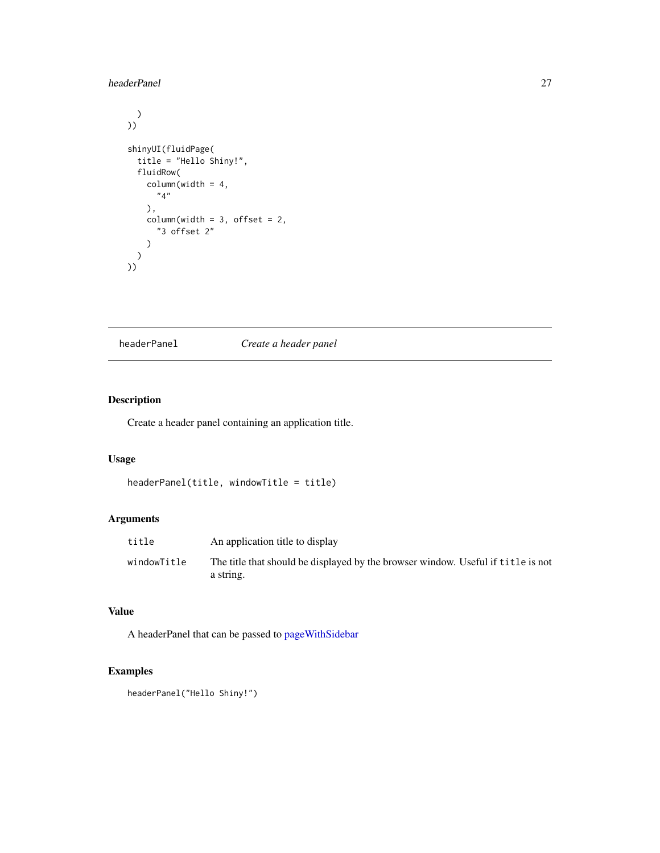# <span id="page-26-0"></span>headerPanel 27

```
\lambda))
shinyUI(fluidPage(
 title = "Hello Shiny!",
  fluidRow(
    columnwidth = 4,"4"
    ),
    columnwidth = 3, offset = 2,"3 offset 2"
    )
  )
))
```
headerPanel *Create a header panel*

# Description

Create a header panel containing an application title.

## Usage

```
headerPanel(title, windowTitle = title)
```
# Arguments

| title       | An application title to display                                                               |
|-------------|-----------------------------------------------------------------------------------------------|
| windowTitle | The title that should be displayed by the browser window. Useful if title is not<br>a string. |

# Value

A headerPanel that can be passed to [pageWithSidebar](#page-45-1)

# Examples

headerPanel("Hello Shiny!")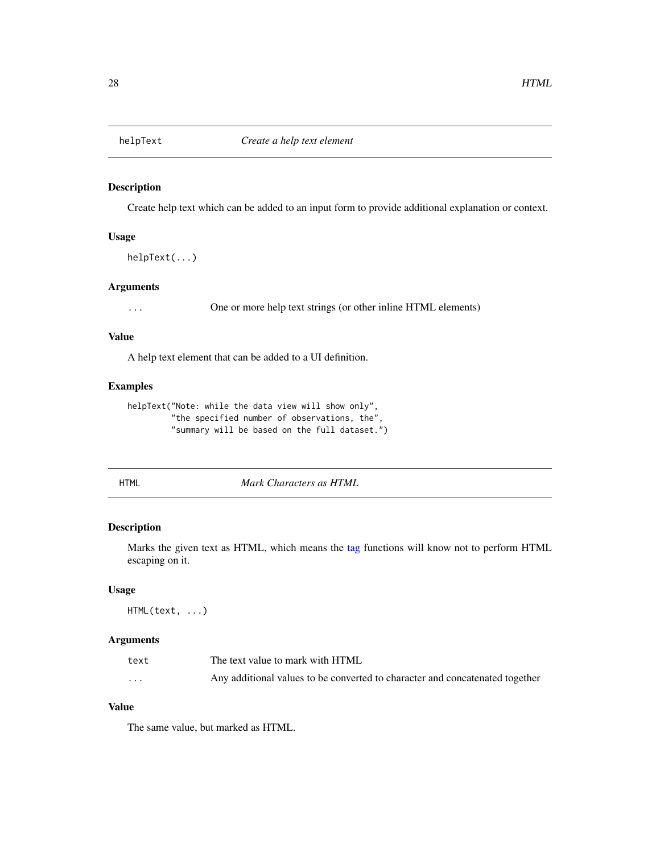<span id="page-27-0"></span>

Create help text which can be added to an input form to provide additional explanation or context.

# Usage

helpText(...)

#### Arguments

... One or more help text strings (or other inline HTML elements)

#### Value

A help text element that can be added to a UI definition.

# Examples

```
helpText("Note: while the data view will show only",
         "the specified number of observations, the",
         "summary will be based on the full dataset.")
```
<span id="page-27-1"></span>

HTML *Mark Characters as HTML*

# Description

Marks the given text as HTML, which means the [tag](#page-92-1) functions will know not to perform HTML escaping on it.

#### Usage

HTML(text, ...)

# Arguments

| text     | The text value to mark with HTML                                             |
|----------|------------------------------------------------------------------------------|
| $\cdots$ | Any additional values to be converted to character and concatenated together |

# Value

The same value, but marked as HTML.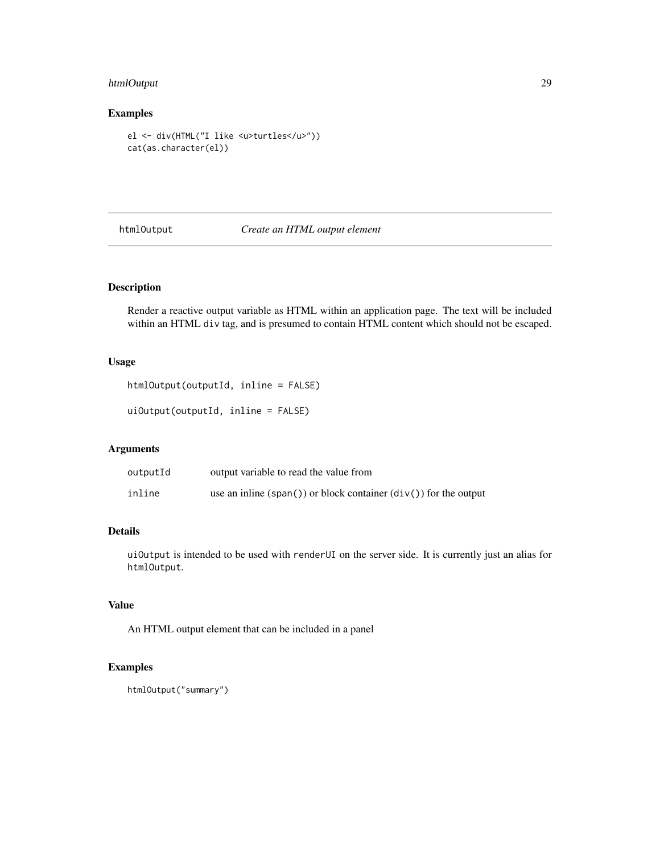# <span id="page-28-0"></span>htmlOutput 29

# Examples

```
el <- div(HTML("I like <u>turtles</u>"))
cat(as.character(el))
```
# htmlOutput *Create an HTML output element*

# Description

Render a reactive output variable as HTML within an application page. The text will be included within an HTML div tag, and is presumed to contain HTML content which should not be escaped.

# Usage

htmlOutput(outputId, inline = FALSE)

uiOutput(outputId, inline = FALSE)

#### Arguments

| outputId | output variable to read the value from                           |
|----------|------------------------------------------------------------------|
| inline   | use an inline (span()) or block container $div()$ for the output |

# Details

uiOutput is intended to be used with renderUI on the server side. It is currently just an alias for htmlOutput.

#### Value

An HTML output element that can be included in a panel

```
htmlOutput("summary")
```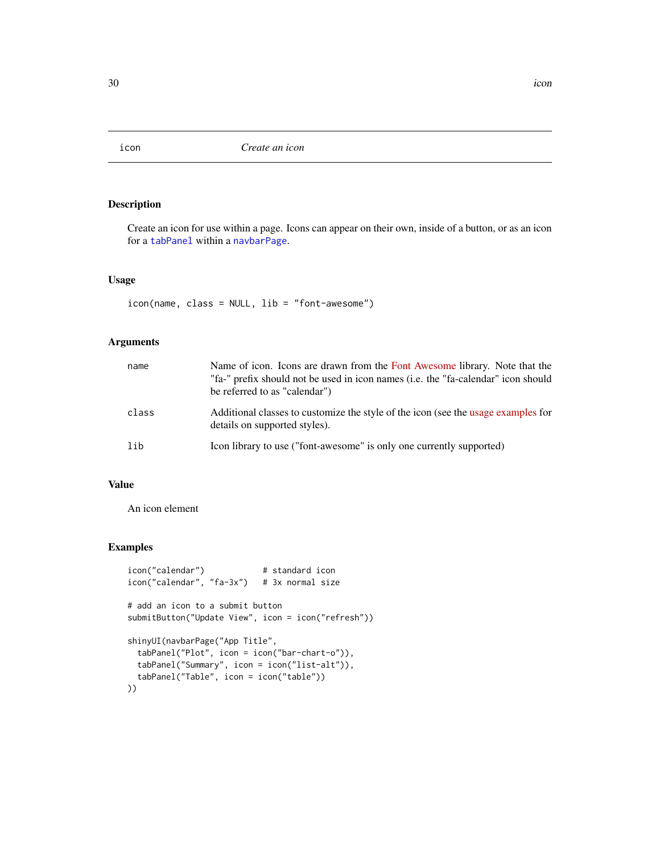<span id="page-29-1"></span><span id="page-29-0"></span>

Create an icon for use within a page. Icons can appear on their own, inside of a button, or as an icon for a [tabPanel](#page-90-1) within a [navbarPage](#page-39-1).

# Usage

icon(name, class = NULL, lib = "font-awesome")

# Arguments

| name  | Name of icon. Icons are drawn from the Font Awesome library. Note that the<br>"fa-" prefix should not be used in icon names (i.e. the "fa-calendar" icon should<br>be referred to as "calendar") |
|-------|--------------------------------------------------------------------------------------------------------------------------------------------------------------------------------------------------|
| class | Additional classes to customize the style of the icon (see the usage examples for<br>details on supported styles).                                                                               |
| lib   | Icon library to use ("font-awesome" is only one currently supported)                                                                                                                             |

#### Value

An icon element

```
icon("calendar") # standard icon
icon("calendar", "fa-3x") # 3x normal size
# add an icon to a submit button
submitButton("Update View", icon = icon("refresh"))
shinyUI(navbarPage("App Title",
 tabPanel("Plot", icon = icon("bar-chart-o")),
 tabPanel("Summary", icon = icon("list-alt")),
 tabPanel("Table", icon = icon("table"))
))
```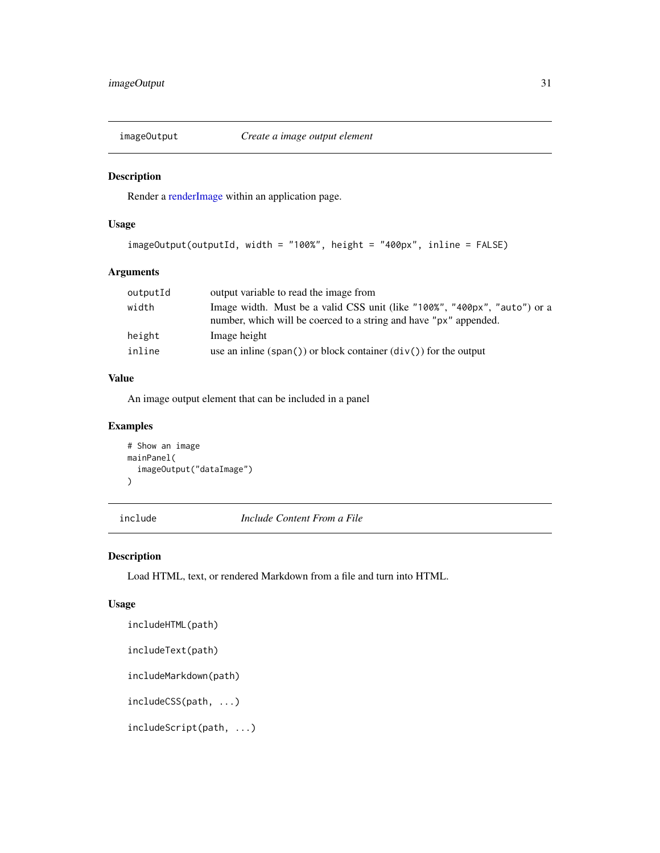<span id="page-30-0"></span>

Render a [renderImage](#page-63-1) within an application page.

# Usage

```
imageOutput(outputId, width = "100%", height = "400px", inline = FALSE)
```
# Arguments

| Image width. Must be a valid CSS unit (like "100%", "400px", "auto") or a<br>number, which will be coerced to a string and have "px" appended. |
|------------------------------------------------------------------------------------------------------------------------------------------------|
|                                                                                                                                                |
| use an inline (span()) or block container $div()$ for the output                                                                               |
|                                                                                                                                                |

# Value

An image output element that can be included in a panel

# Examples

```
# Show an image
mainPanel(
  imageOutput("dataImage")
)
```
include *Include Content From a File*

# Description

Load HTML, text, or rendered Markdown from a file and turn into HTML.

#### Usage

```
includeHTML(path)
```

```
includeText(path)
```
includeMarkdown(path)

includeCSS(path, ...)

includeScript(path, ...)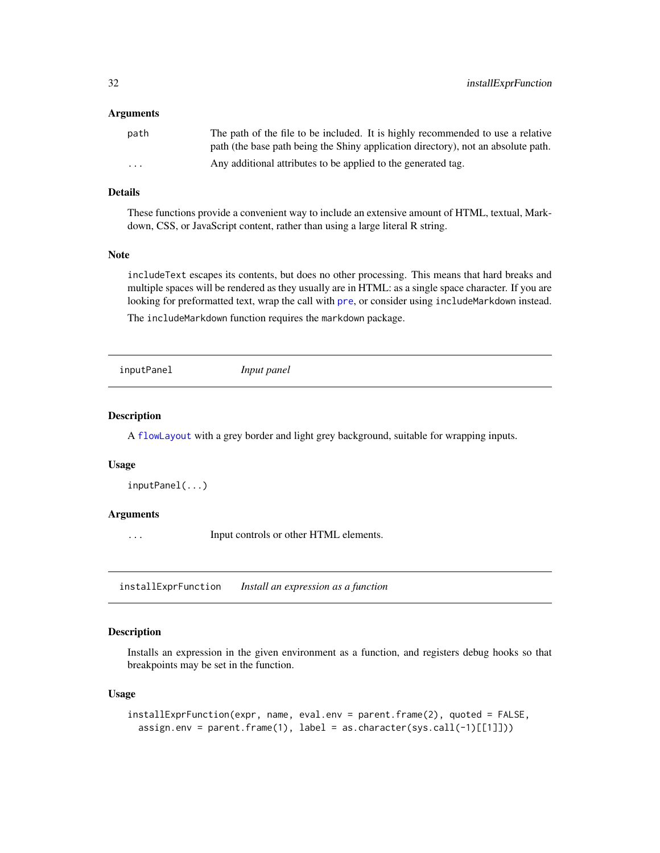#### <span id="page-31-0"></span>Arguments

| path                    | The path of the file to be included. It is highly recommended to use a relative   |
|-------------------------|-----------------------------------------------------------------------------------|
|                         | path (the base path being the Shiny application directory), not an absolute path. |
| $\cdot$ $\cdot$ $\cdot$ | Any additional attributes to be applied to the generated tag.                     |

## Details

These functions provide a convenient way to include an extensive amount of HTML, textual, Markdown, CSS, or JavaScript content, rather than using a large literal R string.

# Note

includeText escapes its contents, but does no other processing. This means that hard breaks and multiple spaces will be rendered as they usually are in HTML: as a single space character. If you are looking for [pre](#page-8-1)formatted text, wrap the call with pre, or consider using includeMarkdown instead.

The includeMarkdown function requires the markdown package.

| inputPanel | Input panel |  |
|------------|-------------|--|
|            |             |  |

# Description

A [flowLayout](#page-24-3) with a grey border and light grey background, suitable for wrapping inputs.

#### Usage

```
inputPanel(...)
```
#### **Arguments**

... Input controls or other HTML elements.

installExprFunction *Install an expression as a function*

#### Description

Installs an expression in the given environment as a function, and registers debug hooks so that breakpoints may be set in the function.

#### Usage

```
installExprFunction(expr, name, eval.env = parent.frame(2), quoted = FALSE,
  assign.env = parent.frame(1), label = as.character(sys.call(-1)[[1]]))
```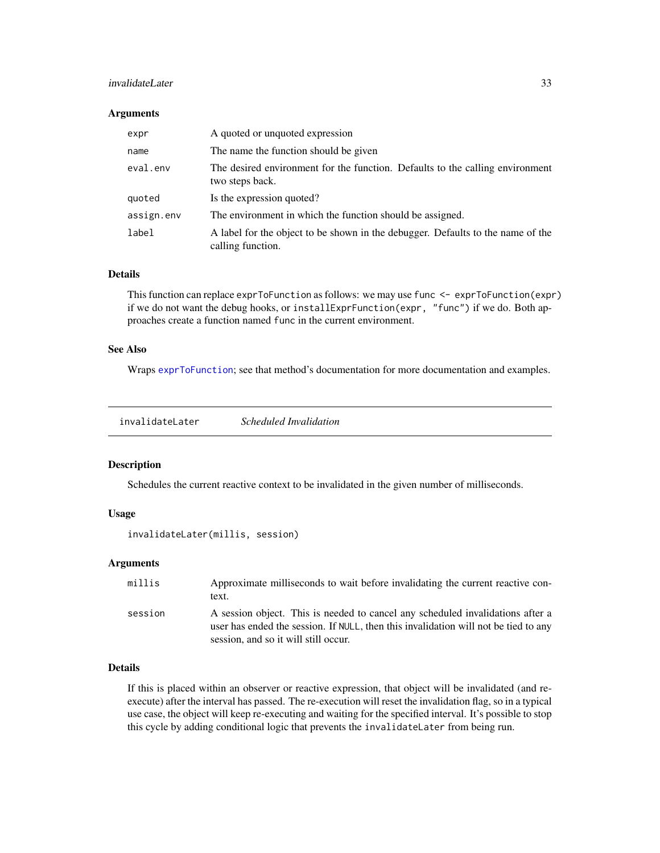#### <span id="page-32-0"></span>invalidateLater 33

#### **Arguments**

| expr       | A quoted or unquoted expression                                                                      |
|------------|------------------------------------------------------------------------------------------------------|
| name       | The name the function should be given                                                                |
| eval.env   | The desired environment for the function. Defaults to the calling environment<br>two steps back.     |
| quoted     | Is the expression quoted?                                                                            |
| assign.env | The environment in which the function should be assigned.                                            |
| label      | A label for the object to be shown in the debugger. Defaults to the name of the<br>calling function. |

#### Details

This function can replace exprToFunction as follows: we may use func <- exprToFunction(expr) if we do not want the debug hooks, or installExprFunction(expr, "func") if we do. Both approaches create a function named func in the current environment.

# See Also

Wraps [exprToFunction](#page-20-1); see that method's documentation for more documentation and examples.

invalidateLater *Scheduled Invalidation*

#### Description

Schedules the current reactive context to be invalidated in the given number of milliseconds.

#### Usage

```
invalidateLater(millis, session)
```
#### **Arguments**

| millis  | Approximate milliseconds to wait before invalidating the current reactive con-<br>text.                                                                                                                       |
|---------|---------------------------------------------------------------------------------------------------------------------------------------------------------------------------------------------------------------|
| session | A session object. This is needed to cancel any scheduled invalidations after a<br>user has ended the session. If NULL, then this invalidation will not be tied to any<br>session, and so it will still occur. |

#### Details

If this is placed within an observer or reactive expression, that object will be invalidated (and reexecute) after the interval has passed. The re-execution will reset the invalidation flag, so in a typical use case, the object will keep re-executing and waiting for the specified interval. It's possible to stop this cycle by adding conditional logic that prevents the invalidateLater from being run.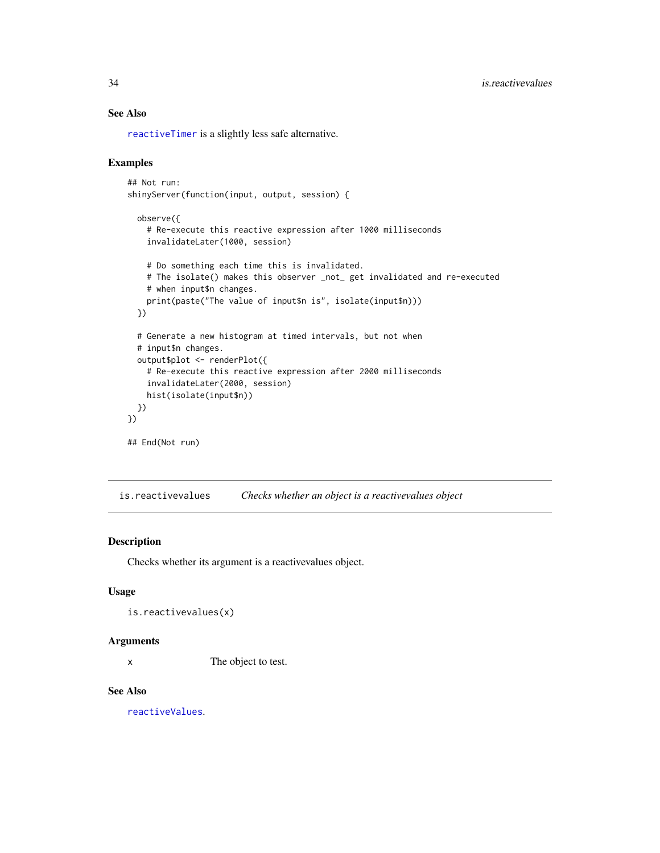# See Also

[reactiveTimer](#page-57-1) is a slightly less safe alternative.

# Examples

```
## Not run:
shinyServer(function(input, output, session) {
 observe({
    # Re-execute this reactive expression after 1000 milliseconds
    invalidateLater(1000, session)
   # Do something each time this is invalidated.
   # The isolate() makes this observer _not_ get invalidated and re-executed
   # when input$n changes.
   print(paste("The value of input$n is", isolate(input$n)))
 })
 # Generate a new histogram at timed intervals, but not when
 # input$n changes.
 output$plot <- renderPlot({
   # Re-execute this reactive expression after 2000 milliseconds
   invalidateLater(2000, session)
   hist(isolate(input$n))
 })
})
## End(Not run)
```
is.reactivevalues *Checks whether an object is a reactivevalues object*

# Description

Checks whether its argument is a reactivevalues object.

#### Usage

```
is.reactivevalues(x)
```
#### Arguments

x The object to test.

#### See Also

[reactiveValues](#page-58-1).

<span id="page-33-0"></span>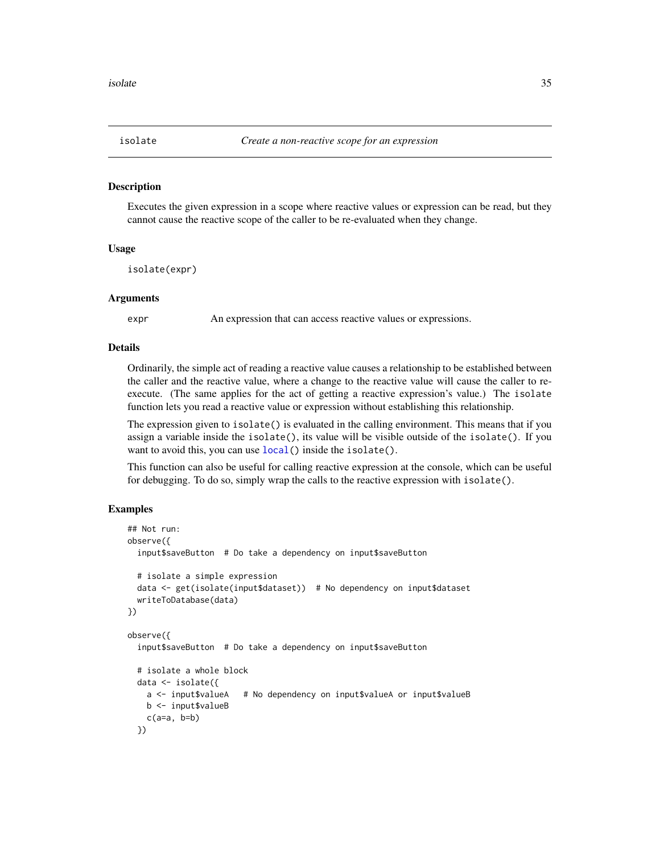<span id="page-34-0"></span>

Executes the given expression in a scope where reactive values or expression can be read, but they cannot cause the reactive scope of the caller to be re-evaluated when they change.

#### Usage

isolate(expr)

#### Arguments

expr An expression that can access reactive values or expressions.

#### Details

Ordinarily, the simple act of reading a reactive value causes a relationship to be established between the caller and the reactive value, where a change to the reactive value will cause the caller to reexecute. (The same applies for the act of getting a reactive expression's value.) The isolate function lets you read a reactive value or expression without establishing this relationship.

The expression given to isolate() is evaluated in the calling environment. This means that if you assign a variable inside the isolate(), its value will be visible outside of the isolate(). If you want to avoid this, you can use [local\(](#page-0-0)) inside the isolate().

This function can also be useful for calling reactive expression at the console, which can be useful for debugging. To do so, simply wrap the calls to the reactive expression with isolate().

```
## Not run:
observe({
 input$saveButton # Do take a dependency on input$saveButton
 # isolate a simple expression
 data <- get(isolate(input$dataset)) # No dependency on input$dataset
 writeToDatabase(data)
})
observe({
 input$saveButton # Do take a dependency on input$saveButton
 # isolate a whole block
 data <- isolate({
   a <- input$valueA # No dependency on input$valueA or input$valueB
   b <- input$valueB
   c(a=a, b=b)})
```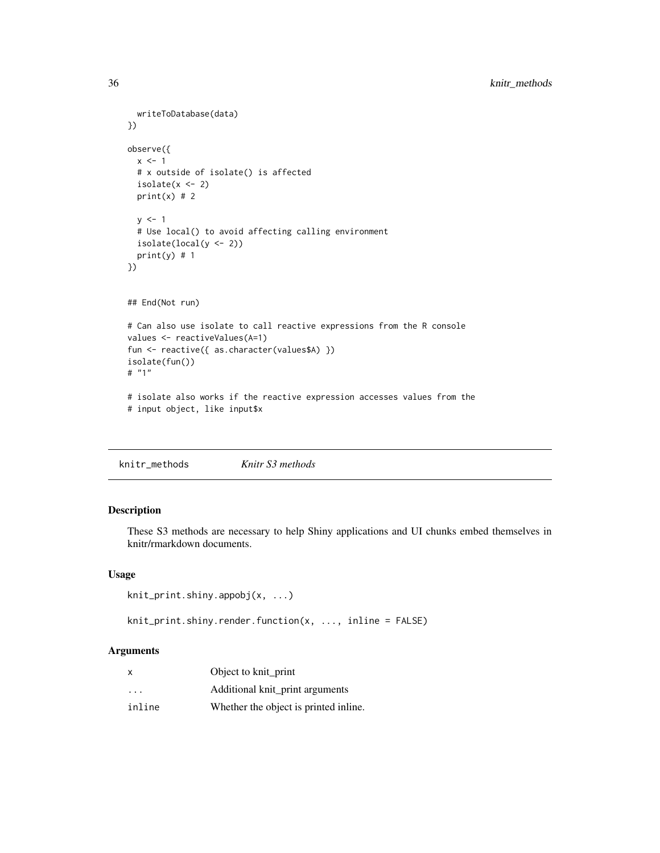```
writeToDatabase(data)
})
observe({
  x \le -1# x outside of isolate() is affected
  isolate(x < -2)print(x) # 2
  y \le -1# Use local() to avoid affecting calling environment
  isolate(local(y <- 2))
  print(y) # 1})
## End(Not run)
# Can also use isolate to call reactive expressions from the R console
values <- reactiveValues(A=1)
fun <- reactive({ as.character(values$A) })
isolate(fun())
# "1"
# isolate also works if the reactive expression accesses values from the
# input object, like input$x
```

|--|--|--|

These S3 methods are necessary to help Shiny applications and UI chunks embed themselves in knitr/rmarkdown documents.

# Usage

```
knit_print.shiny.appobj(x, ...)
```
knit\_print.shiny.render.function(x, ..., inline = FALSE)

# Arguments

| x                       | Object to knit_print                  |
|-------------------------|---------------------------------------|
| $\cdot$ $\cdot$ $\cdot$ | Additional knit_print arguments       |
| inline                  | Whether the object is printed inline. |

<span id="page-35-0"></span>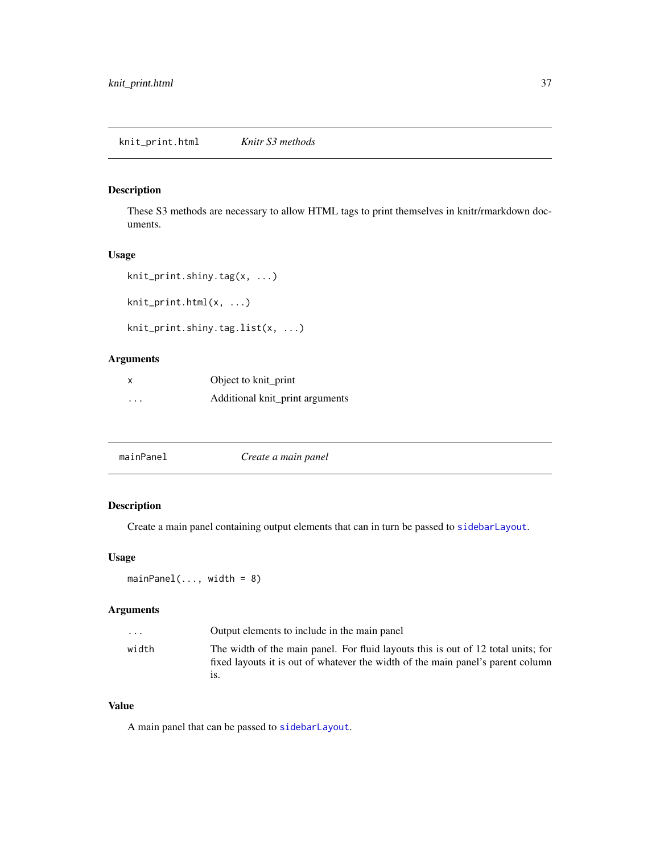These S3 methods are necessary to allow HTML tags to print themselves in knitr/rmarkdown documents.

# Usage

```
knit_print.shiny.tag(x, ...)
```
knit\_print.html(x, ...)

```
knit_print.shiny.tag.list(x, ...)
```
# Arguments

|          | Object to knit_print            |
|----------|---------------------------------|
| $\cdots$ | Additional knit_print arguments |

<span id="page-36-0"></span>

| mainPanel | Create a main panel |  |
|-----------|---------------------|--|
|           |                     |  |

# Description

Create a main panel containing output elements that can in turn be passed to [sidebarLayout](#page-83-0).

#### Usage

```
mainPanel(..., width = 8)
```
# Arguments

| $\cdots$ | Output elements to include in the main panel                                                                                                                         |
|----------|----------------------------------------------------------------------------------------------------------------------------------------------------------------------|
| width    | The width of the main panel. For fluid layouts this is out of 12 total units; for<br>fixed layouts it is out of whatever the width of the main panel's parent column |

# Value

A main panel that can be passed to [sidebarLayout](#page-83-0).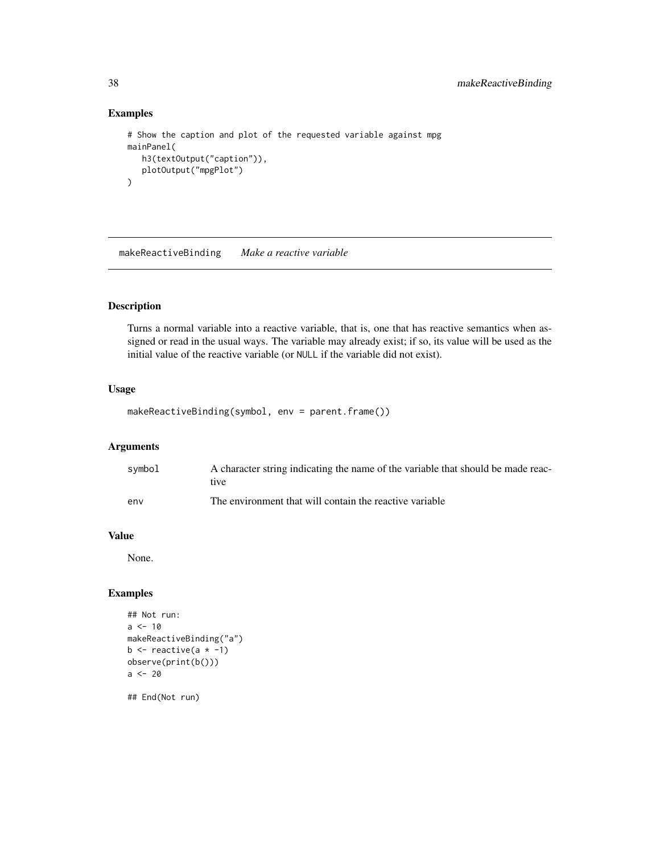# Examples

```
# Show the caption and plot of the requested variable against mpg
mainPanel(
  h3(textOutput("caption")),
  plotOutput("mpgPlot")
)
```
makeReactiveBinding *Make a reactive variable*

# Description

Turns a normal variable into a reactive variable, that is, one that has reactive semantics when assigned or read in the usual ways. The variable may already exist; if so, its value will be used as the initial value of the reactive variable (or NULL if the variable did not exist).

#### Usage

makeReactiveBinding(symbol, env = parent.frame())

# Arguments

| symbol | A character string indicating the name of the variable that should be made reac-<br>tive |
|--------|------------------------------------------------------------------------------------------|
| env    | The environment that will contain the reactive variable                                  |

#### Value

None.

# Examples

```
## Not run:
a < -10makeReactiveBinding("a")
b \leftarrow reactive(a \star -1)
observe(print(b()))
a < - 20
```
## End(Not run)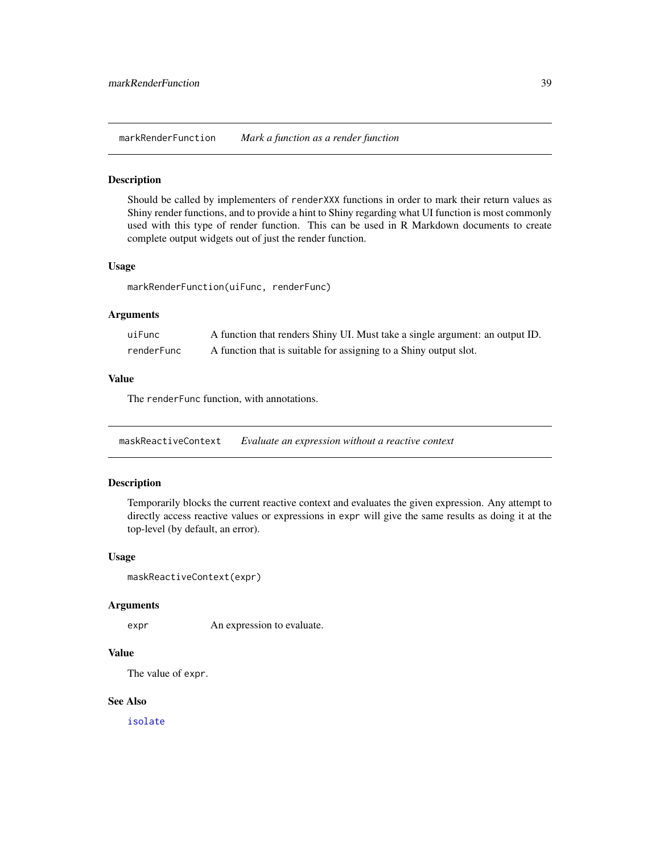markRenderFunction *Mark a function as a render function*

#### Description

Should be called by implementers of renderXXX functions in order to mark their return values as Shiny render functions, and to provide a hint to Shiny regarding what UI function is most commonly used with this type of render function. This can be used in R Markdown documents to create complete output widgets out of just the render function.

#### Usage

markRenderFunction(uiFunc, renderFunc)

#### Arguments

| uiFunc     | A function that renders Shiny UI. Must take a single argument: an output ID. |
|------------|------------------------------------------------------------------------------|
| renderFunc | A function that is suitable for assigning to a Shiny output slot.            |

# Value

The renderFunc function, with annotations.

maskReactiveContext *Evaluate an expression without a reactive context*

#### Description

Temporarily blocks the current reactive context and evaluates the given expression. Any attempt to directly access reactive values or expressions in expr will give the same results as doing it at the top-level (by default, an error).

#### Usage

```
maskReactiveContext(expr)
```
#### Arguments

expr An expression to evaluate.

#### Value

The value of expr.

#### See Also

[isolate](#page-34-0)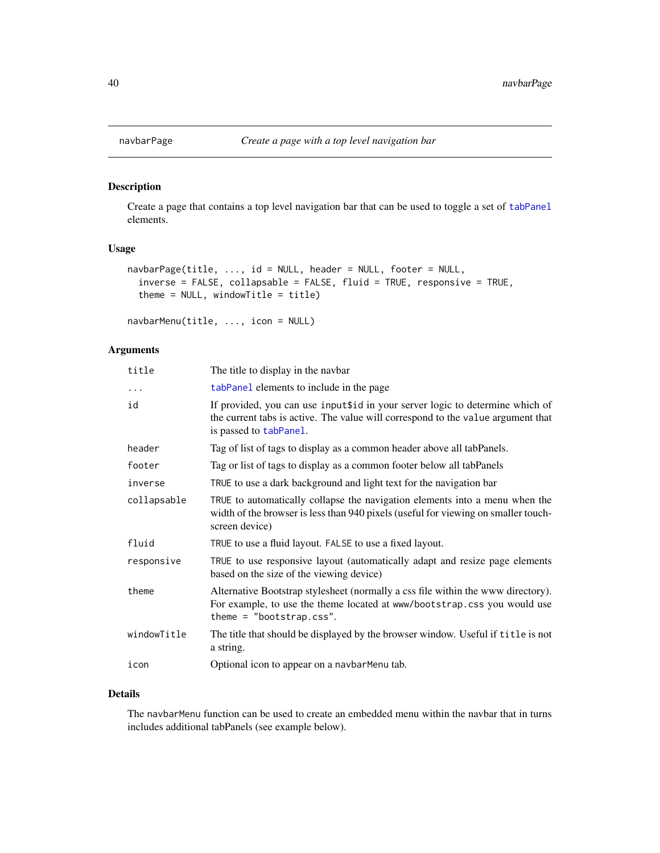Create a page that contains a top level navigation bar that can be used to toggle a set of [tabPanel](#page-90-0) elements.

# Usage

```
navbarPage(title, ..., id = NULL, header = NULL, footer = NULL,
  inverse = FALSE, collapsable = FALSE, fluid = TRUE, responsive = TRUE,
  theme = NULL, windowTitle = title)
```

```
navbarMenu(title, ..., icon = NULL)
```
# Arguments

| title       | The title to display in the navbar                                                                                                                                                         |
|-------------|--------------------------------------------------------------------------------------------------------------------------------------------------------------------------------------------|
| .           | tabPanel elements to include in the page                                                                                                                                                   |
| id          | If provided, you can use inputtid in your server logic to determine which of<br>the current tabs is active. The value will correspond to the value argument that<br>is passed to tabPanel. |
| header      | Tag of list of tags to display as a common header above all tabPanels.                                                                                                                     |
| footer      | Tag or list of tags to display as a common footer below all tabPanels                                                                                                                      |
| inverse     | TRUE to use a dark background and light text for the navigation bar                                                                                                                        |
| collapsable | TRUE to automatically collapse the navigation elements into a menu when the<br>width of the browser is less than 940 pixels (useful for viewing on smaller touch-<br>screen device)        |
| fluid       | TRUE to use a fluid layout. FALSE to use a fixed layout.                                                                                                                                   |
| responsive  | TRUE to use responsive layout (automatically adapt and resize page elements<br>based on the size of the viewing device)                                                                    |
| theme       | Alternative Bootstrap stylesheet (normally a css file within the www directory).<br>For example, to use the theme located at www/bootstrap.css you would use<br>theme = $"bootstrap.css".$ |
| windowTitle | The title that should be displayed by the browser window. Useful if title is not<br>a string.                                                                                              |
| icon        | Optional icon to appear on a navbarMenu tab.                                                                                                                                               |

#### Details

The navbarMenu function can be used to create an embedded menu within the navbar that in turns includes additional tabPanels (see example below).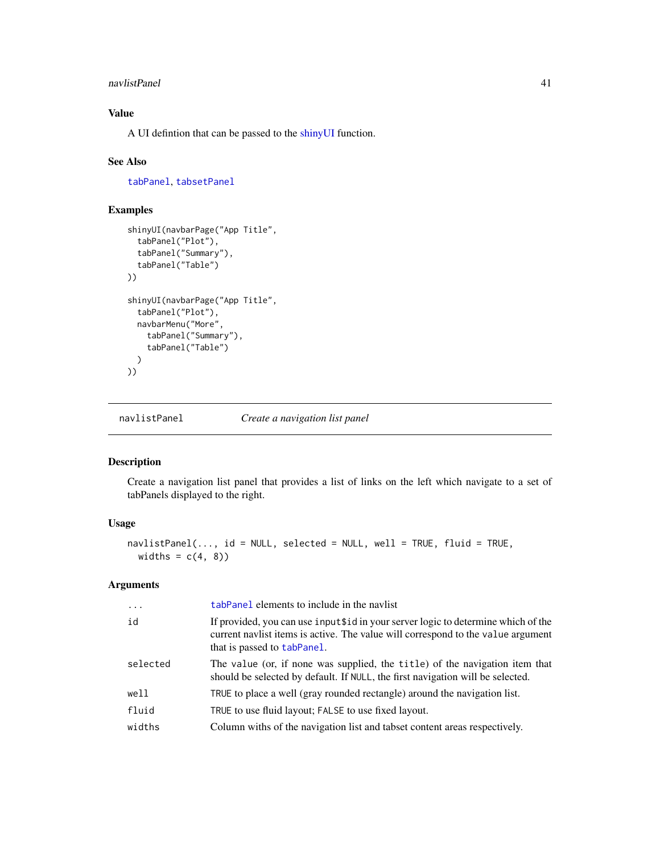#### navlistPanel 41

# Value

A UI defintion that can be passed to the [shinyUI](#page-82-0) function.

#### See Also

[tabPanel](#page-90-0), [tabsetPanel](#page-91-0)

#### Examples

```
shinyUI(navbarPage("App Title",
  tabPanel("Plot"),
  tabPanel("Summary"),
  tabPanel("Table")
))
shinyUI(navbarPage("App Title",
  tabPanel("Plot"),
  navbarMenu("More",
    tabPanel("Summary"),
    tabPanel("Table")
  )
))
```
navlistPanel *Create a navigation list panel*

# Description

Create a navigation list panel that provides a list of links on the left which navigate to a set of tabPanels displayed to the right.

### Usage

```
navlistPanel(..., id = NULL, selected = NULL, well = TRUE, fluid = TRUE,
 widths = c(4, 8))
```
#### Arguments

| $\ddots$ | tabPanel elements to include in the navlist                                                                                                                                                           |
|----------|-------------------------------------------------------------------------------------------------------------------------------------------------------------------------------------------------------|
| id       | If provided, you can use input \$10 in your server logic to determine which of the<br>current navlist items is active. The value will correspond to the value argument<br>that is passed to tabPanel. |
| selected | The value (or, if none was supplied, the title) of the navigation item that<br>should be selected by default. If NULL, the first navigation will be selected.                                         |
| well     | TRUE to place a well (gray rounded rectangle) around the navigation list.                                                                                                                             |
| fluid    | TRUE to use fluid layout; FALSE to use fixed layout.                                                                                                                                                  |
| widths   | Column withs of the navigation list and tabset content areas respectively.                                                                                                                            |
|          |                                                                                                                                                                                                       |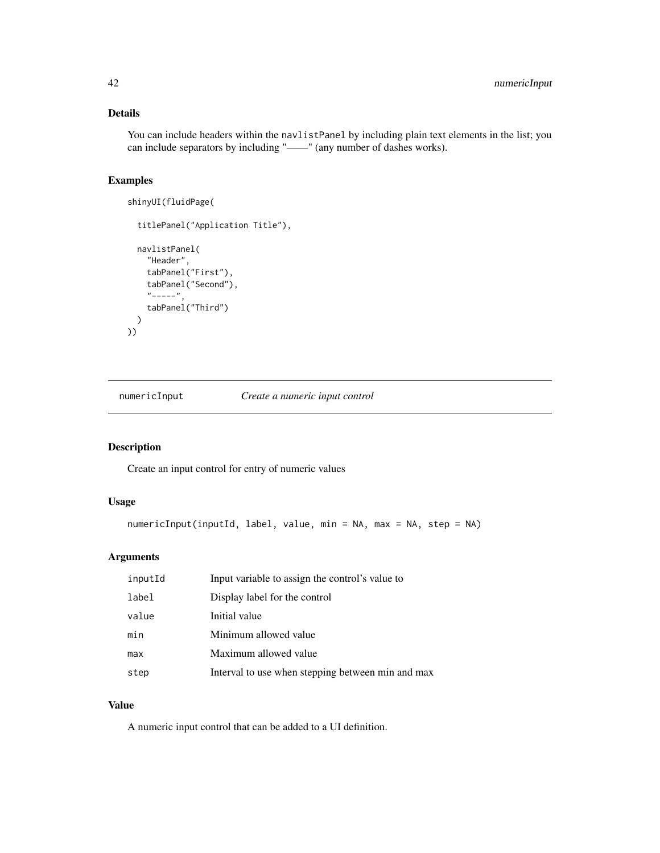# Details

You can include headers within the navlistPanel by including plain text elements in the list; you can include separators by including "——" (any number of dashes works).

# Examples

```
shinyUI(fluidPage(
```

```
titlePanel("Application Title"),
  navlistPanel(
    "Header",
    tabPanel("First"),
    tabPanel("Second"),
    "-----",
    tabPanel("Third")
  )
))
```
<span id="page-41-0"></span>numericInput *Create a numeric input control*

# Description

Create an input control for entry of numeric values

#### Usage

```
numericInput(inputId, label, value, min = NA, max = NA, step = NA)
```
# Arguments

| inputId | Input variable to assign the control's value to   |
|---------|---------------------------------------------------|
| label   | Display label for the control                     |
| value   | Initial value                                     |
| min     | Minimum allowed value                             |
| max     | Maximum allowed value                             |
| step    | Interval to use when stepping between min and max |

# Value

A numeric input control that can be added to a UI definition.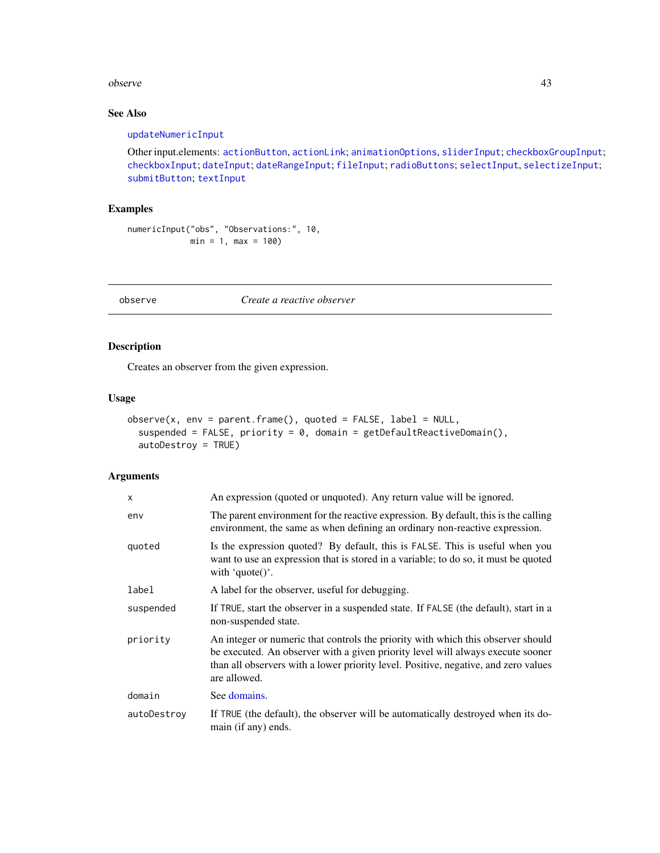#### observe 43

# See Also

#### [updateNumericInput](#page-100-0)

Other input.elements: [actionButton](#page-5-0), [actionLink](#page-5-1); [animationOptions](#page-85-0), [sliderInput](#page-85-1); [checkboxGroupInput](#page-9-0); [checkboxInput](#page-10-0); [dateInput](#page-14-0); [dateRangeInput](#page-15-0); [fileInput](#page-21-0); [radioButtons](#page-50-0); [selectInput](#page-75-0), [selectizeInput](#page-75-1); [submitButton](#page-88-0); [textInput](#page-93-0)

# Examples

```
numericInput("obs", "Observations:", 10,
            min = 1, max = 100
```
# observe *Create a reactive observer*

# Description

Creates an observer from the given expression.

#### Usage

```
observe(x, env = parent.frame(), quoted = FALSE, label = NULL,
  suspended = FALSE, priority = 0, domain = getDefaultReactiveDomain(),
  autoDestroy = TRUE)
```
#### Arguments

| x           | An expression (quoted or unquoted). Any return value will be ignored.                                                                                                                                                                                                      |
|-------------|----------------------------------------------------------------------------------------------------------------------------------------------------------------------------------------------------------------------------------------------------------------------------|
| env         | The parent environment for the reactive expression. By default, this is the calling<br>environment, the same as when defining an ordinary non-reactive expression.                                                                                                         |
| quoted      | Is the expression quoted? By default, this is FALSE. This is useful when you<br>want to use an expression that is stored in a variable; to do so, it must be quoted<br>with 'quote()'.                                                                                     |
| label       | A label for the observer, useful for debugging.                                                                                                                                                                                                                            |
| suspended   | If TRUE, start the observer in a suspended state. If FALSE (the default), start in a<br>non-suspended state.                                                                                                                                                               |
| priority    | An integer or numeric that controls the priority with which this observer should<br>be executed. An observer with a given priority level will always execute sooner<br>than all observers with a lower priority level. Positive, negative, and zero values<br>are allowed. |
| domain      | See domains.                                                                                                                                                                                                                                                               |
| autoDestroy | If TRUE (the default), the observer will be automatically destroyed when its do-<br>main (if any) ends.                                                                                                                                                                    |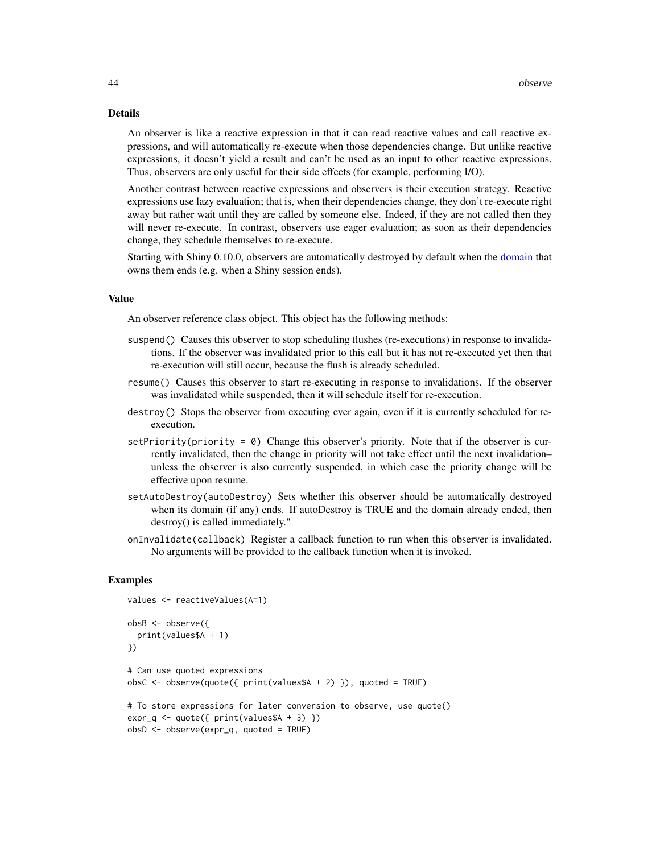#### Details

An observer is like a reactive expression in that it can read reactive values and call reactive expressions, and will automatically re-execute when those dependencies change. But unlike reactive expressions, it doesn't yield a result and can't be used as an input to other reactive expressions. Thus, observers are only useful for their side effects (for example, performing I/O).

Another contrast between reactive expressions and observers is their execution strategy. Reactive expressions use lazy evaluation; that is, when their dependencies change, they don't re-execute right away but rather wait until they are called by someone else. Indeed, if they are not called then they will never re-execute. In contrast, observers use eager evaluation; as soon as their dependencies change, they schedule themselves to re-execute.

Starting with Shiny 0.10.0, observers are automatically destroyed by default when the [domain](#page-17-0) that owns them ends (e.g. when a Shiny session ends).

#### Value

An observer reference class object. This object has the following methods:

- suspend() Causes this observer to stop scheduling flushes (re-executions) in response to invalidations. If the observer was invalidated prior to this call but it has not re-executed yet then that re-execution will still occur, because the flush is already scheduled.
- resume() Causes this observer to start re-executing in response to invalidations. If the observer was invalidated while suspended, then it will schedule itself for re-execution.
- destroy() Stops the observer from executing ever again, even if it is currently scheduled for reexecution.
- setPriority(priority =  $\theta$ ) Change this observer's priority. Note that if the observer is currently invalidated, then the change in priority will not take effect until the next invalidation– unless the observer is also currently suspended, in which case the priority change will be effective upon resume.
- setAutoDestroy(autoDestroy) Sets whether this observer should be automatically destroyed when its domain (if any) ends. If autoDestroy is TRUE and the domain already ended, then destroy() is called immediately."
- onInvalidate(callback) Register a callback function to run when this observer is invalidated. No arguments will be provided to the callback function when it is invoked.

```
values <- reactiveValues(A=1)
obsB <- observe({
 print(values$A + 1)
})
# Can use quoted expressions
obsC <- observe(quote({ print(values$A + 2) }), quoted = TRUE)
# To store expressions for later conversion to observe, use quote()
expr_q \leftarrow quote({\{ print(values\A + 3)\})
obsD <- observe(expr_q, quoted = TRUE)
```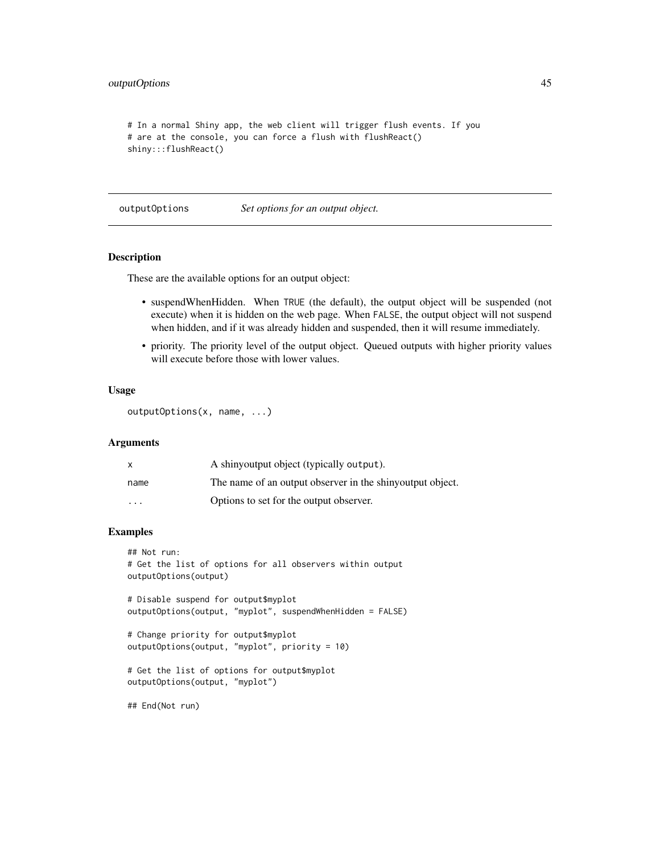# outputOptions 45

```
# In a normal Shiny app, the web client will trigger flush events. If you
# are at the console, you can force a flush with flushReact()
shiny:::flushReact()
```
outputOptions *Set options for an output object.*

# Description

These are the available options for an output object:

- suspendWhenHidden. When TRUE (the default), the output object will be suspended (not execute) when it is hidden on the web page. When FALSE, the output object will not suspend when hidden, and if it was already hidden and suspended, then it will resume immediately.
- priority. The priority level of the output object. Queued outputs with higher priority values will execute before those with lower values.

### Usage

```
outputOptions(x, name, ...)
```
# Arguments

|                         | A shinyoutput object (typically output).                  |
|-------------------------|-----------------------------------------------------------|
| name                    | The name of an output observer in the shinyoutput object. |
| $\cdot$ $\cdot$ $\cdot$ | Options to set for the output observer.                   |

# Examples

```
## Not run:
# Get the list of options for all observers within output
outputOptions(output)
# Disable suspend for output$myplot
outputOptions(output, "myplot", suspendWhenHidden = FALSE)
```

```
# Change priority for output$myplot
outputOptions(output, "myplot", priority = 10)
```

```
# Get the list of options for output$myplot
outputOptions(output, "myplot")
```
## End(Not run)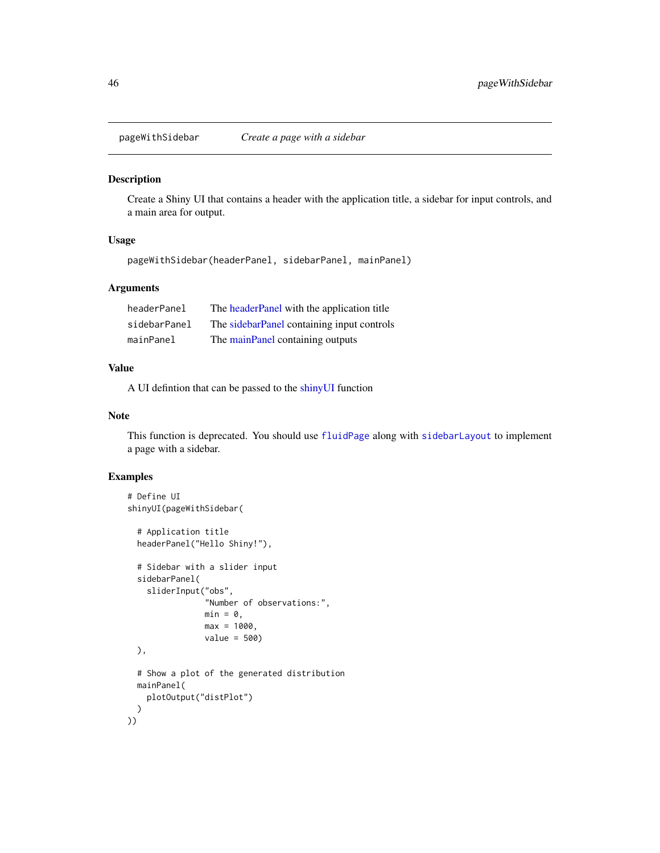Create a Shiny UI that contains a header with the application title, a sidebar for input controls, and a main area for output.

#### Usage

pageWithSidebar(headerPanel, sidebarPanel, mainPanel)

# Arguments

| headerPanel  | The headerPanel with the application title |
|--------------|--------------------------------------------|
| sidebarPanel | The sidebarPanel containing input controls |
| mainPanel    | The mainPanel containing outputs           |

# Value

A UI defintion that can be passed to the [shinyUI](#page-82-0) function

# Note

This function is deprecated. You should use [fluidPage](#page-24-0) along with [sidebarLayout](#page-83-0) to implement a page with a sidebar.

```
# Define UI
shinyUI(pageWithSidebar(
  # Application title
  headerPanel("Hello Shiny!"),
  # Sidebar with a slider input
  sidebarPanel(
    sliderInput("obs",
                "Number of observations:",
                min = 0.
                max = 1000,
                value = 500)
  ),
  # Show a plot of the generated distribution
  mainPanel(
    plotOutput("distPlot")
  \lambda))
```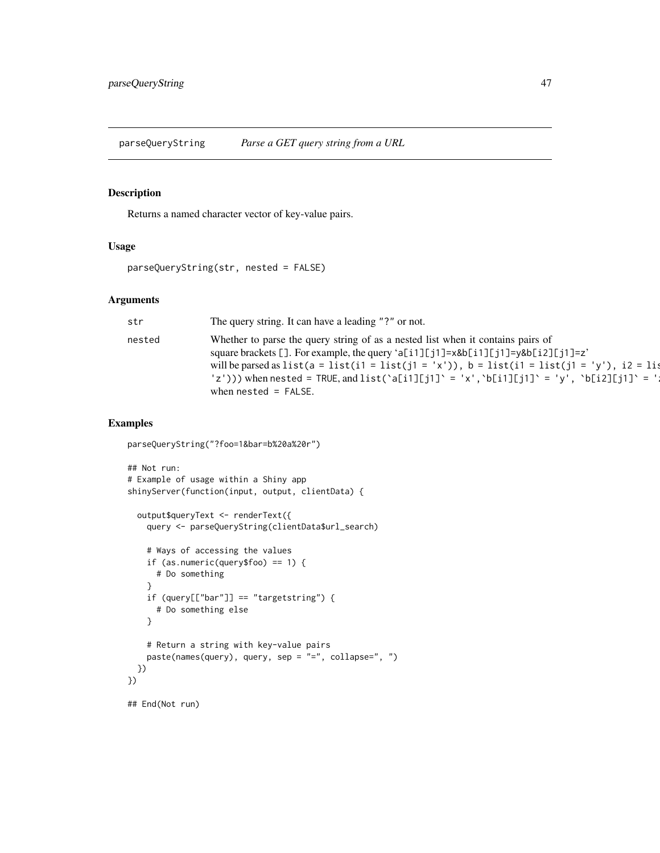parseQueryString *Parse a GET query string from a URL*

# Description

Returns a named character vector of key-value pairs.

# Usage

parseQueryString(str, nested = FALSE)

#### Arguments

| str    | The query string. It can have a leading "?" or not.                                                                                                                                                                                                                                                                                                                                                    |
|--------|--------------------------------------------------------------------------------------------------------------------------------------------------------------------------------------------------------------------------------------------------------------------------------------------------------------------------------------------------------------------------------------------------------|
| nested | Whether to parse the query string of as a nested list when it contains pairs of<br>square brackets []. For example, the query 'a[i1][j1]=x&b[i1][j1]=y&b[i2][j1]=z'<br>will be parsed as list( $a = list(i1 = list(j1 = 'x'))$ , $b = list(i1 = list(j1 = 'y'))$ , $i2 = li3$<br>'z'))) when nested = TRUE, and list('a[i1][j1]' = 'x', 'b[i1][j1]' = 'y', 'b[i2][j1]' = '!<br>when $nested = FALSE$ . |

```
parseQueryString("?foo=1&bar=b%20a%20r")
```

```
## Not run:
# Example of usage within a Shiny app
shinyServer(function(input, output, clientData) {
 output$queryText <- renderText({
   query <- parseQueryString(clientData$url_search)
   # Ways of accessing the values
   if (as.numeric(query$foo) == 1) {
     # Do something
    }
   if (query[["bar"]] == "targetstring") {
     # Do something else
    }
   # Return a string with key-value pairs
   paste(names(query), query, sep = "=", collapse=", ")
 })
})
## End(Not run)
```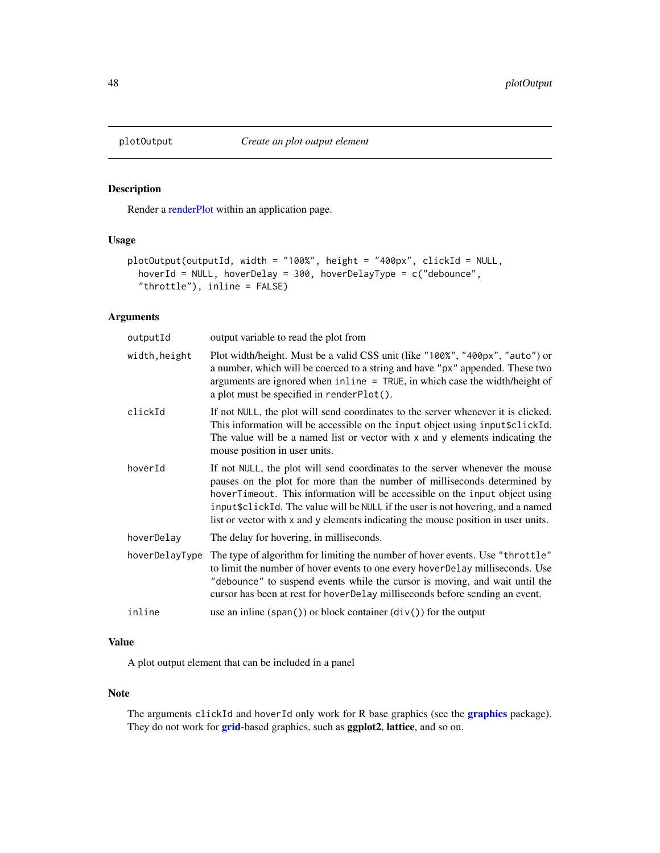Render a [renderPlot](#page-65-0) within an application page.

# Usage

```
plotOutput(outputId, width = "100%", height = "400px", clickId = NULL,
  hoverId = NULL, hoverDelay = 300, hoverDelayType = c("debounce",
  "throttle"), inline = FALSE)
```
# Arguments

| outputId       | output variable to read the plot from                                                                                                                                                                                                                                                                                                                                                                             |
|----------------|-------------------------------------------------------------------------------------------------------------------------------------------------------------------------------------------------------------------------------------------------------------------------------------------------------------------------------------------------------------------------------------------------------------------|
| width, height  | Plot width/height. Must be a valid CSS unit (like "100%", "400px", "auto") or<br>a number, which will be coerced to a string and have "px" appended. These two<br>arguments are ignored when inline = TRUE, in which case the width/height of<br>a plot must be specified in renderPlot().                                                                                                                        |
| clickId        | If not NULL, the plot will send coordinates to the server whenever it is clicked.<br>This information will be accessible on the input object using input \$clickId.<br>The value will be a named list or vector with x and y elements indicating the<br>mouse position in user units.                                                                                                                             |
| hoverId        | If not NULL, the plot will send coordinates to the server whenever the mouse<br>pauses on the plot for more than the number of milliseconds determined by<br>hoverTimeout. This information will be accessible on the input object using<br>input \$clickId. The value will be NULL if the user is not hovering, and a named<br>list or vector with x and y elements indicating the mouse position in user units. |
| hoverDelay     | The delay for hovering, in milliseconds.                                                                                                                                                                                                                                                                                                                                                                          |
| hoverDelayType | The type of algorithm for limiting the number of hover events. Use "throttle"<br>to limit the number of hover events to one every hover Delay milliseconds. Use<br>"debounce" to suspend events while the cursor is moving, and wait until the<br>cursor has been at rest for hoverDelay milliseconds before sending an event.                                                                                    |
| inline         | use an inline $(\text{span}() )$ or block container $(\text{div}() )$ for the output                                                                                                                                                                                                                                                                                                                              |

# Value

A plot output element that can be included in a panel

# Note

The arguments clickId and hoverId only work for R base [graphics](#page-0-0) (see the **graphics** package). They do not work for [grid](#page-0-0)-based graphics, such as ggplot2, lattice, and so on.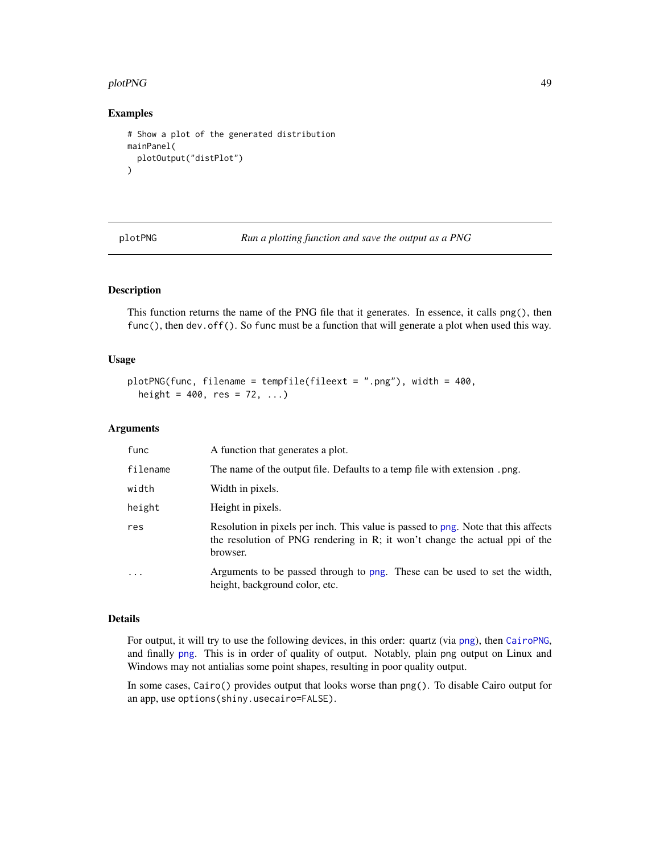#### plotPNG 49

#### Examples

```
# Show a plot of the generated distribution
mainPanel(
  plotOutput("distPlot")
)
```
plotPNG *Run a plotting function and save the output as a PNG*

# Description

This function returns the name of the PNG file that it generates. In essence, it calls png(), then func(), then dev.off(). So func must be a function that will generate a plot when used this way.

#### Usage

```
plotPNG(func, filename = tempfile(fileext = ".png"), width = 400,
  height = 400, res = 72, ...)
```
#### Arguments

| func     | A function that generates a plot.                                                                                                                                             |
|----------|-------------------------------------------------------------------------------------------------------------------------------------------------------------------------------|
| filename | The name of the output file. Defaults to a temp file with extension . png.                                                                                                    |
| width    | Width in pixels.                                                                                                                                                              |
| height   | Height in pixels.                                                                                                                                                             |
| res      | Resolution in pixels per inch. This value is passed to png. Note that this affects<br>the resolution of PNG rendering in R; it won't change the actual ppi of the<br>browser. |
| $\cdot$  | Arguments to be passed through to png. These can be used to set the width,<br>height, background color, etc.                                                                  |

#### Details

For output, it will try to use the following devices, in this order: quartz (via [png](#page-0-0)), then [CairoPNG](#page-0-0), and finally [png](#page-0-0). This is in order of quality of output. Notably, plain png output on Linux and Windows may not antialias some point shapes, resulting in poor quality output.

In some cases, Cairo() provides output that looks worse than png(). To disable Cairo output for an app, use options(shiny.usecairo=FALSE).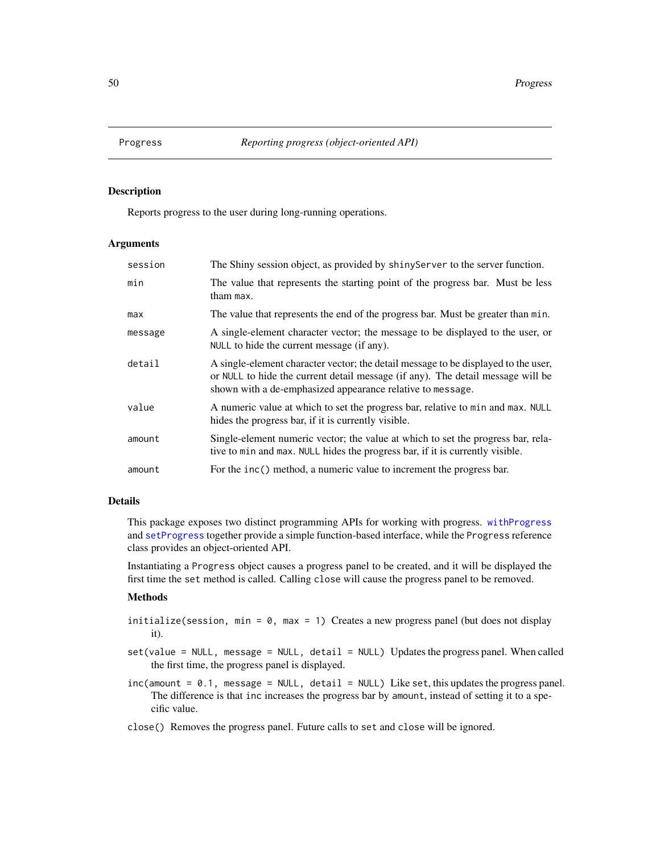Reports progress to the user during long-running operations.

#### Arguments

| session | The Shiny session object, as provided by shinyServer to the server function.                                                                                                                                                        |
|---------|-------------------------------------------------------------------------------------------------------------------------------------------------------------------------------------------------------------------------------------|
| min     | The value that represents the starting point of the progress bar. Must be less<br>tham max.                                                                                                                                         |
| max     | The value that represents the end of the progress bar. Must be greater than min.                                                                                                                                                    |
| message | A single-element character vector; the message to be displayed to the user, or<br>NULL to hide the current message (if any).                                                                                                        |
| detail  | A single-element character vector; the detail message to be displayed to the user,<br>or NULL to hide the current detail message (if any). The detail message will be<br>shown with a de-emphasized appearance relative to message. |
| value   | A numeric value at which to set the progress bar, relative to min and max. NULL<br>hides the progress bar, if it is currently visible.                                                                                              |
| amount  | Single-element numeric vector; the value at which to set the progress bar, rela-<br>tive to min and max. NULL hides the progress bar, if it is currently visible.                                                                   |
| amount  | For the inc() method, a numeric value to increment the progress bar.                                                                                                                                                                |

# Details

This package exposes two distinct programming APIs for working with progress. [withProgress](#page-112-0) and [setProgress](#page-112-1) together provide a simple function-based interface, while the Progress reference class provides an object-oriented API.

Instantiating a Progress object causes a progress panel to be created, and it will be displayed the first time the set method is called. Calling close will cause the progress panel to be removed.

# Methods

- $initialize(session, min = 0, max = 1)$  Creates a new progress panel (but does not display it).
- set(value = NULL, message = NULL, detail = NULL) Updates the progress panel. When called the first time, the progress panel is displayed.
- inc(amount = 0.1, message = NULL, detail = NULL) Like set, this updates the progress panel. The difference is that inc increases the progress bar by amount, instead of setting it to a specific value.
- close() Removes the progress panel. Future calls to set and close will be ignored.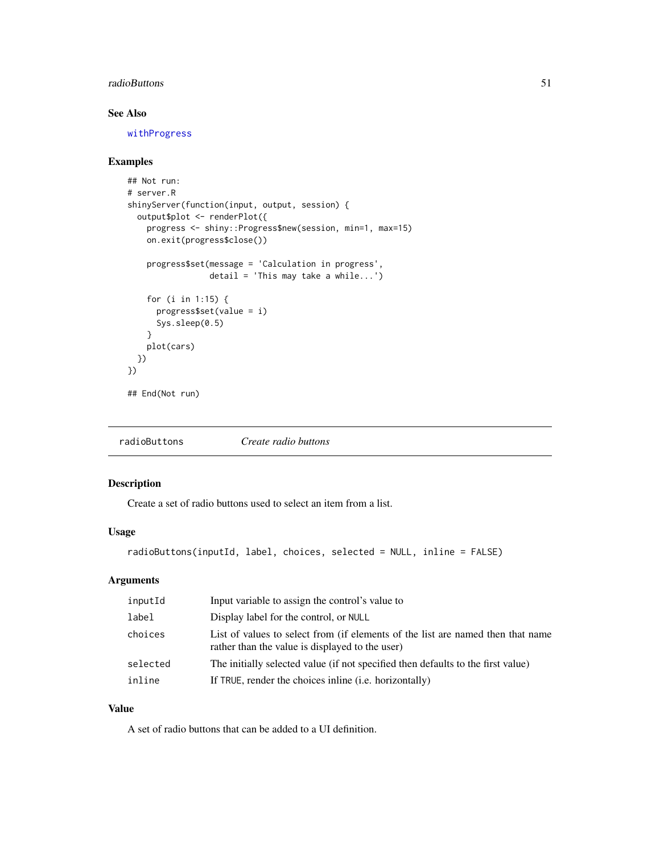# radioButtons 51

# See Also

[withProgress](#page-112-0)

# Examples

```
## Not run:
# server.R
shinyServer(function(input, output, session) {
  output$plot <- renderPlot({
   progress <- shiny::Progress$new(session, min=1, max=15)
   on.exit(progress$close())
    progress$set(message = 'Calculation in progress',
                 detail = 'This may take a while...')
    for (i in 1:15) {
      progress$set(value = i)
      Sys.sleep(0.5)
    }
   plot(cars)
 })
})
## End(Not run)
```
<span id="page-50-0"></span>

| radioButtons | Create radio buttons |  |
|--------------|----------------------|--|
|--------------|----------------------|--|

# Description

Create a set of radio buttons used to select an item from a list.

# Usage

```
radioButtons(inputId, label, choices, selected = NULL, inline = FALSE)
```
# Arguments

| inputId  | Input variable to assign the control's value to                                                                                    |
|----------|------------------------------------------------------------------------------------------------------------------------------------|
| label    | Display label for the control, or NULL                                                                                             |
| choices  | List of values to select from (if elements of the list are named then that name<br>rather than the value is displayed to the user) |
| selected | The initially selected value (if not specified then defaults to the first value)                                                   |
| inline   | If TRUE, render the choices in line ( <i>i.e.</i> horizontally)                                                                    |

# Value

A set of radio buttons that can be added to a UI definition.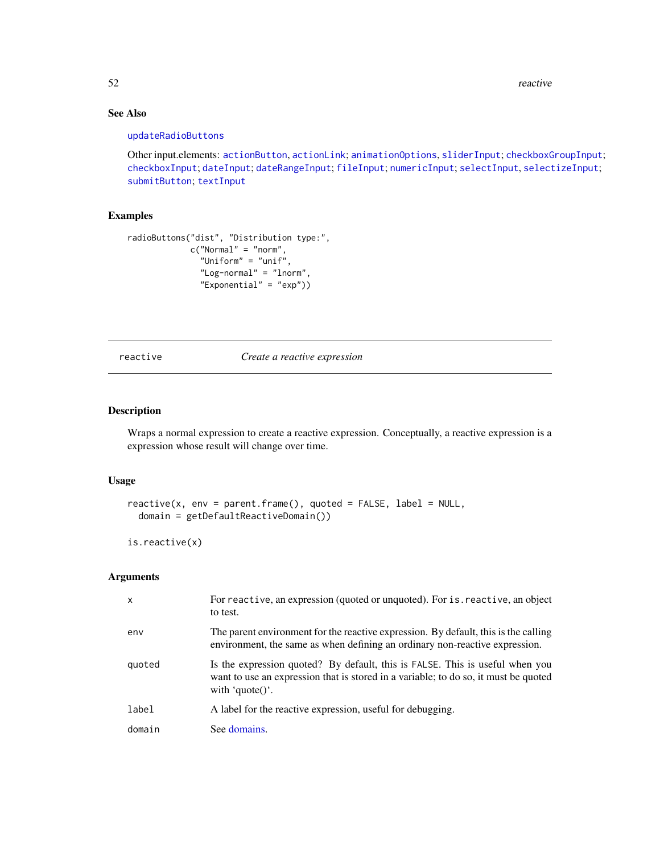52 reactive contract to the contract of the contract of the contract of the contract of the contract of the contract of the contract of the contract of the contract of the contract of the contract of the contract of the co

# See Also

#### [updateRadioButtons](#page-101-0)

Other input.elements: [actionButton](#page-5-0), [actionLink](#page-5-1); [animationOptions](#page-85-0), [sliderInput](#page-85-1); [checkboxGroupInput](#page-9-0); [checkboxInput](#page-10-0); [dateInput](#page-14-0); [dateRangeInput](#page-15-0); [fileInput](#page-21-0); [numericInput](#page-41-0); [selectInput](#page-75-0), [selectizeInput](#page-75-1); [submitButton](#page-88-0); [textInput](#page-93-0)

# Examples

```
radioButtons("dist", "Distribution type:",
             c("Normal" = "norm",
               "Uniform" = "unif",
               "Log-normal" = "lnorm",
               "Exponential" = "exp"))
```
<span id="page-51-0"></span>reactive *Create a reactive expression*

# Description

Wraps a normal expression to create a reactive expression. Conceptually, a reactive expression is a expression whose result will change over time.

# Usage

```
reactive(x, env = parent-frame(), quoted = FALSE, label = NULL,domain = getDefaultReactiveDomain())
```

```
is.reactive(x)
```
#### Arguments

| $\mathsf{x}$ | For reactive, an expression (quoted or unquoted). For is reactive, an object<br>to test.                                                                                               |
|--------------|----------------------------------------------------------------------------------------------------------------------------------------------------------------------------------------|
| env          | The parent environment for the reactive expression. By default, this is the calling<br>environment, the same as when defining an ordinary non-reactive expression.                     |
| quoted       | Is the expression quoted? By default, this is FALSE. This is useful when you<br>want to use an expression that is stored in a variable; to do so, it must be quoted<br>with 'quote()'. |
| label        | A label for the reactive expression, useful for debugging.                                                                                                                             |
| domain       | See domains.                                                                                                                                                                           |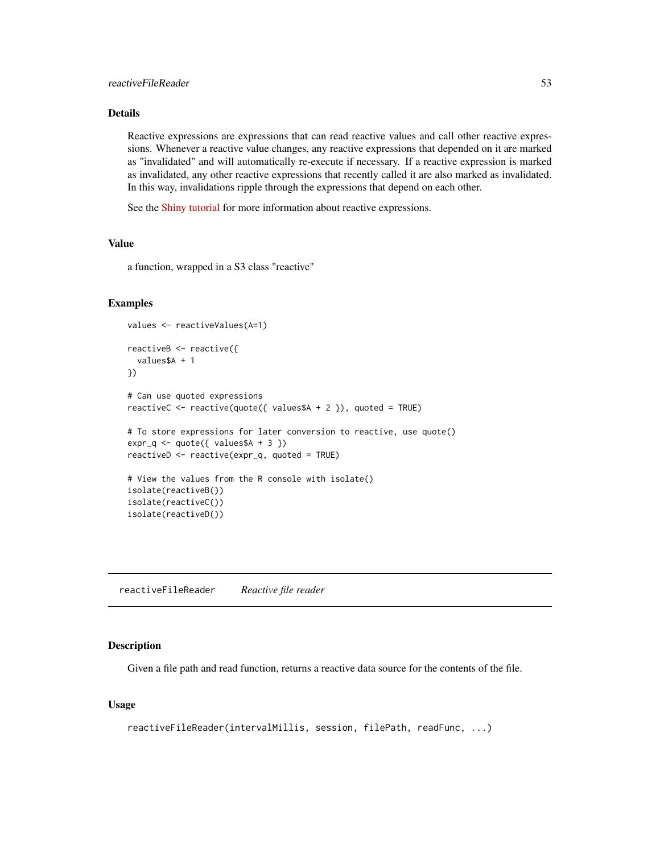# Details

Reactive expressions are expressions that can read reactive values and call other reactive expressions. Whenever a reactive value changes, any reactive expressions that depended on it are marked as "invalidated" and will automatically re-execute if necessary. If a reactive expression is marked as invalidated, any other reactive expressions that recently called it are also marked as invalidated. In this way, invalidations ripple through the expressions that depend on each other.

See the [Shiny tutorial](http://rstudio.github.com/shiny/tutorial/) for more information about reactive expressions.

# Value

a function, wrapped in a S3 class "reactive"

# Examples

```
values <- reactiveValues(A=1)
reactiveB <- reactive({
  values$A + 1
})
# Can use quoted expressions
reactiveC <- reactive(quote({ values$A + 2 }), quoted = TRUE)
# To store expressions for later conversion to reactive, use quote()
expr_q \leftarrow quote({\{ values\AA + 3 \}})reactiveD <- reactive(expr_q, quoted = TRUE)
# View the values from the R console with isolate()
isolate(reactiveB())
isolate(reactiveC())
isolate(reactiveD())
```
<span id="page-52-0"></span>reactiveFileReader *Reactive file reader*

# Description

Given a file path and read function, returns a reactive data source for the contents of the file.

#### Usage

```
reactiveFileReader(intervalMillis, session, filePath, readFunc, ...)
```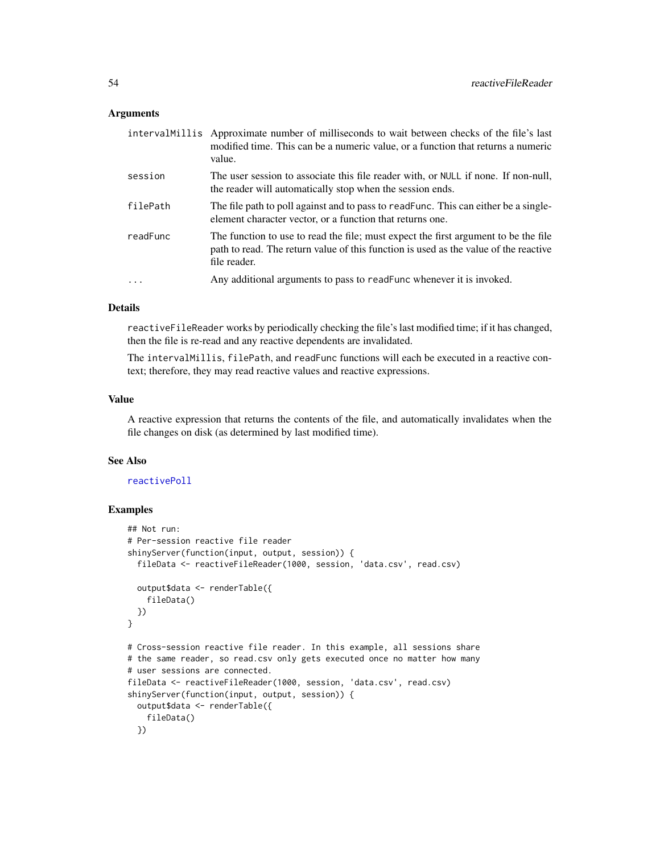#### Arguments

|          | intervalMillis Approximate number of milliseconds to wait between checks of the file's last<br>modified time. This can be a numeric value, or a function that returns a numeric<br>value.   |
|----------|---------------------------------------------------------------------------------------------------------------------------------------------------------------------------------------------|
| session  | The user session to associate this file reader with, or NULL if none. If non-null,<br>the reader will automatically stop when the session ends.                                             |
| filePath | The file path to poll against and to pass to readFunc. This can either be a single-<br>element character vector, or a function that returns one.                                            |
| readFunc | The function to use to read the file; must expect the first argument to be the file<br>path to read. The return value of this function is used as the value of the reactive<br>file reader. |
| $\ddots$ | Any additional arguments to pass to read Func whenever it is invoked.                                                                                                                       |

# Details

reactiveFileReader works by periodically checking the file's last modified time; if it has changed, then the file is re-read and any reactive dependents are invalidated.

The intervalMillis, filePath, and readFunc functions will each be executed in a reactive context; therefore, they may read reactive values and reactive expressions.

#### Value

A reactive expression that returns the contents of the file, and automatically invalidates when the file changes on disk (as determined by last modified time).

# See Also

#### [reactivePoll](#page-54-0)

```
## Not run:
# Per-session reactive file reader
shinyServer(function(input, output, session)) {
 fileData <- reactiveFileReader(1000, session, 'data.csv', read.csv)
 output$data <- renderTable({
   fileData()
 })
}
# Cross-session reactive file reader. In this example, all sessions share
# the same reader, so read.csv only gets executed once no matter how many
# user sessions are connected.
fileData <- reactiveFileReader(1000, session, 'data.csv', read.csv)
shinyServer(function(input, output, session)) {
 output$data <- renderTable({
   fileData()
 })
```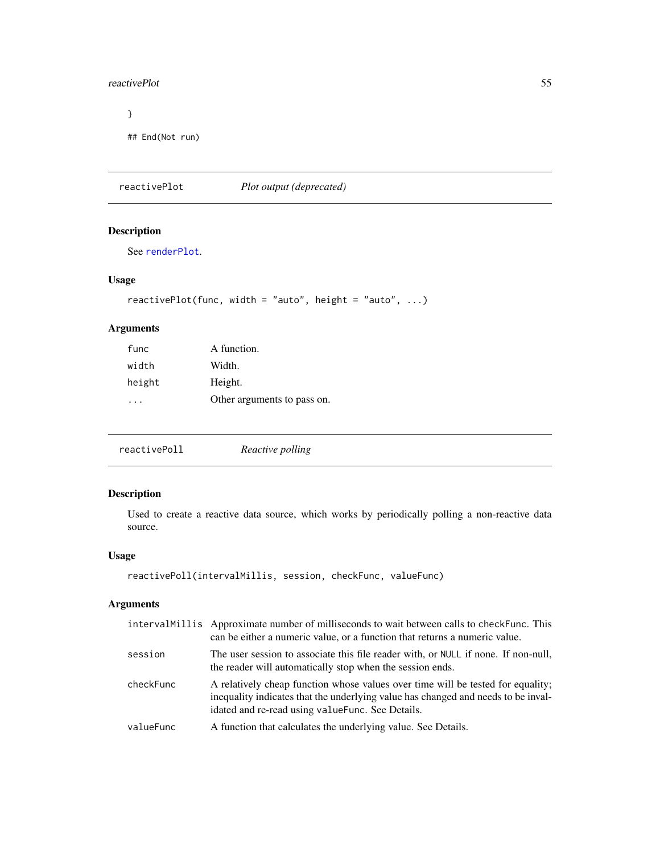#### reactivePlot 55

# } ## End(Not run)

reactivePlot *Plot output (deprecated)*

# Description

See [renderPlot](#page-65-0).

# Usage

```
reactivePlot(func, width = "auto", height = "auto", \ldots)
```
# Arguments

| A function.                 |
|-----------------------------|
| Width.                      |
| Height.                     |
| Other arguments to pass on. |
|                             |

<span id="page-54-0"></span>

| reactivePoll | Reactive polling |  |
|--------------|------------------|--|
|              |                  |  |

# Description

Used to create a reactive data source, which works by periodically polling a non-reactive data source.

# Usage

```
reactivePoll(intervalMillis, session, checkFunc, valueFunc)
```
# Arguments

|           | intervalMillis Approximate number of milliseconds to wait between calls to checkFunc. This<br>can be either a numeric value, or a function that returns a numeric value.                                                  |
|-----------|---------------------------------------------------------------------------------------------------------------------------------------------------------------------------------------------------------------------------|
| session   | The user session to associate this file reader with, or NULL if none. If non-null,<br>the reader will automatically stop when the session ends.                                                                           |
| checkFunc | A relatively cheap function whose values over time will be tested for equality;<br>inequality indicates that the underlying value has changed and needs to be inval-<br>idated and re-read using value Func. See Details. |
| valueFunc | A function that calculates the underlying value. See Details.                                                                                                                                                             |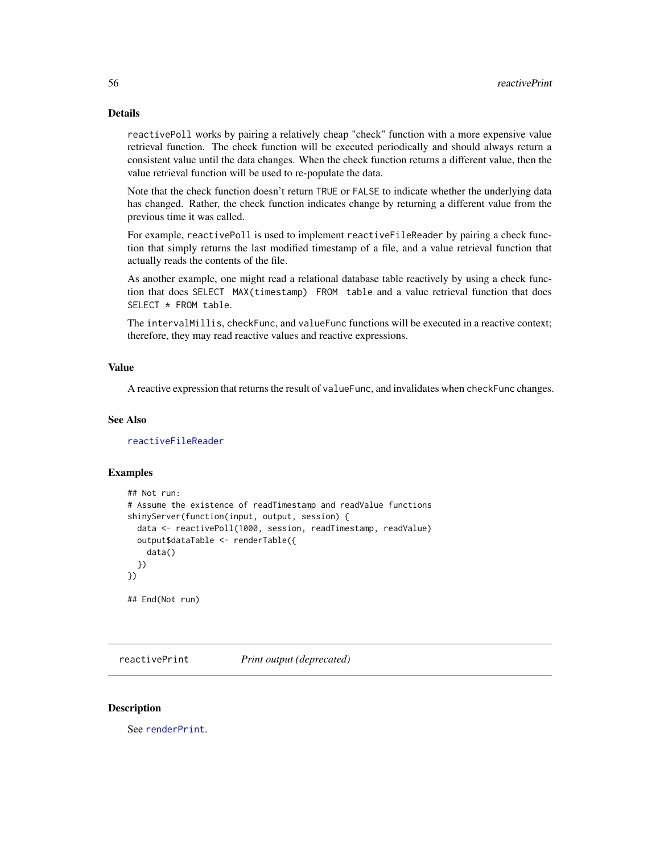#### Details

reactivePoll works by pairing a relatively cheap "check" function with a more expensive value retrieval function. The check function will be executed periodically and should always return a consistent value until the data changes. When the check function returns a different value, then the value retrieval function will be used to re-populate the data.

Note that the check function doesn't return TRUE or FALSE to indicate whether the underlying data has changed. Rather, the check function indicates change by returning a different value from the previous time it was called.

For example, reactivePoll is used to implement reactiveFileReader by pairing a check function that simply returns the last modified timestamp of a file, and a value retrieval function that actually reads the contents of the file.

As another example, one might read a relational database table reactively by using a check function that does SELECT MAX(timestamp) FROM table and a value retrieval function that does SELECT \* FROM table.

The intervalMillis, checkFunc, and valueFunc functions will be executed in a reactive context; therefore, they may read reactive values and reactive expressions.

# Value

A reactive expression that returns the result of valueFunc, and invalidates when checkFunc changes.

#### See Also

[reactiveFileReader](#page-52-0)

#### Examples

```
## Not run:
# Assume the existence of readTimestamp and readValue functions
shinyServer(function(input, output, session) {
 data <- reactivePoll(1000, session, readTimestamp, readValue)
 output$dataTable <- renderTable({
    data()
 })
})
## End(Not run)
```
reactivePrint *Print output (deprecated)*

#### **Description**

See [renderPrint](#page-66-0).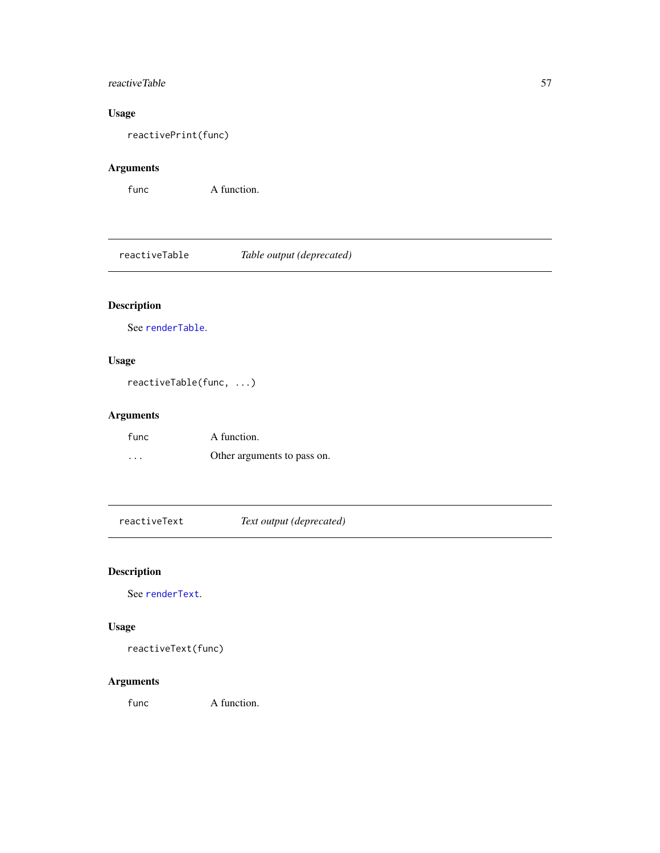# reactiveTable 57

# Usage

reactivePrint(func)

# Arguments

```
func A function.
```
reactiveTable *Table output (deprecated)*

# Description

See [renderTable](#page-68-0).

# Usage

reactiveTable(func, ...)

# Arguments

| func     | A function.                 |
|----------|-----------------------------|
| $\cdots$ | Other arguments to pass on. |

reactiveText *Text output (deprecated)*

# Description

See [renderText](#page-68-1).

# Usage

```
reactiveText(func)
```
# Arguments

func A function.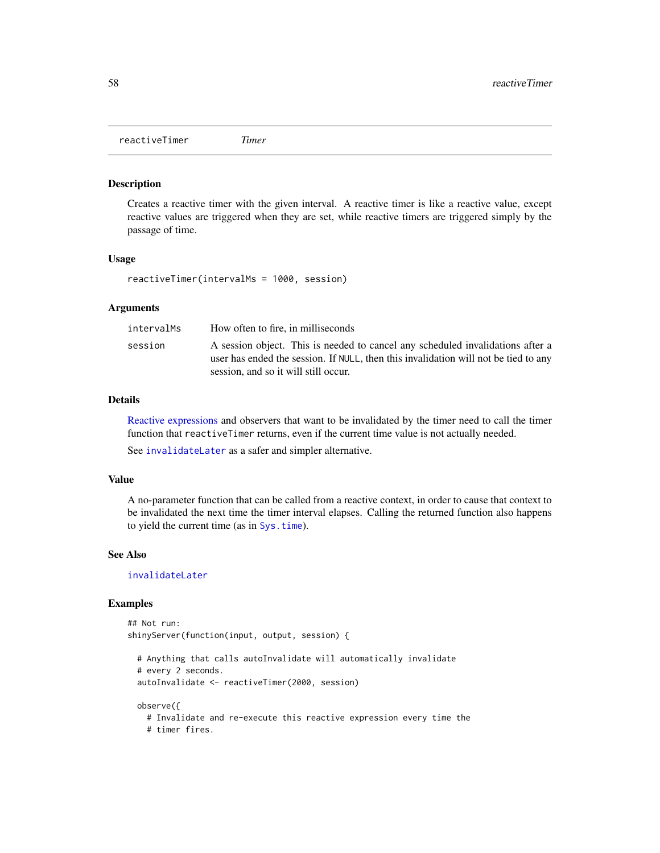reactiveTimer *Timer*

#### Description

Creates a reactive timer with the given interval. A reactive timer is like a reactive value, except reactive values are triggered when they are set, while reactive timers are triggered simply by the passage of time.

#### Usage

reactiveTimer(intervalMs = 1000, session)

# Arguments

| intervalMs | How often to fire, in milliseconds                                                                                                                                                                            |
|------------|---------------------------------------------------------------------------------------------------------------------------------------------------------------------------------------------------------------|
| session    | A session object. This is needed to cancel any scheduled invalidations after a<br>user has ended the session. If NULL, then this invalidation will not be tied to any<br>session, and so it will still occur. |

#### Details

[Reactive expressions](#page-51-0) and observers that want to be invalidated by the timer need to call the timer function that reactiveTimer returns, even if the current time value is not actually needed.

See [invalidateLater](#page-32-0) as a safer and simpler alternative.

#### Value

A no-parameter function that can be called from a reactive context, in order to cause that context to be invalidated the next time the timer interval elapses. Calling the returned function also happens to yield the current time (as in [Sys.time](#page-0-0)).

#### See Also

[invalidateLater](#page-32-0)

```
## Not run:
shinyServer(function(input, output, session) {
```

```
# Anything that calls autoInvalidate will automatically invalidate
# every 2 seconds.
autoInvalidate <- reactiveTimer(2000, session)
```

```
observe({
  # Invalidate and re-execute this reactive expression every time the
  # timer fires.
```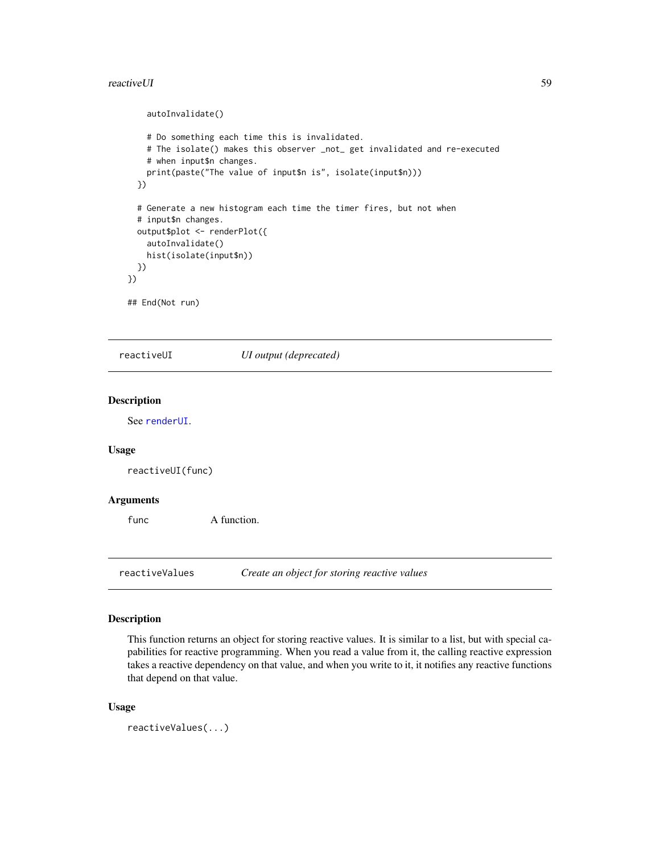#### reactiveUI 59

```
autoInvalidate()
   # Do something each time this is invalidated.
    # The isolate() makes this observer _not_ get invalidated and re-executed
   # when input$n changes.
   print(paste("The value of input$n is", isolate(input$n)))
 })
 # Generate a new histogram each time the timer fires, but not when
 # input$n changes.
 output$plot <- renderPlot({
   autoInvalidate()
   hist(isolate(input$n))
 })
})
## End(Not run)
```
reactiveUI *UI output (deprecated)*

#### Description

See [renderUI](#page-70-0).

# Usage

reactiveUI(func)

#### Arguments

func A function.

reactiveValues *Create an object for storing reactive values*

#### Description

This function returns an object for storing reactive values. It is similar to a list, but with special capabilities for reactive programming. When you read a value from it, the calling reactive expression takes a reactive dependency on that value, and when you write to it, it notifies any reactive functions that depend on that value.

#### Usage

reactiveValues(...)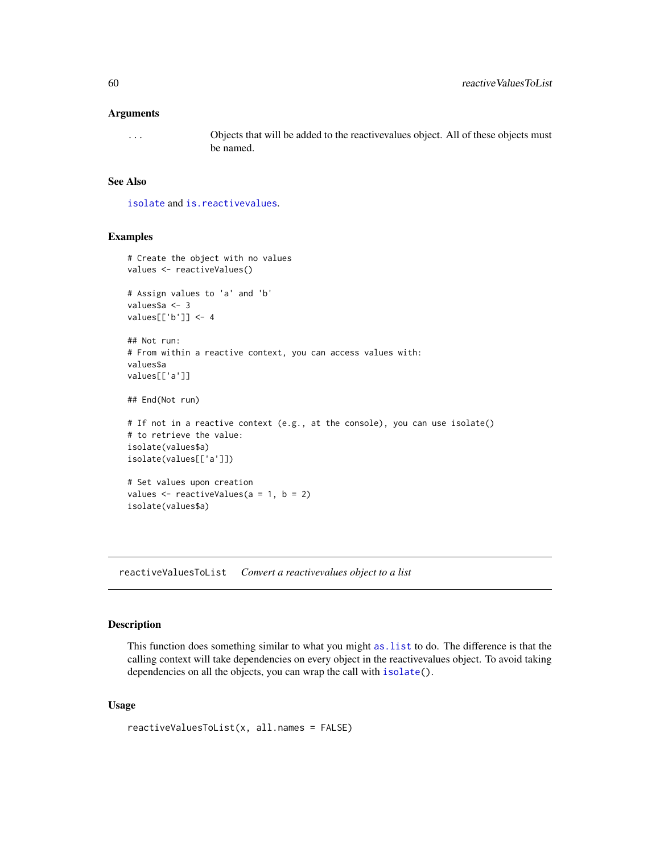#### Arguments

... Objects that will be added to the reactivevalues object. All of these objects must be named.

#### See Also

[isolate](#page-34-0) and [is.reactivevalues](#page-33-0).

# Examples

```
# Create the object with no values
values <- reactiveValues()
# Assign values to 'a' and 'b'
values$a <- 3
values[['b']] <- 4
## Not run:
# From within a reactive context, you can access values with:
values$a
values[['a']]
## End(Not run)
# If not in a reactive context (e.g., at the console), you can use isolate()
# to retrieve the value:
isolate(values$a)
isolate(values[['a']])
# Set values upon creation
values \le reactiveValues(a = 1, b = 2)
isolate(values$a)
```
reactiveValuesToList *Convert a reactivevalues object to a list*

# Description

This function does something similar to what you might [as.list](#page-0-0) to do. The difference is that the calling context will take dependencies on every object in the reactivevalues object. To avoid taking dependencies on all the objects, you can wrap the call with [isolate\(](#page-34-0)).

# Usage

```
reactiveValuesToList(x, all.names = FALSE)
```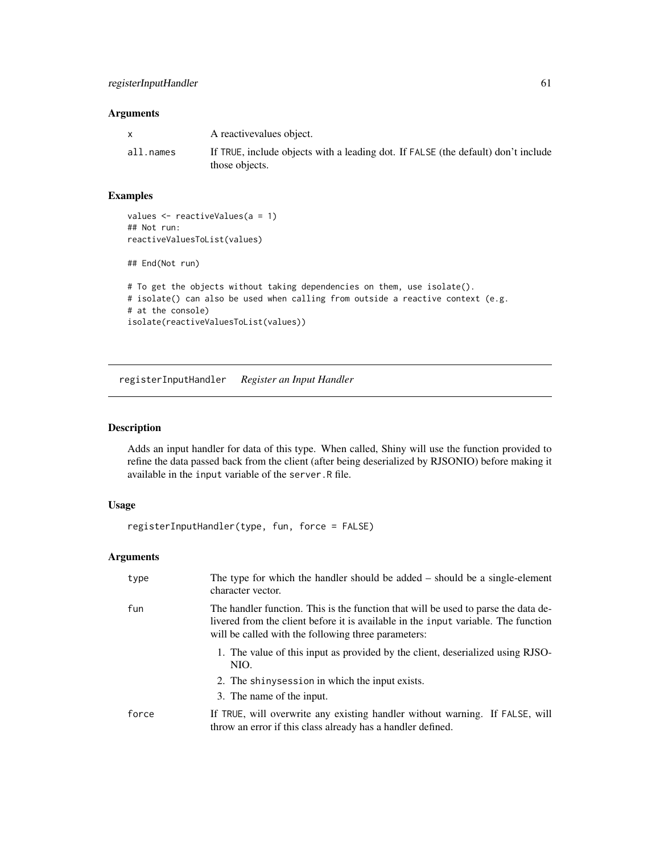# Arguments

|           | A reactive values object.                                                                           |
|-----------|-----------------------------------------------------------------------------------------------------|
| all.names | If TRUE, include objects with a leading dot. If FALSE (the default) don't include<br>those objects. |

# Examples

```
values <- reactiveValues(a = 1)
## Not run:
reactiveValuesToList(values)
## End(Not run)
# To get the objects without taking dependencies on them, use isolate().
# isolate() can also be used when calling from outside a reactive context (e.g.
# at the console)
isolate(reactiveValuesToList(values))
```
<span id="page-60-0"></span>registerInputHandler *Register an Input Handler*

# Description

Adds an input handler for data of this type. When called, Shiny will use the function provided to refine the data passed back from the client (after being deserialized by RJSONIO) before making it available in the input variable of the server.R file.

# Usage

```
registerInputHandler(type, fun, force = FALSE)
```
# Arguments

| type  | The type for which the handler should be added $-$ should be a single-element<br>character vector.                                                                                                                              |
|-------|---------------------------------------------------------------------------------------------------------------------------------------------------------------------------------------------------------------------------------|
| fun   | The handler function. This is the function that will be used to parse the data de-<br>livered from the client before it is available in the input variable. The function<br>will be called with the following three parameters: |
|       | 1. The value of this input as provided by the client, desertalized using RJSO-<br>NIO.                                                                                                                                          |
|       | 2. The shiny session in which the input exists.<br>3. The name of the input.                                                                                                                                                    |
| force | If TRUE, will overwrite any existing handler without warning. If FALSE, will<br>throw an error if this class already has a handler defined.                                                                                     |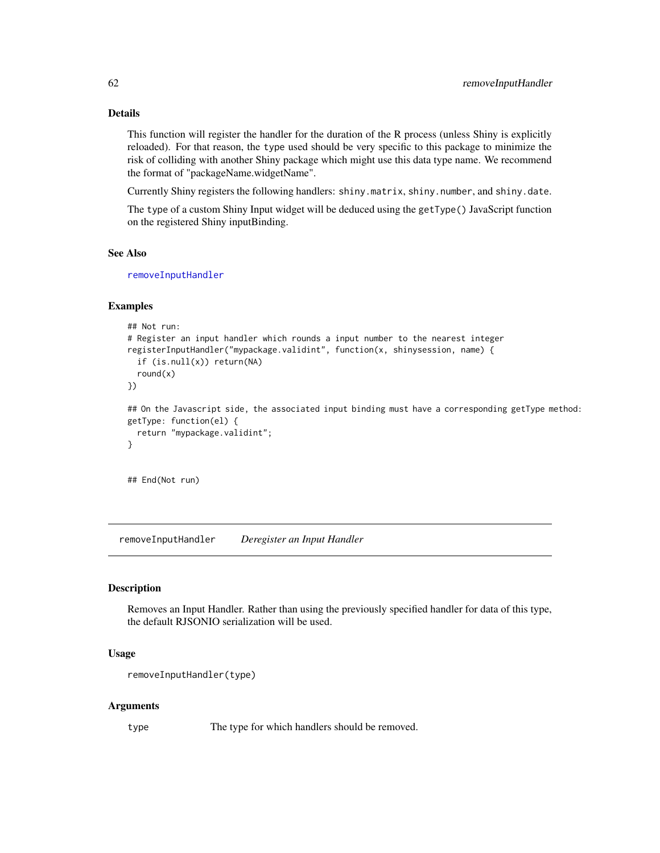# Details

This function will register the handler for the duration of the R process (unless Shiny is explicitly reloaded). For that reason, the type used should be very specific to this package to minimize the risk of colliding with another Shiny package which might use this data type name. We recommend the format of "packageName.widgetName".

Currently Shiny registers the following handlers: shiny.matrix, shiny.number, and shiny.date.

The type of a custom Shiny Input widget will be deduced using the getType() JavaScript function on the registered Shiny inputBinding.

#### See Also

[removeInputHandler](#page-61-0)

#### Examples

```
## Not run:
# Register an input handler which rounds a input number to the nearest integer
registerInputHandler("mypackage.validint", function(x, shinysession, name) {
  if (is.null(x)) return(NA)
  round(x)
})
## On the Javascript side, the associated input binding must have a corresponding getType method:
getType: function(el) {
  return "mypackage.validint";
}
```
## End(Not run)

<span id="page-61-0"></span>removeInputHandler *Deregister an Input Handler*

#### Description

Removes an Input Handler. Rather than using the previously specified handler for data of this type, the default RJSONIO serialization will be used.

#### Usage

```
removeInputHandler(type)
```
#### Arguments

type The type for which handlers should be removed.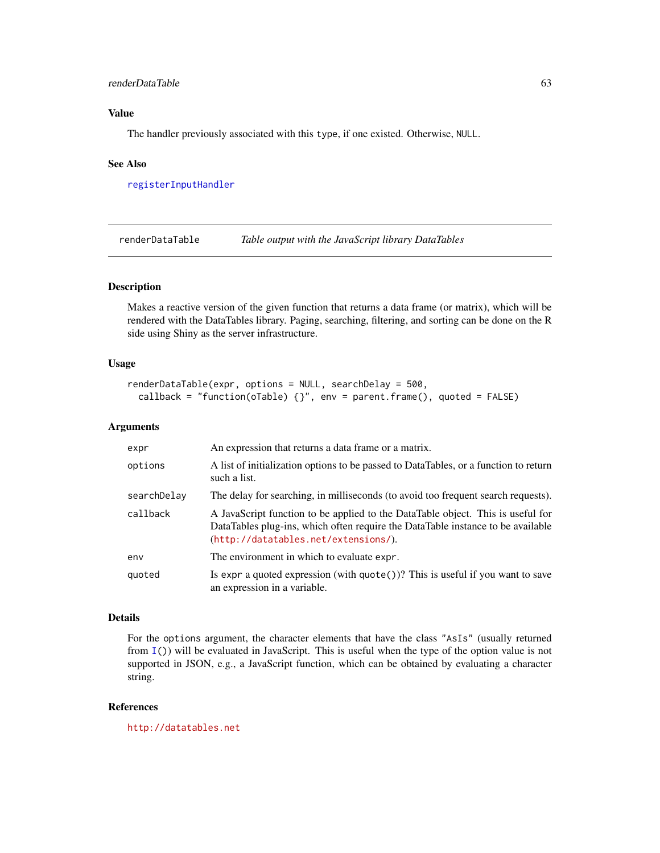#### renderDataTable 63

# Value

The handler previously associated with this type, if one existed. Otherwise, NULL.

#### See Also

[registerInputHandler](#page-60-0)

renderDataTable *Table output with the JavaScript library DataTables*

#### Description

Makes a reactive version of the given function that returns a data frame (or matrix), which will be rendered with the DataTables library. Paging, searching, filtering, and sorting can be done on the R side using Shiny as the server infrastructure.

#### Usage

```
renderDataTable(expr, options = NULL, searchDelay = 500,
 callback = "function(oTable) {}", env = parent.frame(), quoted = FALSE)
```
# Arguments

| expr        | An expression that returns a data frame or a matrix.                                                                                                                                                       |
|-------------|------------------------------------------------------------------------------------------------------------------------------------------------------------------------------------------------------------|
| options     | A list of initialization options to be passed to DataTables, or a function to return<br>such a list.                                                                                                       |
| searchDelay | The delay for searching, in milliseconds (to avoid too frequent search requests).                                                                                                                          |
| callback    | A JavaScript function to be applied to the DataTable object. This is useful for<br>DataTables plug-ins, which often require the DataTable instance to be available<br>(http://datatables.net/extensions/). |
| env         | The environment in which to evaluate expr.                                                                                                                                                                 |
| quoted      | Is expr a quoted expression (with $\text{quote}()$ )? This is useful if you want to save<br>an expression in a variable.                                                                                   |

#### Details

For the options argument, the character elements that have the class "AsIs" (usually returned from [I\(](#page-0-0))) will be evaluated in JavaScript. This is useful when the type of the option value is not supported in JSON, e.g., a JavaScript function, which can be obtained by evaluating a character string.

#### References

<http://datatables.net>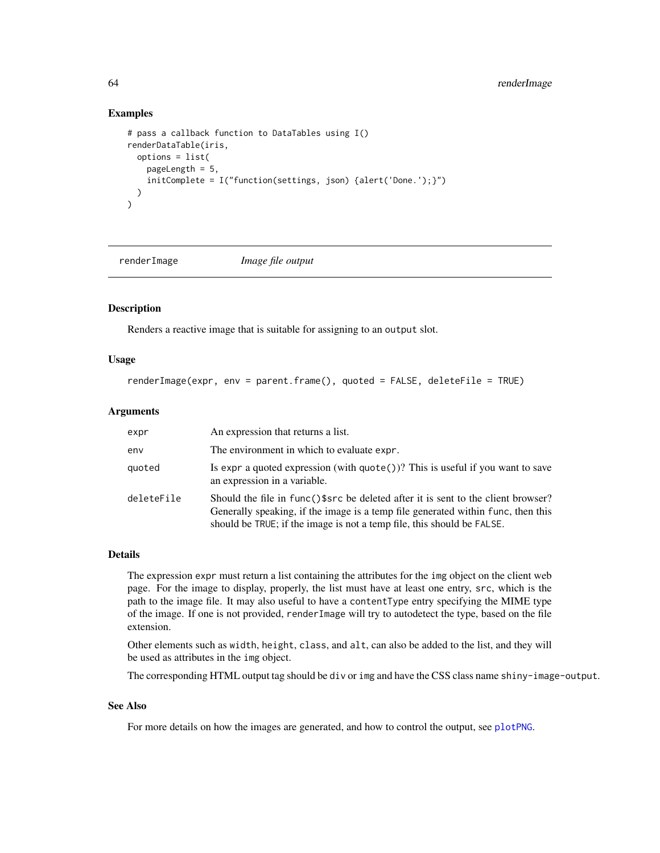#### Examples

```
# pass a callback function to DataTables using I()
renderDataTable(iris,
 options = list(
   pageLength = 5,
   initComplete = I("function(settings, json) {alert('Done.');}")
 )
)
```
renderImage *Image file output*

# Description

Renders a reactive image that is suitable for assigning to an output slot.

# Usage

```
renderImage(expr, env = parent.frame(), quoted = FALSE, deleteFile = TRUE)
```
#### Arguments

| expr       | An expression that returns a list.                                                                                                                                                                                                              |
|------------|-------------------------------------------------------------------------------------------------------------------------------------------------------------------------------------------------------------------------------------------------|
| env        | The environment in which to evaluate expr.                                                                                                                                                                                                      |
| quoted     | Is expr a quoted expression (with $\text{quote}()$ )? This is useful if you want to save<br>an expression in a variable.                                                                                                                        |
| deleteFile | Should the file in func()\$src be deleted after it is sent to the client browser?<br>Generally speaking, if the image is a temp file generated within func, then this<br>should be TRUE; if the image is not a temp file, this should be FALSE. |

#### Details

The expression expr must return a list containing the attributes for the img object on the client web page. For the image to display, properly, the list must have at least one entry, src, which is the path to the image file. It may also useful to have a contentType entry specifying the MIME type of the image. If one is not provided, renderImage will try to autodetect the type, based on the file extension.

Other elements such as width, height, class, and alt, can also be added to the list, and they will be used as attributes in the img object.

The corresponding HTML output tag should be div or img and have the CSS class name shiny-image-output.

# See Also

For more details on how the images are generated, and how to control the output, see [plotPNG](#page-48-0).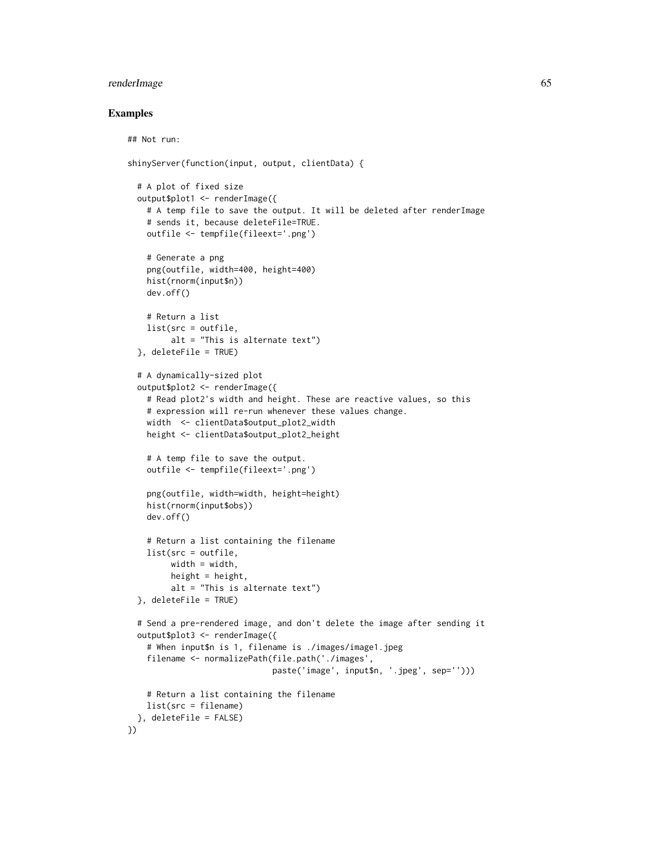# renderImage 65

```
## Not run:
shinyServer(function(input, output, clientData) {
 # A plot of fixed size
 output$plot1 <- renderImage({
    # A temp file to save the output. It will be deleted after renderImage
    # sends it, because deleteFile=TRUE.
   outfile <- tempfile(fileext='.png')
    # Generate a png
   png(outfile, width=400, height=400)
   hist(rnorm(input$n))
   dev.off()
    # Return a list
   list(src = outfile,
         alt = "This is alternate text")
 }, deleteFile = TRUE)
 # A dynamically-sized plot
 output$plot2 <- renderImage({
    # Read plot2's width and height. These are reactive values, so this
    # expression will re-run whenever these values change.
   width <- clientData$output_plot2_width
   height <- clientData$output_plot2_height
    # A temp file to save the output.
    outfile <- tempfile(fileext='.png')
    png(outfile, width=width, height=height)
   hist(rnorm(input$obs))
   dev.off()
    # Return a list containing the filename
   list(src = outfile,
        width = width,
        height = height,
        alt = "This is alternate text")
 }, deleteFile = TRUE)
 # Send a pre-rendered image, and don't delete the image after sending it
 output$plot3 <- renderImage({
    # When input$n is 1, filename is ./images/image1.jpeg
    filename <- normalizePath(file.path('./images',
                              paste('image', input$n, '.jpeg', sep='')))
    # Return a list containing the filename
   list(src = filename)
 }, deleteFile = FALSE)
})
```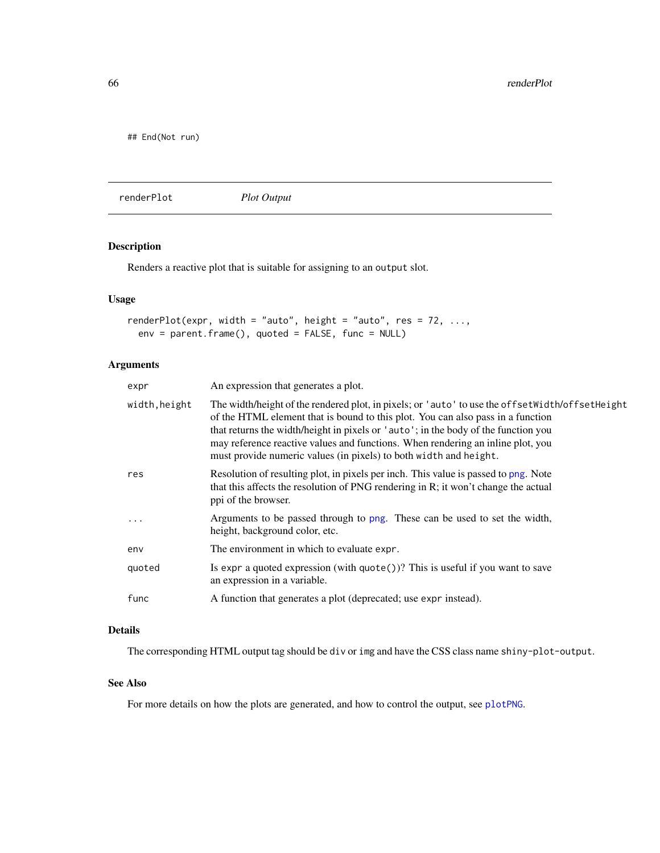## End(Not run)

<span id="page-65-0"></span>renderPlot *Plot Output*

# Description

Renders a reactive plot that is suitable for assigning to an output slot.

# Usage

```
renderPlot(expr, width = "auto", height = "auto", res = 72, ...,
 env = parent.frame(), quoted = FALSE, func = NULL)
```
# Arguments

| expr          | An expression that generates a plot.                                                                                                                                                                                                                                                                                                                                                                                               |
|---------------|------------------------------------------------------------------------------------------------------------------------------------------------------------------------------------------------------------------------------------------------------------------------------------------------------------------------------------------------------------------------------------------------------------------------------------|
| width, height | The width/height of the rendered plot, in pixels; or 'auto' to use the offset Nidth/offset Height<br>of the HTML element that is bound to this plot. You can also pass in a function<br>that returns the width/height in pixels or 'auto'; in the body of the function you<br>may reference reactive values and functions. When rendering an inline plot, you<br>must provide numeric values (in pixels) to both width and height. |
| res           | Resolution of resulting plot, in pixels per inch. This value is passed to png. Note<br>that this affects the resolution of PNG rendering in R; it won't change the actual<br>ppi of the browser.                                                                                                                                                                                                                                   |
| .             | Arguments to be passed through to png. These can be used to set the width,<br>height, background color, etc.                                                                                                                                                                                                                                                                                                                       |
| env           | The environment in which to evaluate expr.                                                                                                                                                                                                                                                                                                                                                                                         |
| quoted        | Is expr a quoted expression (with quote $()$ )? This is useful if you want to save<br>an expression in a variable.                                                                                                                                                                                                                                                                                                                 |
| func          | A function that generates a plot (deprecated; use expr instead).                                                                                                                                                                                                                                                                                                                                                                   |
|               |                                                                                                                                                                                                                                                                                                                                                                                                                                    |

# Details

The corresponding HTML output tag should be div or img and have the CSS class name shiny-plot-output.

#### See Also

For more details on how the plots are generated, and how to control the output, see [plotPNG](#page-48-0).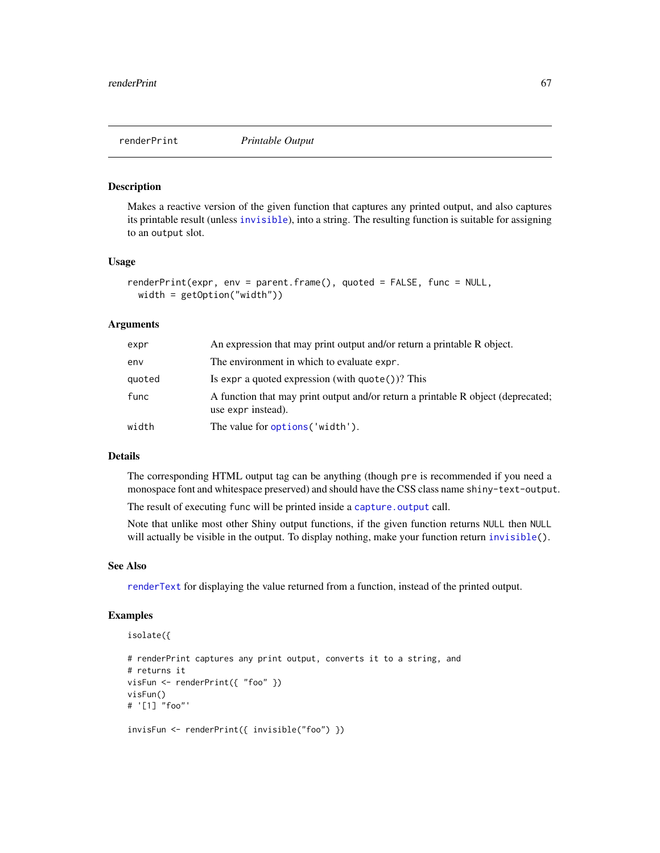<span id="page-66-0"></span>

Makes a reactive version of the given function that captures any printed output, and also captures its printable result (unless [invisible](#page-0-0)), into a string. The resulting function is suitable for assigning to an output slot.

#### Usage

```
renderPrint(expr, env = parent.frame(), quoted = FALSE, func = NULL,
 width = getOption("width"))
```
#### Arguments

| expr   | An expression that may print output and/or return a printable R object.                                |
|--------|--------------------------------------------------------------------------------------------------------|
| env    | The environment in which to evaluate expr.                                                             |
| quoted | Is expr a quoted expression (with $\text{quote}()$ )? This                                             |
| func   | A function that may print output and/or return a printable R object (deprecated;<br>use expr instead). |
| width  | The value for options ('width').                                                                       |

#### Details

The corresponding HTML output tag can be anything (though pre is recommended if you need a monospace font and whitespace preserved) and should have the CSS class name shiny-text-output.

The result of executing func will be printed inside a [capture.output](#page-0-0) call.

Note that unlike most other Shiny output functions, if the given function returns NULL then NULL will actually be visible in the output. To display nothing, make your function return [invisible\(](#page-0-0)).

#### See Also

[renderText](#page-68-1) for displaying the value returned from a function, instead of the printed output.

# Examples

```
isolate({
# renderPrint captures any print output, converts it to a string, and
# returns it
visFun <- renderPrint({ "foo" })
visFun()
# '[1] "foo"'
```
invisFun <- renderPrint({ invisible("foo") })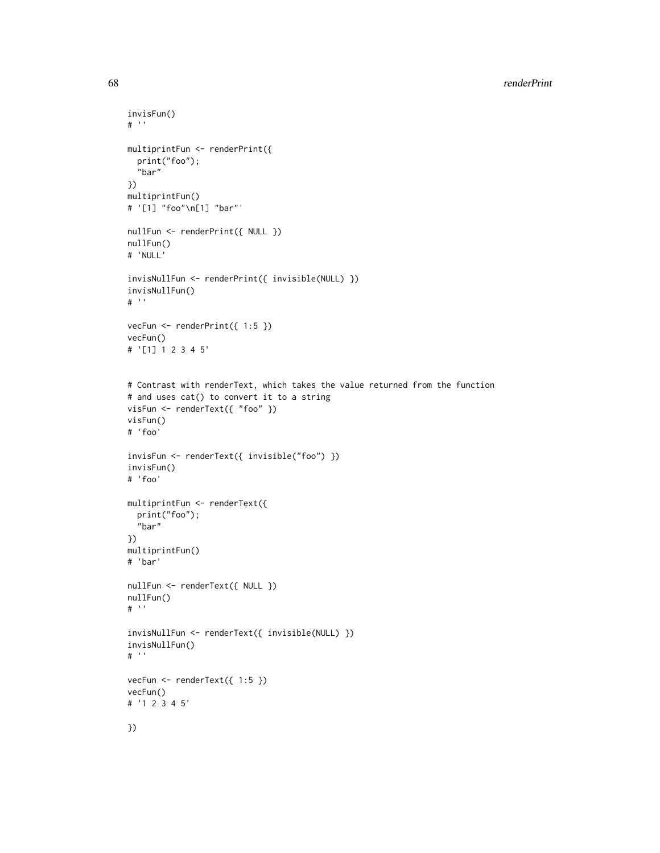```
invisFun()
# ''
multiprintFun <- renderPrint({
  print("foo");
  "bar"
})
multiprintFun()
# '[1] "foo"\n[1] "bar"'
nullFun <- renderPrint({ NULL })
nullFun()
# 'NULL'
invisNullFun <- renderPrint({ invisible(NULL) })
invisNullFun()
# ''
vecFun <- renderPrint({ 1:5 })
vecFun()
# '[1] 1 2 3 4 5'
# Contrast with renderText, which takes the value returned from the function
# and uses cat() to convert it to a string
visFun <- renderText({ "foo" })
visFun()
# 'foo'
invisFun <- renderText({ invisible("foo") })
invisFun()
# 'foo'
multiprintFun <- renderText({
  print("foo");
  "bar"
})
multiprintFun()
# 'bar'
nullFun <- renderText({ NULL })
nullFun()
# ''
invisNullFun <- renderText({ invisible(NULL) })
invisNullFun()
# ''
vecFun <- renderText({ 1:5 })
vecFun()
# '1 2 3 4 5'
})
```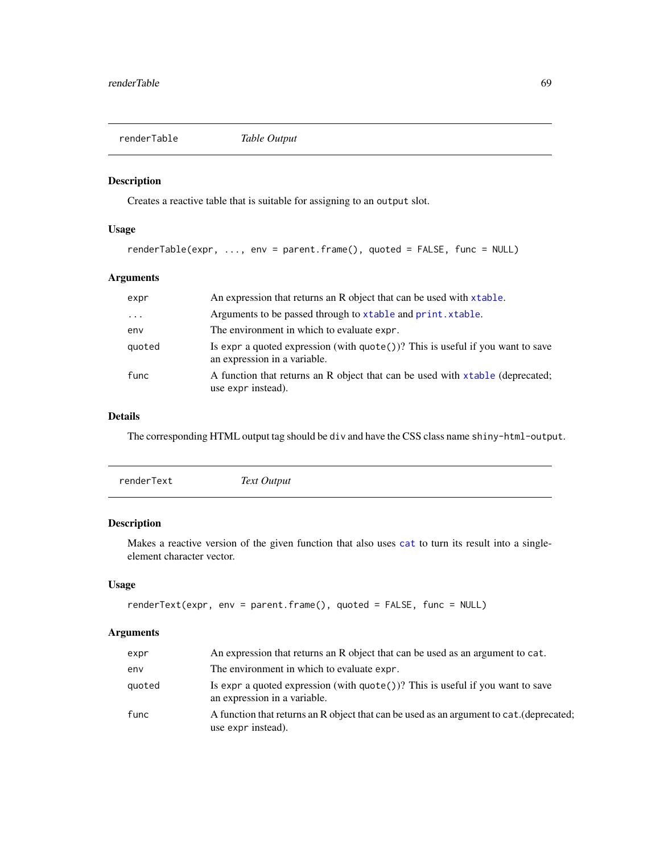<span id="page-68-0"></span>

Creates a reactive table that is suitable for assigning to an output slot.

#### Usage

```
renderTable(expr, ..., env = parent.frame(), quoted = FALSE, func = NULL)
```
# Arguments

| expr     | An expression that returns an R object that can be used with xtable.                                                     |
|----------|--------------------------------------------------------------------------------------------------------------------------|
| $\ddots$ | Arguments to be passed through to xtable and print. xtable.                                                              |
| env      | The environment in which to evaluate expr.                                                                               |
| quoted   | Is expr a quoted expression (with $\text{quote}()$ )? This is useful if you want to save<br>an expression in a variable. |
| func     | A function that returns an R object that can be used with xtable (deprecated;<br>use expr instead).                      |

# Details

The corresponding HTML output tag should be div and have the CSS class name shiny-html-output.

<span id="page-68-1"></span>

|--|

# Description

Makes a reactive version of the given function that also uses [cat](#page-0-0) to turn its result into a singleelement character vector.

#### Usage

```
renderText(expr, env = parent.frame(), quoted = FALSE, func = NULL)
```
# Arguments

| expr   | An expression that returns an R object that can be used as an argument to cat.                                       |
|--------|----------------------------------------------------------------------------------------------------------------------|
| env    | The environment in which to evaluate expr.                                                                           |
| quoted | Is expr a quoted expression (with $\eta$ uote())? This is useful if you want to save<br>an expression in a variable. |
| func   | A function that returns an R object that can be used as an argument to cat. (deprecated;<br>use expr instead).       |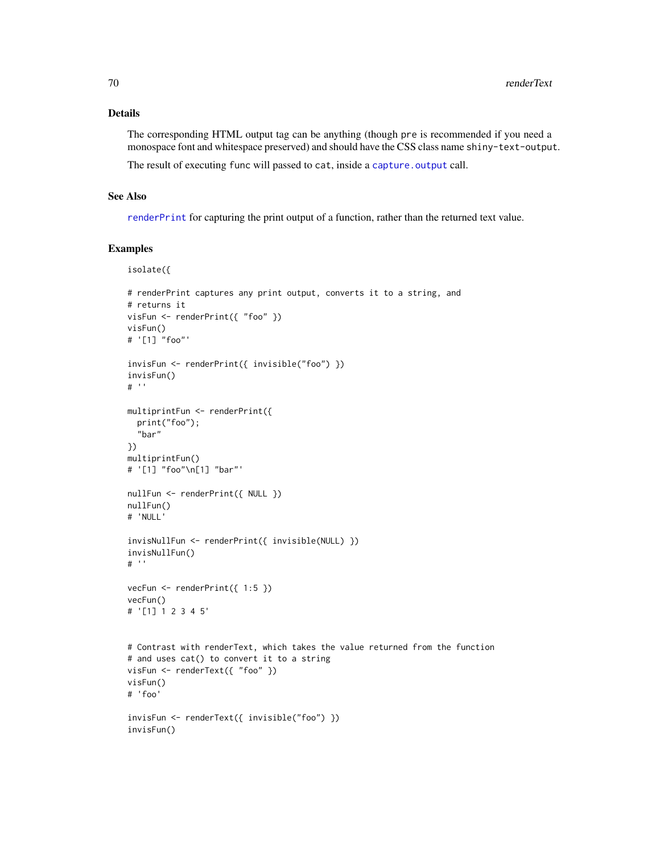# Details

The corresponding HTML output tag can be anything (though pre is recommended if you need a monospace font and whitespace preserved) and should have the CSS class name shiny-text-output.

The result of executing func will passed to cat, inside a [capture.output](#page-0-0) call.

#### See Also

[renderPrint](#page-66-0) for capturing the print output of a function, rather than the returned text value.

```
isolate({
# renderPrint captures any print output, converts it to a string, and
# returns it
visFun <- renderPrint({ "foo" })
visFun()
# '[1] "foo"'
invisFun <- renderPrint({ invisible("foo") })
invisFun()
# ''
multiprintFun <- renderPrint({
  print("foo");
  "bar"
})
multiprintFun()
# '[1] "foo"\n[1] "bar"'
nullFun <- renderPrint({ NULL })
nullFun()
# 'NULL'
invisNullFun <- renderPrint({ invisible(NULL) })
invisNullFun()
# ''
vecFun \leq renderPrint({ 1:5 })
vecFun()
# '[1] 1 2 3 4 5'
# Contrast with renderText, which takes the value returned from the function
# and uses cat() to convert it to a string
visFun <- renderText({ "foo" })
visFun()
# 'foo'
invisFun <- renderText({ invisible("foo") })
invisFun()
```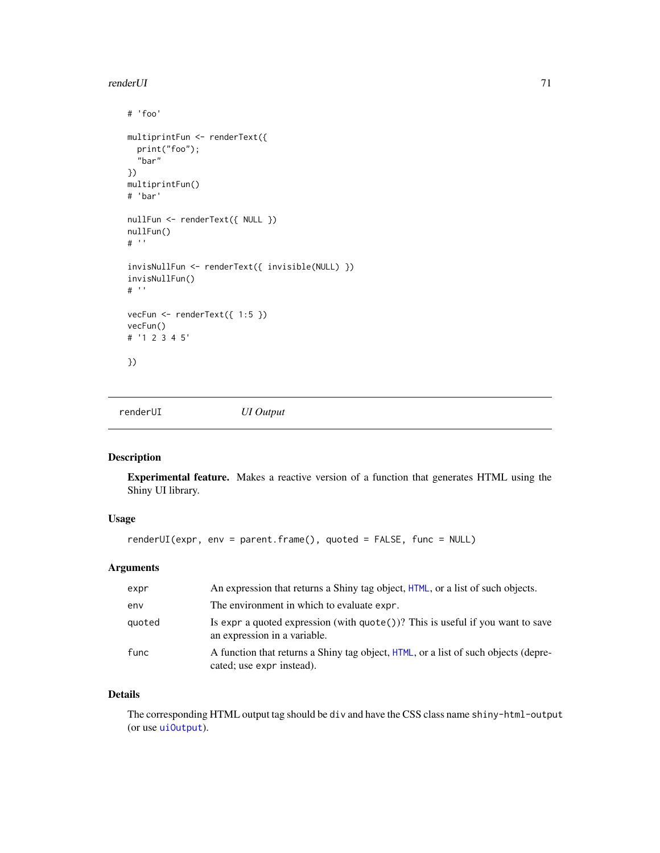#### render UI aan de gewone in 1992 was de gewone in 1992 was de gewone in 1992 was de gewone in 1992 was de gewone

```
# 'foo'
multiprintFun <- renderText({
 print("foo");
  "bar"
})
multiprintFun()
# 'bar'
nullFun <- renderText({ NULL })
nullFun()
# ''
invisNullFun <- renderText({ invisible(NULL) })
invisNullFun()
# ''
vecFun <- renderText({ 1:5 })
vecFun()
# '1 2 3 4 5'
})
```
<span id="page-70-0"></span>renderUI *UI Output*

### Description

Experimental feature. Makes a reactive version of a function that generates HTML using the Shiny UI library.

# Usage

```
renderUI(expr, env = parent.frame(), quoted = FALSE, func = NULL)
```
# Arguments

| expr   | An expression that returns a Shiny tag object, HTML, or a list of such objects.                                          |
|--------|--------------------------------------------------------------------------------------------------------------------------|
| env    | The environment in which to evaluate expr.                                                                               |
| quoted | Is expr a quoted expression (with $\text{quote}()$ )? This is useful if you want to save<br>an expression in a variable. |
| func   | A function that returns a Shiny tag object, HTML, or a list of such objects (depre-<br>cated; use expr instead).         |

# Details

The corresponding HTML output tag should be div and have the CSS class name shiny-html-output (or use [uiOutput](#page-28-0)).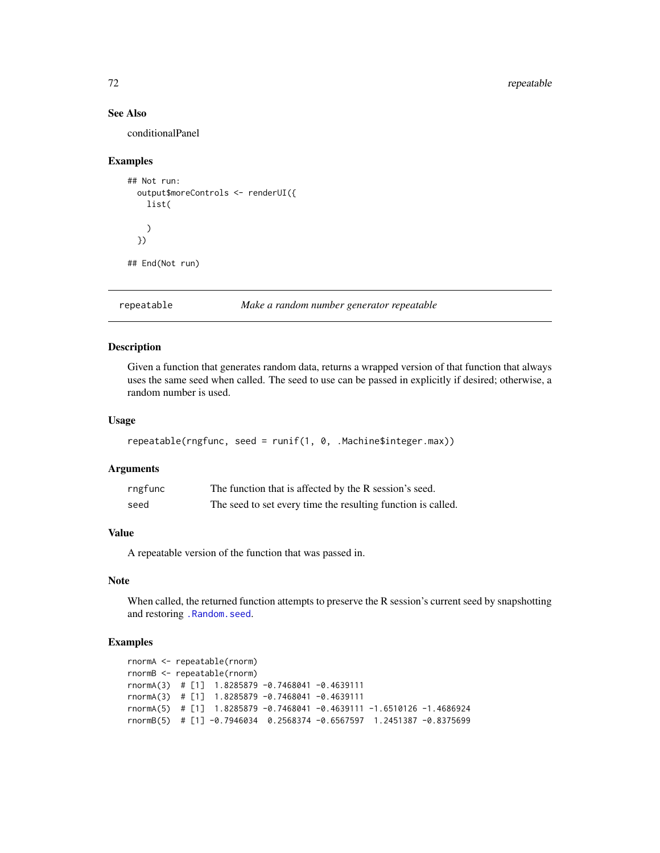# See Also

conditionalPanel

#### Examples

```
## Not run:
 output$moreControls <- renderUI({
   list(
   )
 })
## End(Not run)
```
repeatable *Make a random number generator repeatable*

# Description

Given a function that generates random data, returns a wrapped version of that function that always uses the same seed when called. The seed to use can be passed in explicitly if desired; otherwise, a random number is used.

# Usage

```
repeatable(rngfunc, seed = runif(1, 0, .Machine$integer.max))
```
# Arguments

| rngfunc | The function that is affected by the R session's seed.       |
|---------|--------------------------------------------------------------|
| seed    | The seed to set every time the resulting function is called. |

# Value

A repeatable version of the function that was passed in.

# Note

When called, the returned function attempts to preserve the R session's current seed by snapshotting and restoring [.Random.seed](#page-0-0).

```
rnormA <- repeatable(rnorm)
rnormB <- repeatable(rnorm)
rnormA(3) # [1] 1.8285879 -0.7468041 -0.4639111
rnormA(3) # [1] 1.8285879 -0.7468041 -0.4639111
rnormA(5) # [1] 1.8285879 -0.7468041 -0.4639111 -1.6510126 -1.4686924
rnormB(5) # [1] -0.7946034 0.2568374 -0.6567597 1.2451387 -0.8375699
```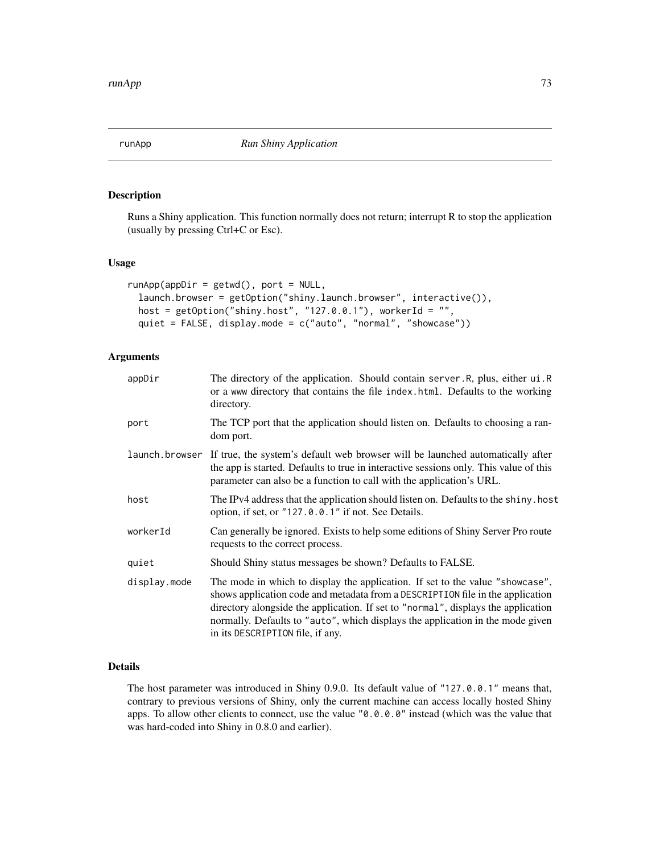<span id="page-72-0"></span>

Runs a Shiny application. This function normally does not return; interrupt R to stop the application (usually by pressing Ctrl+C or Esc).

#### Usage

```
runApp(appDir = getwd(), port = NULL,launch.browser = getOption("shiny.launch.browser", interactive()),
 host = getOption("shiny.host", "127.0.0.1"), workerId = "",quiet = FALSE, display.mode = c("auto", "normal", "showcase"))
```
## Arguments

| appDir         | The directory of the application. Should contain server. R, plus, either ui. R<br>or a www directory that contains the file index.html. Defaults to the working<br>directory.                                                                                                                                                                                              |
|----------------|----------------------------------------------------------------------------------------------------------------------------------------------------------------------------------------------------------------------------------------------------------------------------------------------------------------------------------------------------------------------------|
| port           | The TCP port that the application should listen on. Defaults to choosing a ran-<br>dom port.                                                                                                                                                                                                                                                                               |
| launch.browser | If true, the system's default web browser will be launched automatically after<br>the app is started. Defaults to true in interactive sessions only. This value of this<br>parameter can also be a function to call with the application's URL.                                                                                                                            |
| host           | The IPv4 address that the application should listen on. Defaults to the shiny. host<br>option, if set, or "127.0.0.1" if not. See Details.                                                                                                                                                                                                                                 |
| workerId       | Can generally be ignored. Exists to help some editions of Shiny Server Pro route<br>requests to the correct process.                                                                                                                                                                                                                                                       |
| quiet          | Should Shiny status messages be shown? Defaults to FALSE.                                                                                                                                                                                                                                                                                                                  |
| display.mode   | The mode in which to display the application. If set to the value "showcase",<br>shows application code and metadata from a DESCRIPTION file in the application<br>directory alongside the application. If set to "normal", displays the application<br>normally. Defaults to "auto", which displays the application in the mode given<br>in its DESCRIPTION file, if any. |

#### Details

The host parameter was introduced in Shiny 0.9.0. Its default value of "127.0.0.1" means that, contrary to previous versions of Shiny, only the current machine can access locally hosted Shiny apps. To allow other clients to connect, use the value "0.0.0.0" instead (which was the value that was hard-coded into Shiny in 0.8.0 and earlier).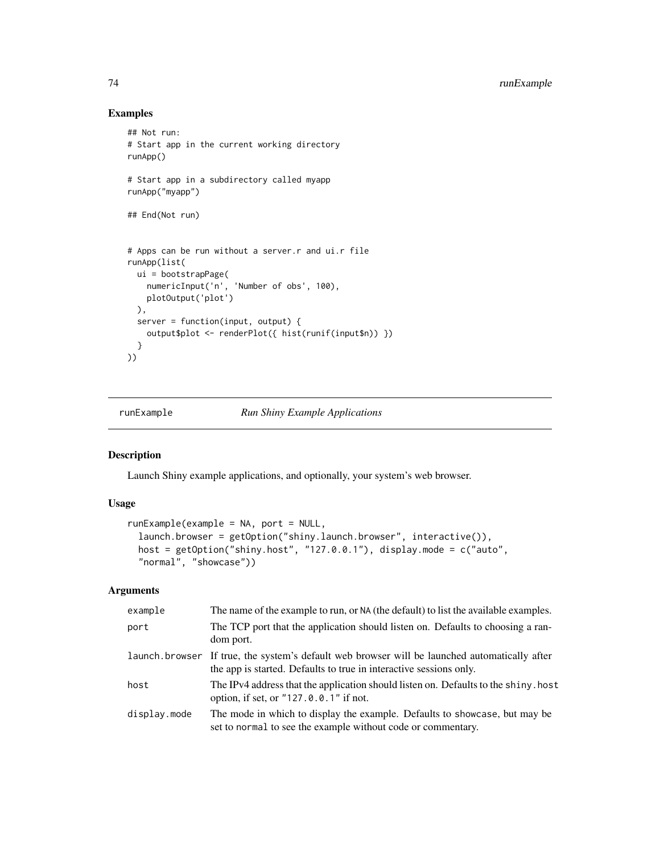## Examples

```
## Not run:
# Start app in the current working directory
runApp()
# Start app in a subdirectory called myapp
runApp("myapp")
## End(Not run)
# Apps can be run without a server.r and ui.r file
runApp(list(
 ui = bootstrapPage(
   numericInput('n', 'Number of obs', 100),
   plotOutput('plot')
 ),
 server = function(input, output) {
   output$plot <- renderPlot({ hist(runif(input$n)) })
 }
))
```
#### runExample *Run Shiny Example Applications*

## Description

Launch Shiny example applications, and optionally, your system's web browser.

## Usage

```
runExample(example = NA, port = NULL,
 launch.browser = getOption("shiny.launch.browser", interactive()),
 host = getOption("shiny.host", "127.0.0.1"), display.mode = c("auto",
  "normal", "showcase"))
```

| example      | The name of the example to run, or NA (the default) to list the available examples.                                                                                 |
|--------------|---------------------------------------------------------------------------------------------------------------------------------------------------------------------|
| port         | The TCP port that the application should listen on. Defaults to choosing a ran-<br>dom port.                                                                        |
|              | launch browser If true, the system's default web browser will be launched automatically after<br>the app is started. Defaults to true in interactive sessions only. |
| host         | The IPv4 address that the application should listen on. Defaults to the shiny. host<br>option, if set, or "127.0.0.1" if not.                                       |
| display.mode | The mode in which to display the example. Defaults to showcase, but may be<br>set to normal to see the example without code or commentary.                          |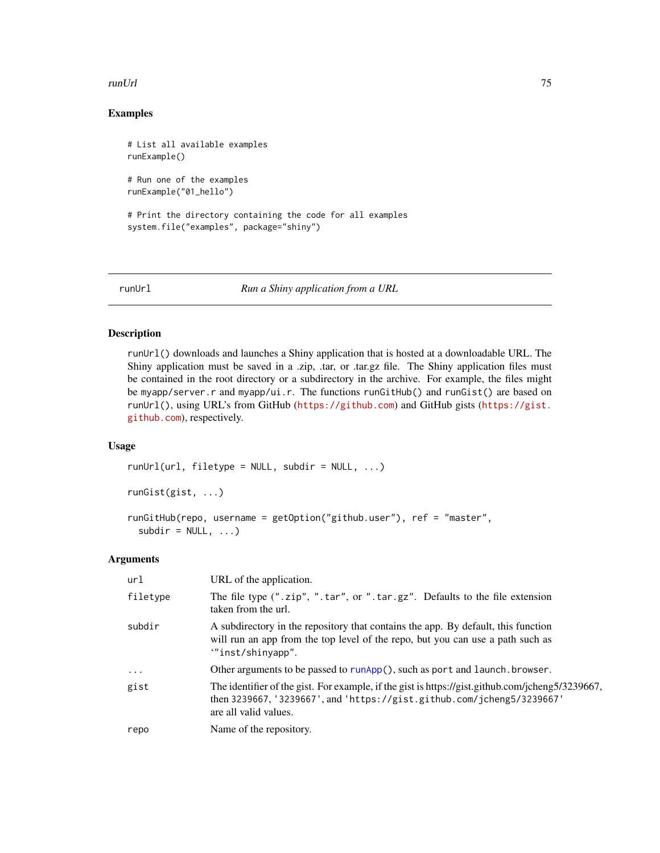#### runUrl 75

## Examples

```
# List all available examples
runExample()
# Run one of the examples
runExample("01_hello")
# Print the directory containing the code for all examples
system.file("examples", package="shiny")
```
runUrl *Run a Shiny application from a URL*

## Description

runUrl() downloads and launches a Shiny application that is hosted at a downloadable URL. The Shiny application must be saved in a .zip, .tar, or .tar.gz file. The Shiny application files must be contained in the root directory or a subdirectory in the archive. For example, the files might be myapp/server.r and myapp/ui.r. The functions runGitHub() and runGist() are based on runUrl(), using URL's from GitHub (<https://github.com>) and GitHub gists ([https://gist.](https://gist.github.com) [github.com](https://gist.github.com)), respectively.

#### Usage

```
runUr1(url, filetype = NULL, subdir = NULL, ...)runGist(gist, ...)
runGitHub(repo, username = getOption("github.user"), ref = "master",
```

```
Arguments
```
 $subdir = NULL, ...$ 

| url      | URL of the application.                                                                                                                                                                                |
|----------|--------------------------------------------------------------------------------------------------------------------------------------------------------------------------------------------------------|
| filetype | The file type (".zip", ".tar", or ".tar.gz". Defaults to the file extension<br>taken from the url.                                                                                                     |
| subdir   | A subdirectory in the repository that contains the app. By default, this function<br>will run an app from the top level of the repo, but you can use a path such as<br>""inst/shinyapp".               |
| $\cdots$ | Other arguments to be passed to runApp(), such as port and launch. browser.                                                                                                                            |
| gist     | The identifier of the gist. For example, if the gist is https://gist.github.com/jcheng5/3239667,<br>then $3239667$ , '3239667', and 'https://gist.github.com/jcheng5/3239667'<br>are all valid values. |
| repo     | Name of the repository.                                                                                                                                                                                |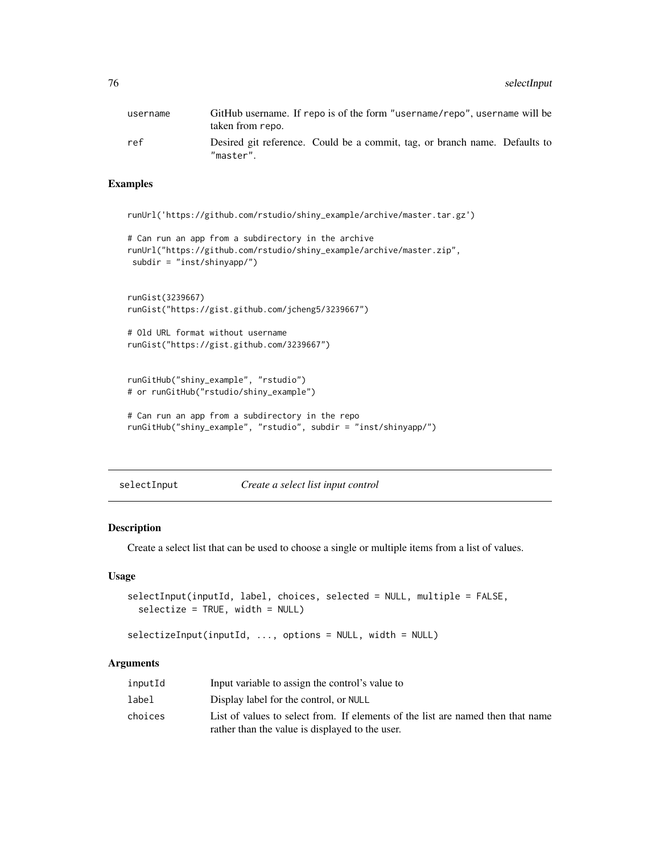76 selectInput

| username | GitHub username. If repo is of the form "username/repo", username will be<br>taken from repo. |
|----------|-----------------------------------------------------------------------------------------------|
| ref      | Desired git reference. Could be a commit, tag, or branch name. Defaults to<br>"master".       |

## Examples

```
runUrl('https://github.com/rstudio/shiny_example/archive/master.tar.gz')
```

```
# Can run an app from a subdirectory in the archive
runUrl("https://github.com/rstudio/shiny_example/archive/master.zip",
subdir = "inst/shinyapp/")
```

```
runGist(3239667)
runGist("https://gist.github.com/jcheng5/3239667")
```

```
# Old URL format without username
runGist("https://gist.github.com/3239667")
```

```
runGitHub("shiny_example", "rstudio")
# or runGitHub("rstudio/shiny_example")
```

```
# Can run an app from a subdirectory in the repo
runGitHub("shiny_example", "rstudio", subdir = "inst/shinyapp/")
```
<span id="page-75-0"></span>selectInput *Create a select list input control*

#### <span id="page-75-1"></span>Description

Create a select list that can be used to choose a single or multiple items from a list of values.

#### Usage

```
selectInput(inputId, label, choices, selected = NULL, multiple = FALSE,
  selectize = TRUE, width = NULL)
```

```
selectizeInput(inputId, ..., options = NULL, width = NULL)
```

| inputId | Input variable to assign the control's value to                                 |
|---------|---------------------------------------------------------------------------------|
| label   | Display label for the control, or NULL                                          |
| choices | List of values to select from. If elements of the list are named then that name |
|         | rather than the value is displayed to the user.                                 |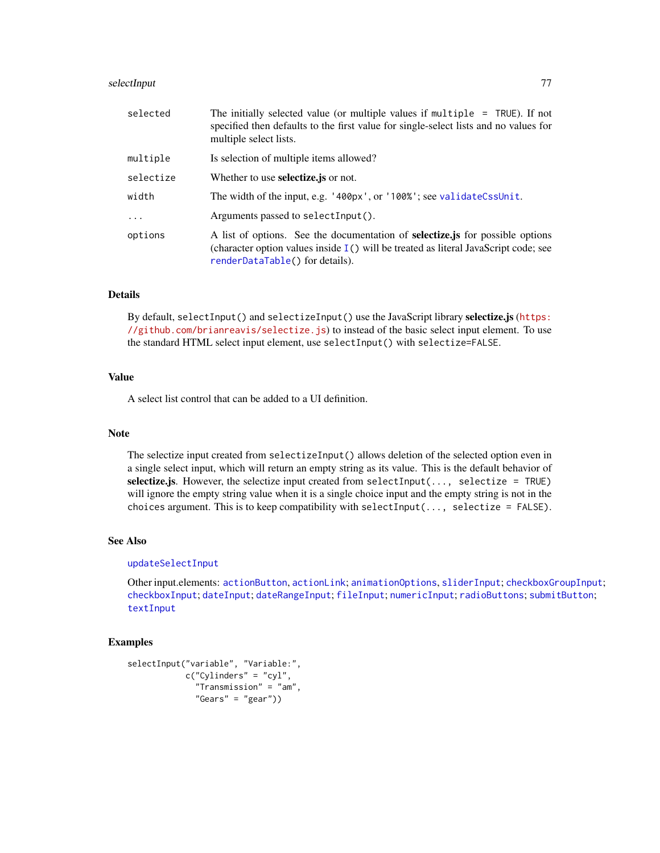#### selectInput 77

| selected  | The initially selected value (or multiple values if multiple $=$ TRUE). If not<br>specified then defaults to the first value for single-select lists and no values for<br>multiple select lists.                   |
|-----------|--------------------------------------------------------------------------------------------------------------------------------------------------------------------------------------------------------------------|
| multiple  | Is selection of multiple items allowed?                                                                                                                                                                            |
| selectize | Whether to use <b>selectize</b> , js or not.                                                                                                                                                                       |
| width     | The width of the input, e.g. '400px', or '100%'; see validateCssUnit.                                                                                                                                              |
| $\cdot$   | Arguments passed to selectInput().                                                                                                                                                                                 |
| options   | A list of options. See the documentation of <b>selectize</b> , is for possible options<br>(character option values inside $I()$ will be treated as literal JavaScript code; see<br>renderDataTable() for details). |

## Details

By default, selectInput() and selectizeInput() use the JavaScript library selectize.js ([https:](https://github.com/brianreavis/selectize.js) [//github.com/brianreavis/selectize.js](https://github.com/brianreavis/selectize.js)) to instead of the basic select input element. To use the standard HTML select input element, use selectInput() with selectize=FALSE.

## Value

A select list control that can be added to a UI definition.

## Note

The selectize input created from selectizeInput() allows deletion of the selected option even in a single select input, which will return an empty string as its value. This is the default behavior of selectize.js. However, the selectize input created from selectInput(..., selectize = TRUE) will ignore the empty string value when it is a single choice input and the empty string is not in the choices argument. This is to keep compatibility with selectInput $(..., \text{ selective} = \text{FALSE}).$ 

## See Also

#### [updateSelectInput](#page-102-0)

Other input.elements: [actionButton](#page-5-0), [actionLink](#page-5-1); [animationOptions](#page-85-0), [sliderInput](#page-85-1); [checkboxGroupInput](#page-9-0); [checkboxInput](#page-10-0); [dateInput](#page-14-0); [dateRangeInput](#page-15-0); [fileInput](#page-21-0); [numericInput](#page-41-0); [radioButtons](#page-50-0); [submitButton](#page-88-0); [textInput](#page-93-0)

```
selectInput("variable", "Variable:",
            c("Cylinders" = "cyl",
              "Transmission" = "am",
              "Gears" = "gear"))
```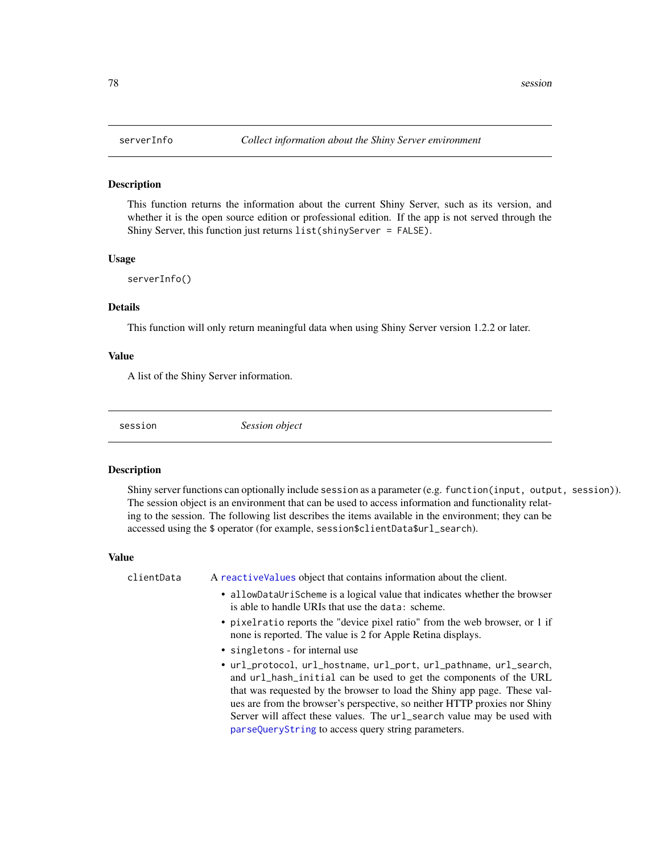This function returns the information about the current Shiny Server, such as its version, and whether it is the open source edition or professional edition. If the app is not served through the Shiny Server, this function just returns list(shinyServer = FALSE).

#### Usage

```
serverInfo()
```
## Details

This function will only return meaningful data when using Shiny Server version 1.2.2 or later.

#### Value

A list of the Shiny Server information.

session *Session object*

#### **Description**

Shiny server functions can optionally include session as a parameter (e.g. function(input, output, session)). The session object is an environment that can be used to access information and functionality relating to the session. The following list describes the items available in the environment; they can be accessed using the \$ operator (for example, session\$clientData\$url\_search).

#### Value

clientData A [reactiveValues](#page-58-0) object that contains information about the client. • allowDataUriScheme is a logical value that indicates whether the browser is able to handle URIs that use the data: scheme. • pixelratio reports the "device pixel ratio" from the web browser, or 1 if none is reported. The value is 2 for Apple Retina displays. • singletons - for internal use • url\_protocol, url\_hostname, url\_port, url\_pathname, url\_search, and url\_hash\_initial can be used to get the components of the URL that was requested by the browser to load the Shiny app page. These values are from the browser's perspective, so neither HTTP proxies nor Shiny Server will affect these values. The url\_search value may be used with [parseQueryString](#page-46-0) to access query string parameters.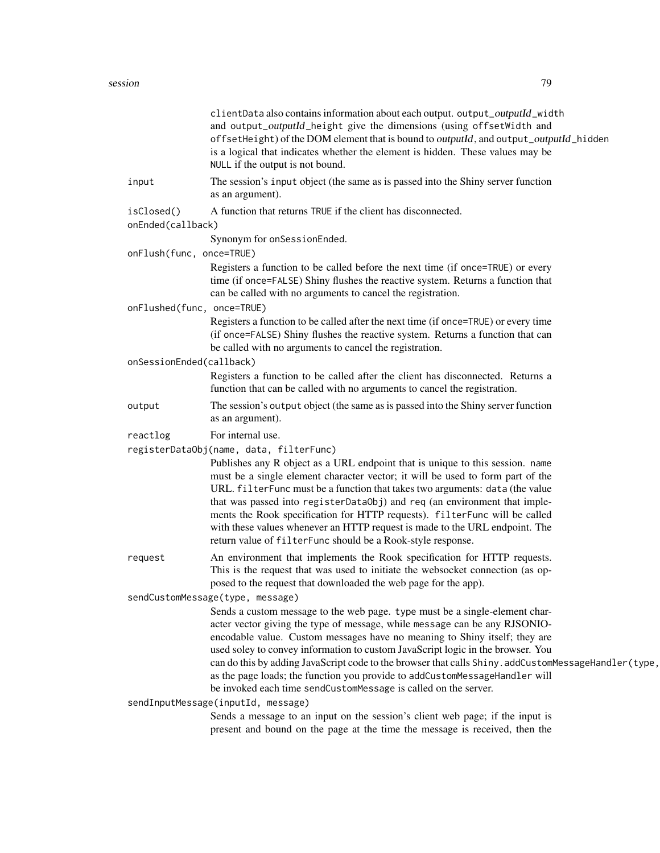#### session 79

|                                 | clientData also contains information about each output. output_outputId_width<br>and output_outputId_height give the dimensions (using offsetWidth and<br>offsetHeight) of the DOM element that is bound to outputId, and output_outputId_hidden<br>is a logical that indicates whether the element is hidden. These values may be<br>NULL if the output is not bound.                                                                                                                                                                                                               |
|---------------------------------|--------------------------------------------------------------------------------------------------------------------------------------------------------------------------------------------------------------------------------------------------------------------------------------------------------------------------------------------------------------------------------------------------------------------------------------------------------------------------------------------------------------------------------------------------------------------------------------|
| input                           | The session's input object (the same as is passed into the Shiny server function<br>as an argument).                                                                                                                                                                                                                                                                                                                                                                                                                                                                                 |
| isClosed()<br>onEnded(callback) | A function that returns TRUE if the client has disconnected.                                                                                                                                                                                                                                                                                                                                                                                                                                                                                                                         |
|                                 | Synonym for onSessionEnded.                                                                                                                                                                                                                                                                                                                                                                                                                                                                                                                                                          |
| onFlush(func, once=TRUE)        |                                                                                                                                                                                                                                                                                                                                                                                                                                                                                                                                                                                      |
|                                 | Registers a function to be called before the next time (if once=TRUE) or every<br>time (if once=FALSE) Shiny flushes the reactive system. Returns a function that<br>can be called with no arguments to cancel the registration.                                                                                                                                                                                                                                                                                                                                                     |
|                                 | onFlushed(func, once=TRUE)                                                                                                                                                                                                                                                                                                                                                                                                                                                                                                                                                           |
|                                 | Registers a function to be called after the next time (if once=TRUE) or every time<br>(if once=FALSE) Shiny flushes the reactive system. Returns a function that can<br>be called with no arguments to cancel the registration.                                                                                                                                                                                                                                                                                                                                                      |
| onSessionEnded(callback)        |                                                                                                                                                                                                                                                                                                                                                                                                                                                                                                                                                                                      |
|                                 | Registers a function to be called after the client has disconnected. Returns a<br>function that can be called with no arguments to cancel the registration.                                                                                                                                                                                                                                                                                                                                                                                                                          |
| output                          | The session's output object (the same as is passed into the Shiny server function<br>as an argument).                                                                                                                                                                                                                                                                                                                                                                                                                                                                                |
| reactlog                        | For internal use.                                                                                                                                                                                                                                                                                                                                                                                                                                                                                                                                                                    |
|                                 | registerDataObj(name, data, filterFunc)                                                                                                                                                                                                                                                                                                                                                                                                                                                                                                                                              |
|                                 | Publishes any R object as a URL endpoint that is unique to this session. name<br>must be a single element character vector; it will be used to form part of the<br>URL. filterFunc must be a function that takes two arguments: data (the value<br>that was passed into registerDataObj) and req (an environment that imple-<br>ments the Rook specification for HTTP requests). filterFunc will be called<br>with these values whenever an HTTP request is made to the URL endpoint. The<br>return value of filterFunc should be a Rook-style response.                             |
| request                         | An environment that implements the Rook specification for HTTP requests.<br>This is the request that was used to initiate the websocket connection (as op-<br>posed to the request that downloaded the web page for the app).                                                                                                                                                                                                                                                                                                                                                        |
|                                 | sendCustomMessage(type, message)                                                                                                                                                                                                                                                                                                                                                                                                                                                                                                                                                     |
|                                 | Sends a custom message to the web page. type must be a single-element char-<br>acter vector giving the type of message, while message can be any RJSONIO-<br>encodable value. Custom messages have no meaning to Shiny itself; they are<br>used soley to convey information to custom JavaScript logic in the browser. You<br>can do this by adding JavaScript code to the browser that calls Shiny. addCustomMessageHandler(type,<br>as the page loads; the function you provide to addCustomMessageHandler will<br>be invoked each time sendCustomMessage is called on the server. |
|                                 | sendInputMessage(inputId, message)                                                                                                                                                                                                                                                                                                                                                                                                                                                                                                                                                   |
|                                 | Sends a message to an input on the session's client web page; if the input is<br>present and bound on the page at the time the message is received, then the                                                                                                                                                                                                                                                                                                                                                                                                                         |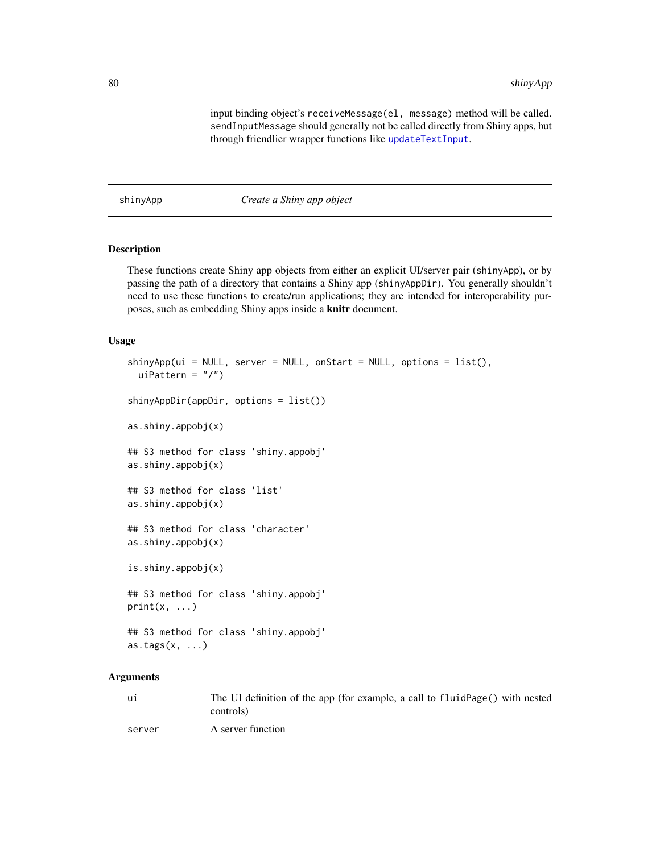input binding object's receiveMessage(el, message) method will be called. sendInputMessage should generally not be called directly from Shiny apps, but through friendlier wrapper functions like [updateTextInput](#page-106-0).

shinyApp *Create a Shiny app object*

## Description

These functions create Shiny app objects from either an explicit UI/server pair (shinyApp), or by passing the path of a directory that contains a Shiny app (shinyAppDir). You generally shouldn't need to use these functions to create/run applications; they are intended for interoperability purposes, such as embedding Shiny apps inside a knitr document.

#### Usage

```
\sinh(yApp(ui = NULL, server = NULL, onStart = NULL, options = list(),uiPattern = ''/")
shinyAppDir(appDir, options = list())
as.shiny.appobj(x)
## S3 method for class 'shiny.appobj'
as.shiny.appobj(x)
## S3 method for class 'list'
as.shiny.appobj(x)
## S3 method for class 'character'
as.shiny.appobj(x)
is.shiny.appobj(x)
## S3 method for class 'shiny.appobj'
print(x, \ldots)## S3 method for class 'shiny.appobj'
\text{as.}\,\text{tags}(x, \ldots)
```

| ui     | The UI definition of the app (for example, a call to fluid Page() with nested |
|--------|-------------------------------------------------------------------------------|
|        | controls)                                                                     |
| server | A server function                                                             |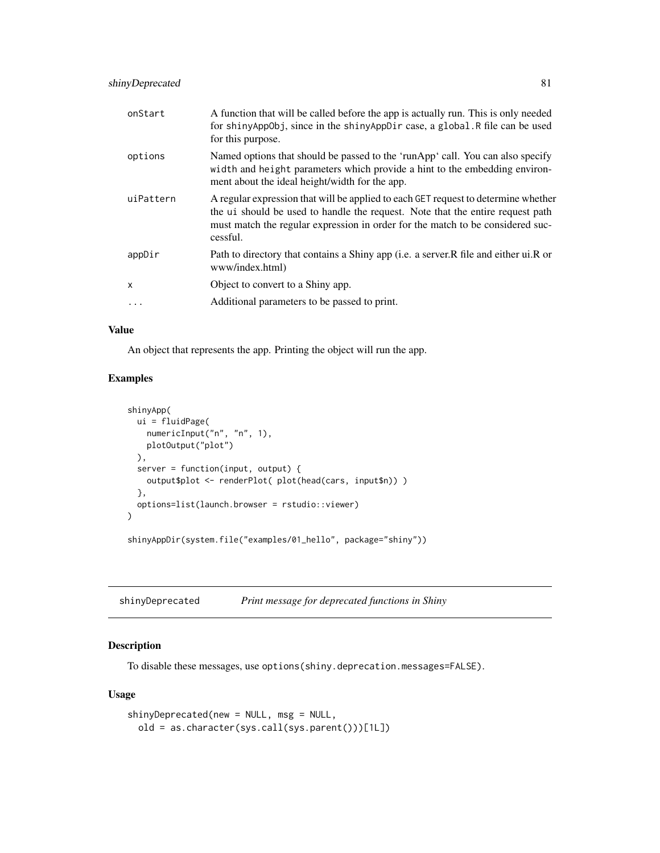| onStart   | A function that will be called before the app is actually run. This is only needed<br>for shinyAppObj, since in the shinyAppDir case, a global. R file can be used<br>for this purpose.                                                                            |
|-----------|--------------------------------------------------------------------------------------------------------------------------------------------------------------------------------------------------------------------------------------------------------------------|
| options   | Named options that should be passed to the 'runApp' call. You can also specify<br>width and height parameters which provide a hint to the embedding environ-<br>ment about the ideal height/width for the app.                                                     |
| uiPattern | A regular expression that will be applied to each GET request to determine whether<br>the ui should be used to handle the request. Note that the entire request path<br>must match the regular expression in order for the match to be considered suc-<br>cessful. |
| appDir    | Path to directory that contains a Shiny app (i.e. a server. R file and either ui. R or<br>www/index.html)                                                                                                                                                          |
| X         | Object to convert to a Shiny app.                                                                                                                                                                                                                                  |
| $\cdot$   | Additional parameters to be passed to print.                                                                                                                                                                                                                       |

## Value

An object that represents the app. Printing the object will run the app.

## Examples

```
shinyApp(
 ui = fluidPage(
   numericInput("n", "n", 1),
   plotOutput("plot")
  ),
  server = function(input, output) {
   output$plot <- renderPlot( plot(head(cars, input$n)) )
  },
  options=list(launch.browser = rstudio::viewer)
\mathcal{L}shinyAppDir(system.file("examples/01_hello", package="shiny"))
```

| shinyDeprecated |  | Print message for deprecated functions in Shiny |
|-----------------|--|-------------------------------------------------|
|                 |  |                                                 |

## Description

To disable these messages, use options(shiny.deprecation.messages=FALSE).

## Usage

```
shinyDeprecated(new = NULL, msg = NULL,
 old = as.character(sys.call(sys.parent()))[1L])
```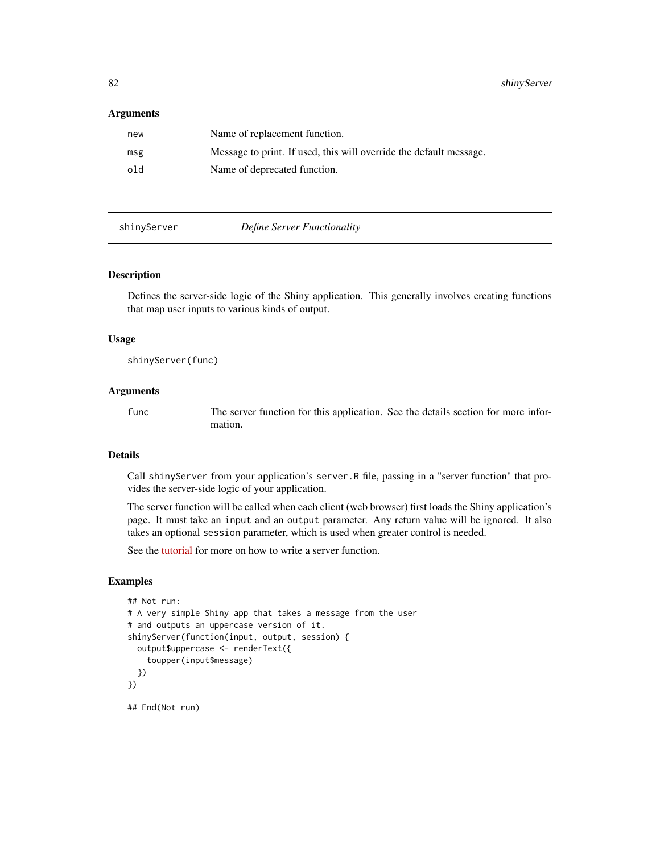#### Arguments

| new | Name of replacement function.                                      |
|-----|--------------------------------------------------------------------|
| msg | Message to print. If used, this will override the default message. |
| old | Name of deprecated function.                                       |

#### shinyServer *Define Server Functionality*

#### Description

Defines the server-side logic of the Shiny application. This generally involves creating functions that map user inputs to various kinds of output.

#### Usage

shinyServer(func)

## Arguments

func The server function for this application. See the details section for more information.

## Details

Call shinyServer from your application's server.R file, passing in a "server function" that provides the server-side logic of your application.

The server function will be called when each client (web browser) first loads the Shiny application's page. It must take an input and an output parameter. Any return value will be ignored. It also takes an optional session parameter, which is used when greater control is needed.

See the [tutorial](http://rstudio.github.com/shiny/tutorial/) for more on how to write a server function.

```
## Not run:
# A very simple Shiny app that takes a message from the user
# and outputs an uppercase version of it.
shinyServer(function(input, output, session) {
 output$uppercase <- renderText({
    toupper(input$message)
 })
})
## End(Not run)
```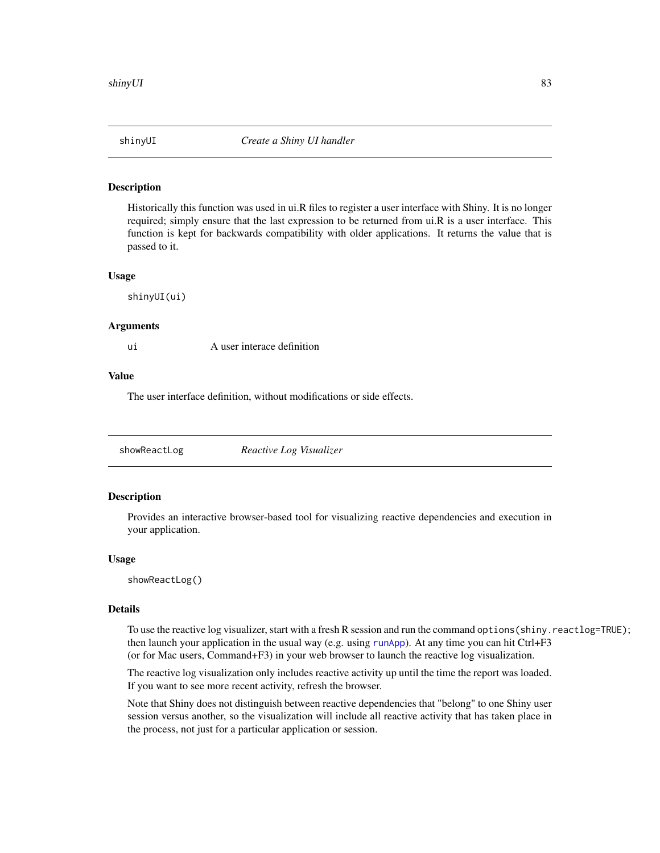Historically this function was used in ui.R files to register a user interface with Shiny. It is no longer required; simply ensure that the last expression to be returned from ui.R is a user interface. This function is kept for backwards compatibility with older applications. It returns the value that is passed to it.

#### Usage

shinyUI(ui)

#### Arguments

ui A user interace definition

## Value

The user interface definition, without modifications or side effects.

| showReactLog | Reactive Log Visualizer |  |
|--------------|-------------------------|--|
|--------------|-------------------------|--|

#### Description

Provides an interactive browser-based tool for visualizing reactive dependencies and execution in your application.

#### Usage

showReactLog()

## Details

To use the reactive log visualizer, start with a fresh R session and run the command options(shiny.reactlog=TRUE); then launch your application in the usual way (e.g. using [runApp](#page-72-0)). At any time you can hit Ctrl+F3 (or for Mac users, Command+F3) in your web browser to launch the reactive log visualization.

The reactive log visualization only includes reactive activity up until the time the report was loaded. If you want to see more recent activity, refresh the browser.

Note that Shiny does not distinguish between reactive dependencies that "belong" to one Shiny user session versus another, so the visualization will include all reactive activity that has taken place in the process, not just for a particular application or session.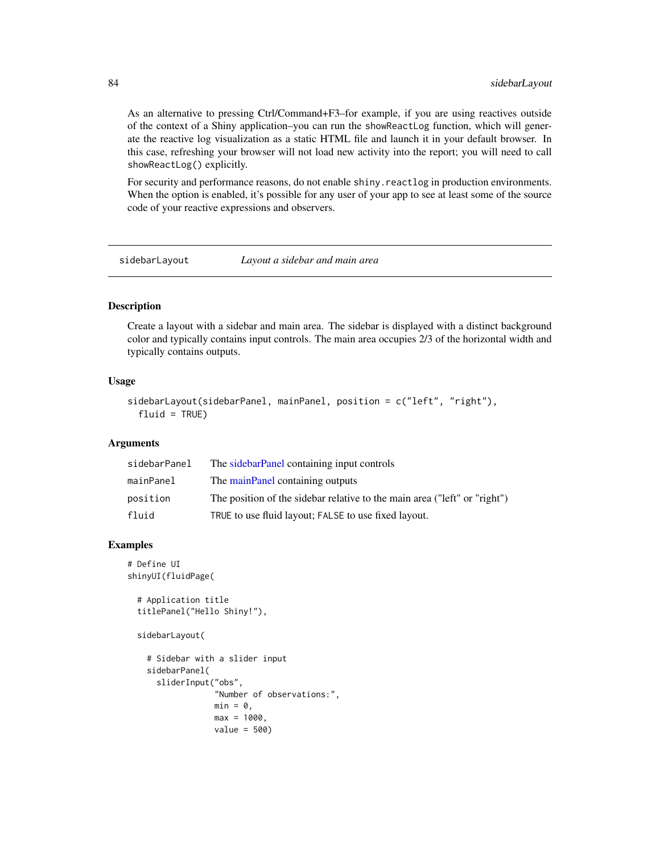As an alternative to pressing Ctrl/Command+F3–for example, if you are using reactives outside of the context of a Shiny application–you can run the showReactLog function, which will generate the reactive log visualization as a static HTML file and launch it in your default browser. In this case, refreshing your browser will not load new activity into the report; you will need to call showReactLog() explicitly.

For security and performance reasons, do not enable shiny. reactlog in production environments. When the option is enabled, it's possible for any user of your app to see at least some of the source code of your reactive expressions and observers.

<span id="page-83-0"></span>sidebarLayout *Layout a sidebar and main area*

### Description

Create a layout with a sidebar and main area. The sidebar is displayed with a distinct background color and typically contains input controls. The main area occupies 2/3 of the horizontal width and typically contains outputs.

#### Usage

```
sidebarLayout(sidebarPanel, mainPanel, position = c("left", "right"),
  fluid = TRUE)
```
## Arguments

| sidebarPanel | The sidebarPanel containing input controls                                |
|--------------|---------------------------------------------------------------------------|
| mainPanel    | The mainPanel containing outputs                                          |
| position     | The position of the sidebar relative to the main area ("left" or "right") |
| fluid        | TRUE to use fluid layout; FALSE to use fixed layout.                      |

```
# Define UI
shinyUI(fluidPage(
```

```
# Application title
titlePanel("Hello Shiny!"),
```

```
sidebarLayout(
```

```
# Sidebar with a slider input
sidebarPanel(
 sliderInput("obs",
              "Number of observations:",
              min = 0.
              max = 1000,
              value = 500)
```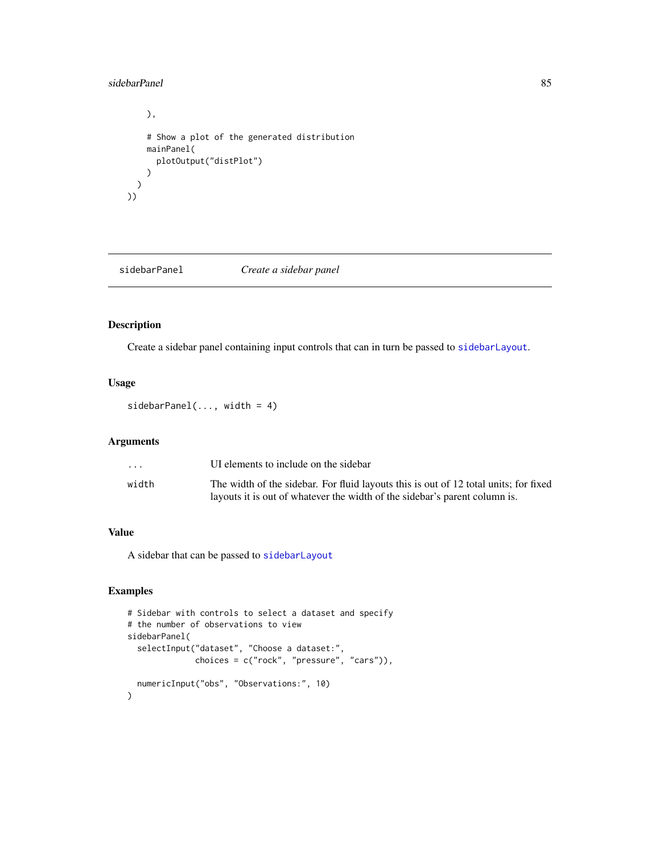#### sidebarPanel 85

```
),
    # Show a plot of the generated distribution
    mainPanel(
     plotOutput("distPlot")
    )
 )
))
```
<span id="page-84-0"></span>sidebarPanel *Create a sidebar panel*

## Description

Create a sidebar panel containing input controls that can in turn be passed to [sidebarLayout](#page-83-0).

#### Usage

 $sidebarPanel(..., width = 4)$ 

## Arguments

| $\cdot$ $\cdot$ $\cdot$ | UI elements to include on the sidebar                                                |
|-------------------------|--------------------------------------------------------------------------------------|
| width                   | The width of the sidebar. For fluid layouts this is out of 12 total units; for fixed |
|                         | layouts it is out of whatever the width of the sidebar's parent column is.           |

## Value

A sidebar that can be passed to [sidebarLayout](#page-83-0)

```
# Sidebar with controls to select a dataset and specify
# the number of observations to view
sidebarPanel(
  selectInput("dataset", "Choose a dataset:",
              choices = c("rock", "pressure", "cars")),
  numericInput("obs", "Observations:", 10)
)
```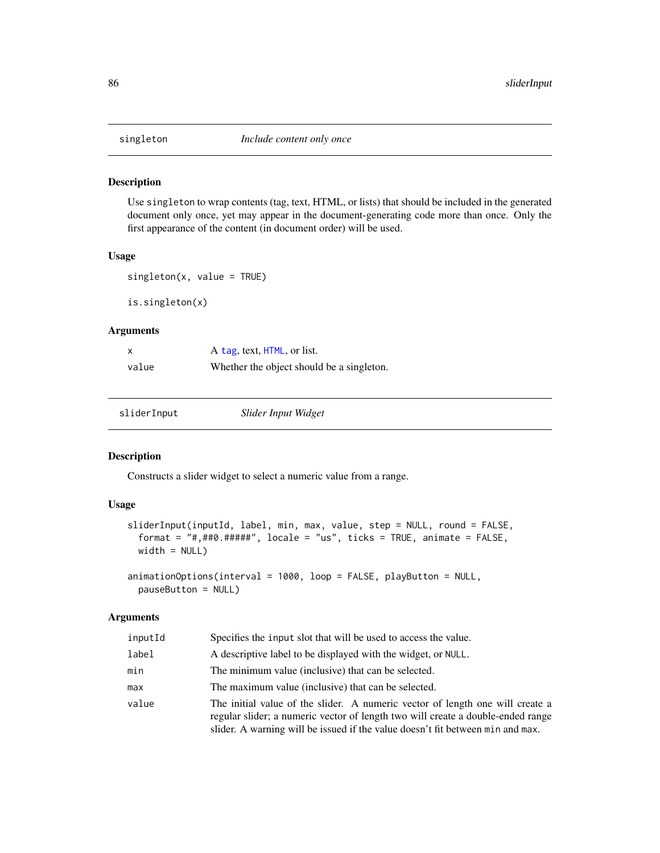Use singleton to wrap contents (tag, text, HTML, or lists) that should be included in the generated document only once, yet may appear in the document-generating code more than once. Only the first appearance of the content (in document order) will be used.

#### Usage

```
singleton(x, value = TRUE)
```
is.singleton(x)

#### Arguments

|       | A tag, text, HTML, or list.               |
|-------|-------------------------------------------|
| value | Whether the object should be a singleton. |

<span id="page-85-1"></span>sliderInput *Slider Input Widget*

## <span id="page-85-0"></span>Description

Constructs a slider widget to select a numeric value from a range.

## Usage

```
sliderInput(inputId, label, min, max, value, step = NULL, round = FALSE,
  format = "#, ##0. #####", locale = "us", ticks = TRUE, animate = FALSE,
 width = NULL)
animationOptions(interval = 1000, loop = FALSE, playButton = NULL,
```
# pauseButton = NULL)

| inputId | Specifies the input slot that will be used to access the value.                                                                                                                                                                                    |
|---------|----------------------------------------------------------------------------------------------------------------------------------------------------------------------------------------------------------------------------------------------------|
| label   | A descriptive label to be displayed with the widget, or NULL.                                                                                                                                                                                      |
| min     | The minimum value (inclusive) that can be selected.                                                                                                                                                                                                |
| max     | The maximum value (inclusive) that can be selected.                                                                                                                                                                                                |
| value   | The initial value of the slider. A numeric vector of length one will create a<br>regular slider; a numeric vector of length two will create a double-ended range<br>slider. A warning will be issued if the value doesn't fit between min and max. |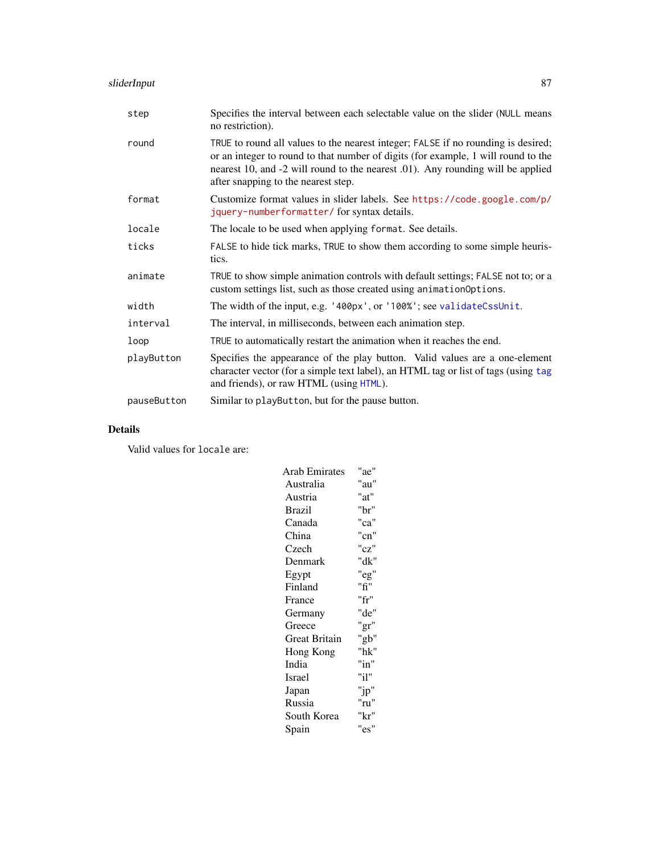| step        | Specifies the interval between each selectable value on the slider (NULL means<br>no restriction).                                                                                                                                                                                               |
|-------------|--------------------------------------------------------------------------------------------------------------------------------------------------------------------------------------------------------------------------------------------------------------------------------------------------|
| round       | TRUE to round all values to the nearest integer; FALSE if no rounding is desired;<br>or an integer to round to that number of digits (for example, 1 will round to the<br>nearest 10, and -2 will round to the nearest .01). Any rounding will be applied<br>after snapping to the nearest step. |
| format      | Customize format values in slider labels. See https://code.google.com/p/<br>jquery-numberformatter/for syntax details.                                                                                                                                                                           |
| locale      | The locale to be used when applying format. See details.                                                                                                                                                                                                                                         |
| ticks       | FALSE to hide tick marks, TRUE to show them according to some simple heuris-<br>tics.                                                                                                                                                                                                            |
| animate     | TRUE to show simple animation controls with default settings; FALSE not to; or a<br>custom settings list, such as those created using animation Options.                                                                                                                                         |
| width       | The width of the input, e.g. '400px', or '100%'; see validateCssUnit.                                                                                                                                                                                                                            |
| interval    | The interval, in milliseconds, between each animation step.                                                                                                                                                                                                                                      |
| loop        | TRUE to automatically restart the animation when it reaches the end.                                                                                                                                                                                                                             |
| playButton  | Specifies the appearance of the play button. Valid values are a one-element<br>character vector (for a simple text label), an HTML tag or list of tags (using tag<br>and friends), or raw HTML (using HTML).                                                                                     |
| pauseButton | Similar to playButton, but for the pause button.                                                                                                                                                                                                                                                 |

## Details

Valid values for locale are:

| <b>Arab Emirates</b> | "ae"     |
|----------------------|----------|
| Australia            | "au"     |
| Austria              | "at"     |
| <b>Brazil</b>        | "br"     |
| Canada               | "ca"     |
| China                | "cn"     |
| Czech                | "cz"     |
| Denmark              | "dk"     |
| Egypt                | "eg"     |
| Finland              | "fi"     |
| France               | "fr"     |
| Germany              | "de"     |
| Greece               | "gr"     |
| Great Britain        | "gb"     |
| Hong Kong            | "hk"     |
| India                | "in"     |
| Israel               | "i1"     |
| Japan                | " $jp$ " |
| Russia               | "ru"     |
| South Korea          | "kr"     |
| Spain                | "es"     |
|                      |          |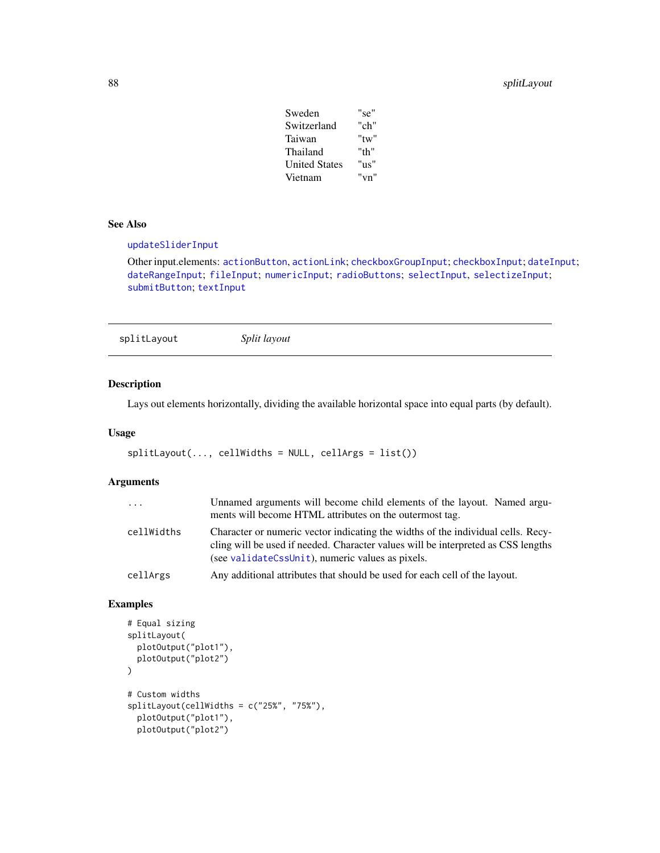## 88 splitLayout

| Sweden               | "se"       |
|----------------------|------------|
| Switzerland          | "ch"       |
| Taiwan               | $"$ tw $"$ |
| Thailand             | "th"       |
| <b>United States</b> | "צוו"      |
| Vietnam              | "vn"       |

#### See Also

[updateSliderInput](#page-104-0)

Other input.elements: [actionButton](#page-5-0), [actionLink](#page-5-1); [checkboxGroupInput](#page-9-0); [checkboxInput](#page-10-0); [dateInput](#page-14-0); [dateRangeInput](#page-15-0); [fileInput](#page-21-0); [numericInput](#page-41-0); [radioButtons](#page-50-0); [selectInput](#page-75-0), [selectizeInput](#page-75-1); [submitButton](#page-88-0); [textInput](#page-93-0)

splitLayout *Split layout*

## Description

Lays out elements horizontally, dividing the available horizontal space into equal parts (by default).

## Usage

```
splitLayout(..., cellWidths = NULL, cells = list())
```
## Arguments

| $\cdots$   | Unnamed arguments will become child elements of the layout. Named argu-<br>ments will become HTML attributes on the outermost tag.                                                                                        |
|------------|---------------------------------------------------------------------------------------------------------------------------------------------------------------------------------------------------------------------------|
| cellWidths | Character or numeric vector indicating the widths of the individual cells. Recy-<br>cling will be used if needed. Character values will be interpreted as CSS lengths<br>(see validateCssUnit), numeric values as pixels. |
| cellArgs   | Any additional attributes that should be used for each cell of the layout.                                                                                                                                                |

```
# Equal sizing
splitLayout(
  plotOutput("plot1"),
  plotOutput("plot2")
\mathcal{L}# Custom widths
splitLayout(cellWidths = c("25%", "75%"),
  plotOutput("plot1"),
  plotOutput("plot2")
```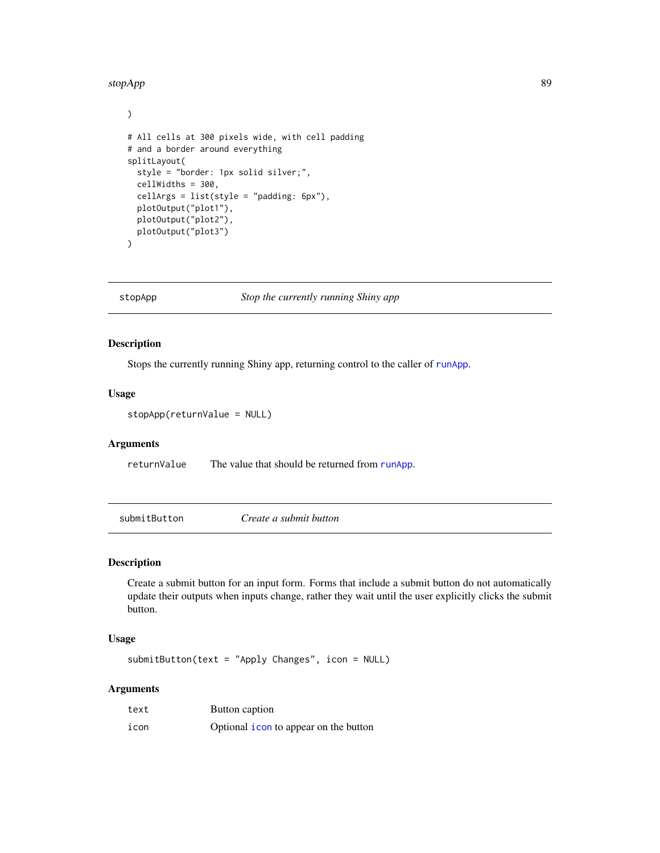#### stopApp 89 and 80 stop App 89 and 80 stop App 89 and 80 stop App 89 and 80 stop App 89 and 80 stop App 89 and 80 stop App 89 and 80 stop App 89 and 80 stop App 80 stop App 80 stop App 80 stop App 80 stop App 80 stop App 80

```
)
# All cells at 300 pixels wide, with cell padding
# and a border around everything
splitLayout(
  style = "border: 1px solid silver;",
  cellWidths = 300,
  cellArgs = list(style = "padding: 6px"),
  plotOutput("plot1"),
  plotOutput("plot2"),
  plotOutput("plot3")
\overline{\phantom{0}}
```
stopApp *Stop the currently running Shiny app*

## Description

Stops the currently running Shiny app, returning control to the caller of [runApp](#page-72-0).

#### Usage

stopApp(returnValue = NULL)

## Arguments

returnValue The value that should be returned from [runApp](#page-72-0).

<span id="page-88-0"></span>submitButton *Create a submit button*

## Description

Create a submit button for an input form. Forms that include a submit button do not automatically update their outputs when inputs change, rather they wait until the user explicitly clicks the submit button.

## Usage

submitButton(text = "Apply Changes", icon = NULL)

| text | Button caption                                |
|------|-----------------------------------------------|
| icon | Optional <i>i</i> con to appear on the button |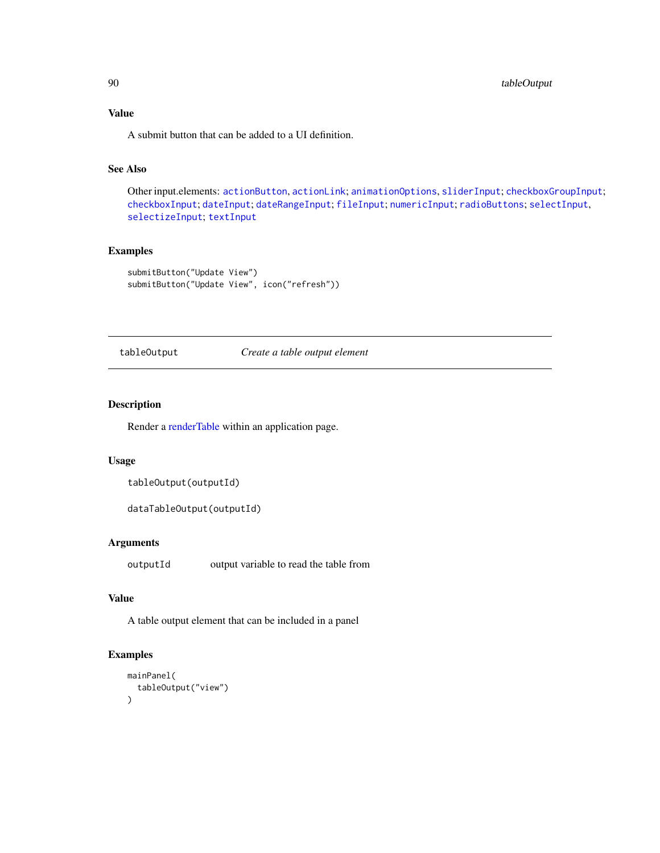## Value

A submit button that can be added to a UI definition.

## See Also

Other input.elements: [actionButton](#page-5-0), [actionLink](#page-5-1); [animationOptions](#page-85-0), [sliderInput](#page-85-1); [checkboxGroupInput](#page-9-0); [checkboxInput](#page-10-0); [dateInput](#page-14-0); [dateRangeInput](#page-15-0); [fileInput](#page-21-0); [numericInput](#page-41-0); [radioButtons](#page-50-0); [selectInput](#page-75-0), [selectizeInput](#page-75-1); [textInput](#page-93-0)

## Examples

```
submitButton("Update View")
submitButton("Update View", icon("refresh"))
```
tableOutput *Create a table output element*

## Description

Render a [renderTable](#page-68-0) within an application page.

## Usage

```
tableOutput(outputId)
```

```
dataTableOutput(outputId)
```
#### Arguments

outputId output variable to read the table from

## Value

A table output element that can be included in a panel

```
mainPanel(
  tableOutput("view")
\mathcal{L}
```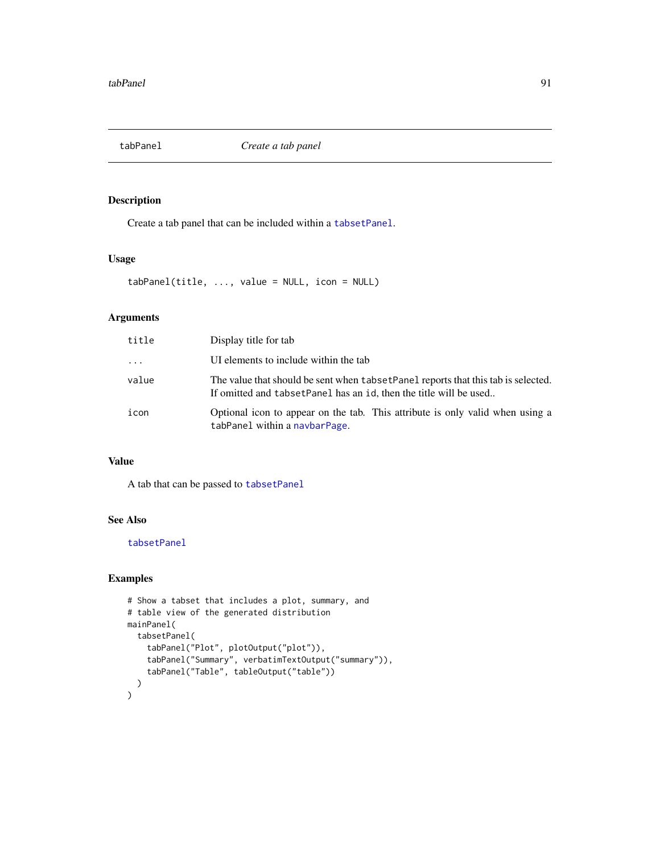<span id="page-90-0"></span>

Create a tab panel that can be included within a [tabsetPanel](#page-91-0).

#### Usage

tabPanel(title, ..., value = NULL, icon = NULL)

#### Arguments

| title    | Display title for tab                                                                                                                                    |
|----------|----------------------------------------------------------------------------------------------------------------------------------------------------------|
| $\cdots$ | UI elements to include within the tab                                                                                                                    |
| value    | The value that should be sent when tabset Panel reports that this tab is selected.<br>If omitted and tabset Panel has an id, then the title will be used |
| icon     | Optional icon to appear on the tab. This attribute is only valid when using a<br>tabPanel within a navbarPage.                                           |

## Value

A tab that can be passed to [tabsetPanel](#page-91-0)

### See Also

[tabsetPanel](#page-91-0)

```
# Show a tabset that includes a plot, summary, and
# table view of the generated distribution
mainPanel(
  tabsetPanel(
    tabPanel("Plot", plotOutput("plot")),
    tabPanel("Summary", verbatimTextOutput("summary")),
    tabPanel("Table", tableOutput("table"))
 )
\mathcal{L}
```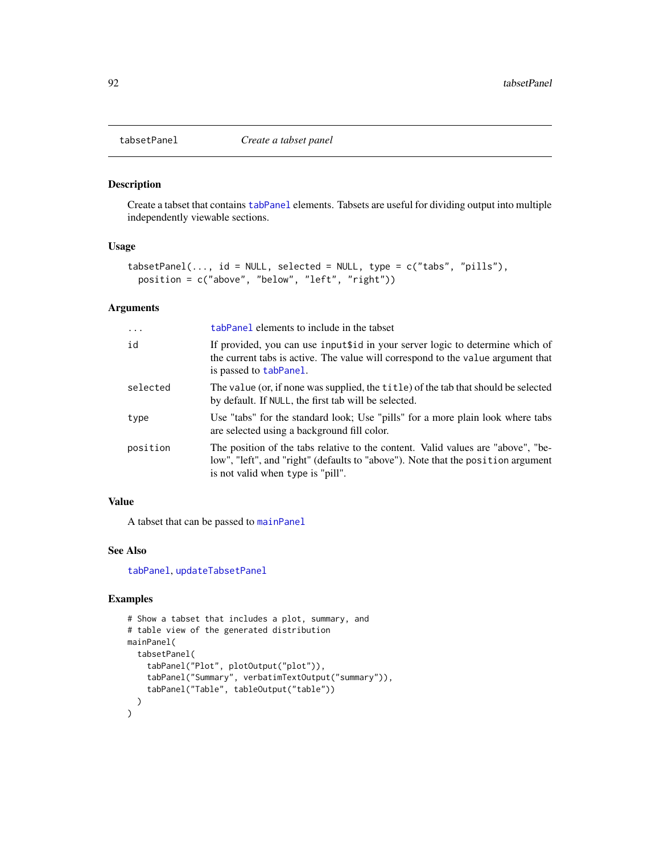<span id="page-91-0"></span>

Create a tabset that contains [tabPanel](#page-90-0) elements. Tabsets are useful for dividing output into multiple independently viewable sections.

#### Usage

```
tabsetPanel(..., id = NULL, selected = NULL, type = c("tabs", "pills"),position = c("above", "below", "left", "right"))
```
## Arguments

| $\ddots$ . | tabPanel elements to include in the tabset                                                                                                                                                                |
|------------|-----------------------------------------------------------------------------------------------------------------------------------------------------------------------------------------------------------|
| id         | If provided, you can use inputtid in your server logic to determine which of<br>the current tabs is active. The value will correspond to the value argument that<br>is passed to tabPanel.                |
| selected   | The value (or, if none was supplied, the title) of the tab that should be selected<br>by default. If NULL, the first tab will be selected.                                                                |
| type       | Use "tabs" for the standard look; Use "pills" for a more plain look where tabs<br>are selected using a background fill color.                                                                             |
| position   | The position of the tabs relative to the content. Valid values are "above", "be-<br>low", "left", and "right" (defaults to "above"). Note that the position argument<br>is not valid when type is "pill". |

#### Value

A tabset that can be passed to [mainPanel](#page-36-0)

## See Also

[tabPanel](#page-90-0), [updateTabsetPanel](#page-105-0)

```
# Show a tabset that includes a plot, summary, and
# table view of the generated distribution
mainPanel(
  tabsetPanel(
    tabPanel("Plot", plotOutput("plot")),
    tabPanel("Summary", verbatimTextOutput("summary")),
    tabPanel("Table", tableOutput("table"))
  )
\mathcal{L}
```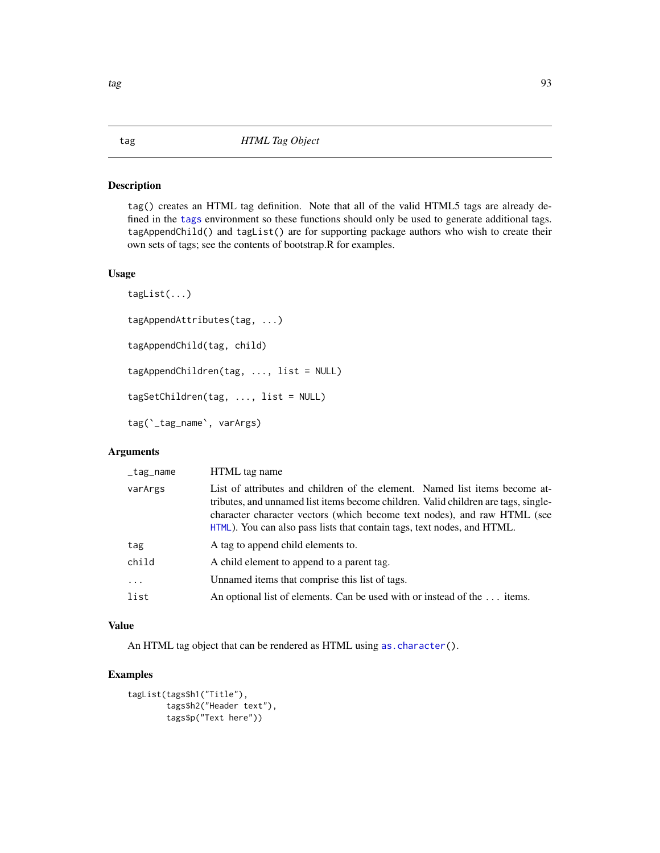<span id="page-92-0"></span>tag() creates an HTML tag definition. Note that all of the valid HTML5 tags are already defined in the [tags](#page-8-0) environment so these functions should only be used to generate additional tags. tagAppendChild() and tagList() are for supporting package authors who wish to create their own sets of tags; see the contents of bootstrap.R for examples.

## Usage

```
tagList(...)
tagAppendAttributes(tag, ...)
tagAppendChild(tag, child)
tagAppendChildren(tag, ..., list = NULL)
tagSetChildren(tag, ..., list = NULL)
tag(`_tag_name`, varArgs)
```
## Arguments

| _tag_name | HTML tag name                                                                                                                                                                                                                                                                                                            |
|-----------|--------------------------------------------------------------------------------------------------------------------------------------------------------------------------------------------------------------------------------------------------------------------------------------------------------------------------|
| varArgs   | List of attributes and children of the element. Named list items become at-<br>tributes, and unnamed list items become children. Valid children are tags, single-<br>character character vectors (which become text nodes), and raw HTML (see<br>HTML). You can also pass lists that contain tags, text nodes, and HTML. |
| tag       | A tag to append child elements to.                                                                                                                                                                                                                                                                                       |
| child     | A child element to append to a parent tag.                                                                                                                                                                                                                                                                               |
| .         | Unnamed items that comprise this list of tags.                                                                                                                                                                                                                                                                           |
| list      | An optional list of elements. Can be used with or instead of the  items.                                                                                                                                                                                                                                                 |
|           |                                                                                                                                                                                                                                                                                                                          |

### Value

An HTML tag object that can be rendered as HTML using [as.character\(](#page-0-0)).

```
tagList(tags$h1("Title"),
       tags$h2("Header text"),
       tags$p("Text here"))
```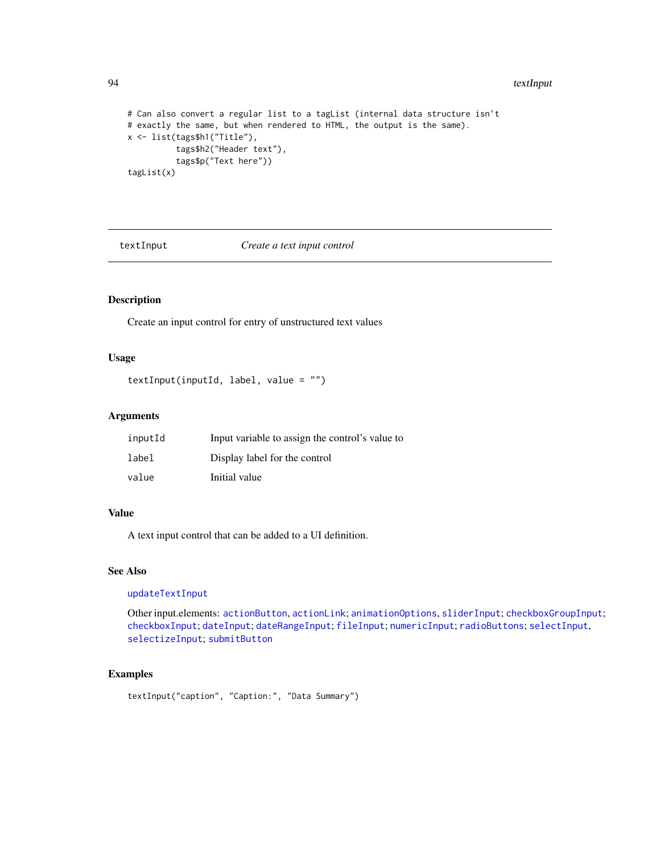#### 94 textInput

```
# Can also convert a regular list to a tagList (internal data structure isn't
# exactly the same, but when rendered to HTML, the output is the same).
x <- list(tags$h1("Title"),
         tags$h2("Header text"),
          tags$p("Text here"))
tagList(x)
```
<span id="page-93-0"></span>textInput *Create a text input control*

## Description

Create an input control for entry of unstructured text values

#### Usage

```
textInput(inputId, label, value = "")
```
## Arguments

| inputId | Input variable to assign the control's value to |
|---------|-------------------------------------------------|
| label   | Display label for the control                   |
| value   | Initial value                                   |

## Value

A text input control that can be added to a UI definition.

#### See Also

[updateTextInput](#page-106-0)

Other input.elements: [actionButton](#page-5-0), [actionLink](#page-5-1); [animationOptions](#page-85-0), [sliderInput](#page-85-1); [checkboxGroupInput](#page-9-0); [checkboxInput](#page-10-0); [dateInput](#page-14-0); [dateRangeInput](#page-15-0); [fileInput](#page-21-0); [numericInput](#page-41-0); [radioButtons](#page-50-0); [selectInput](#page-75-0), [selectizeInput](#page-75-1); [submitButton](#page-88-0)

```
textInput("caption", "Caption:", "Data Summary")
```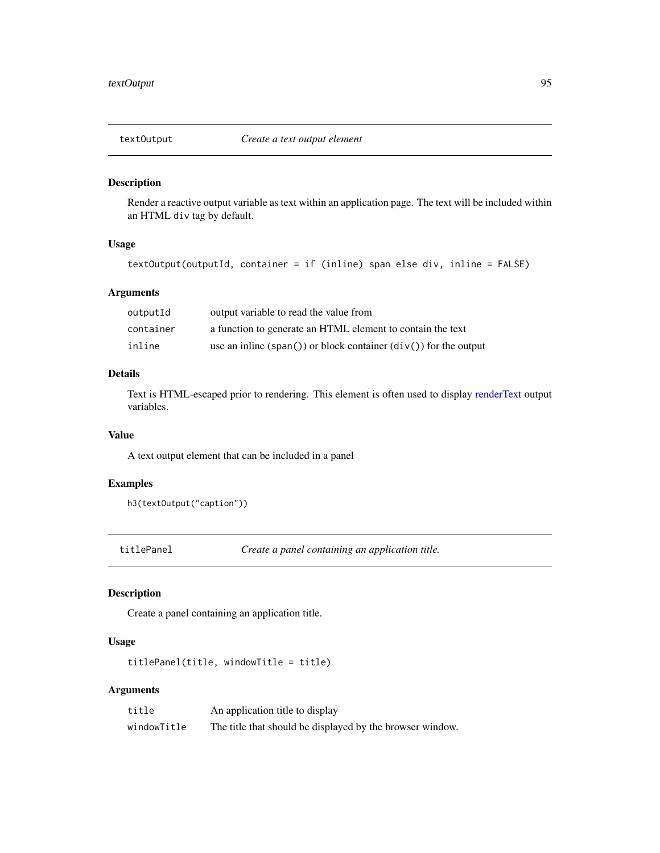Render a reactive output variable as text within an application page. The text will be included within an HTML div tag by default.

## Usage

```
textOutput(outputId, container = if (inline) span else div, inline = FALSE)
```
## Arguments

| outputId  | output variable to read the value from                                               |
|-----------|--------------------------------------------------------------------------------------|
| container | a function to generate an HTML element to contain the text                           |
| inline    | use an inline $(\text{span}() )$ or block container $(\text{div}() )$ for the output |

## Details

Text is HTML-escaped prior to rendering. This element is often used to display [renderText](#page-68-1) output variables.

#### Value

A text output element that can be included in a panel

## Examples

```
h3(textOutput("caption"))
```
titlePanel *Create a panel containing an application title.*

## Description

Create a panel containing an application title.

## Usage

```
titlePanel(title, windowTitle = title)
```

| title       | An application title to display                           |
|-------------|-----------------------------------------------------------|
| windowTitle | The title that should be displayed by the browser window. |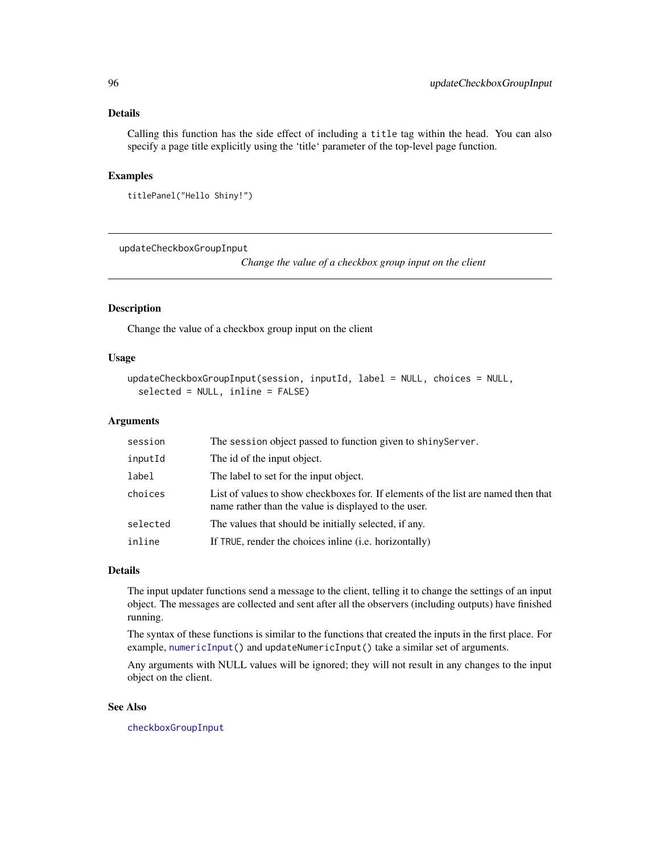## Details

Calling this function has the side effect of including a title tag within the head. You can also specify a page title explicitly using the 'title' parameter of the top-level page function.

#### Examples

```
titlePanel("Hello Shiny!")
```
updateCheckboxGroupInput

*Change the value of a checkbox group input on the client*

## Description

Change the value of a checkbox group input on the client

#### Usage

```
updateCheckboxGroupInput(session, inputId, label = NULL, choices = NULL,
  selected = NULL, inline = FALSE)
```
#### Arguments

| session  | The session object passed to function given to shinyServer.                                                                                |
|----------|--------------------------------------------------------------------------------------------------------------------------------------------|
| inputId  | The id of the input object.                                                                                                                |
| label    | The label to set for the input object.                                                                                                     |
| choices  | List of values to show checkboxes for. If elements of the list are named then that<br>name rather than the value is displayed to the user. |
| selected | The values that should be initially selected, if any.                                                                                      |
| inline   | If TRUE, render the choices in line ( <i>i.e.</i> horizontally)                                                                            |

#### Details

The input updater functions send a message to the client, telling it to change the settings of an input object. The messages are collected and sent after all the observers (including outputs) have finished running.

The syntax of these functions is similar to the functions that created the inputs in the first place. For example, [numericInput\(](#page-41-0)) and updateNumericInput() take a similar set of arguments.

Any arguments with NULL values will be ignored; they will not result in any changes to the input object on the client.

#### See Also

[checkboxGroupInput](#page-9-0)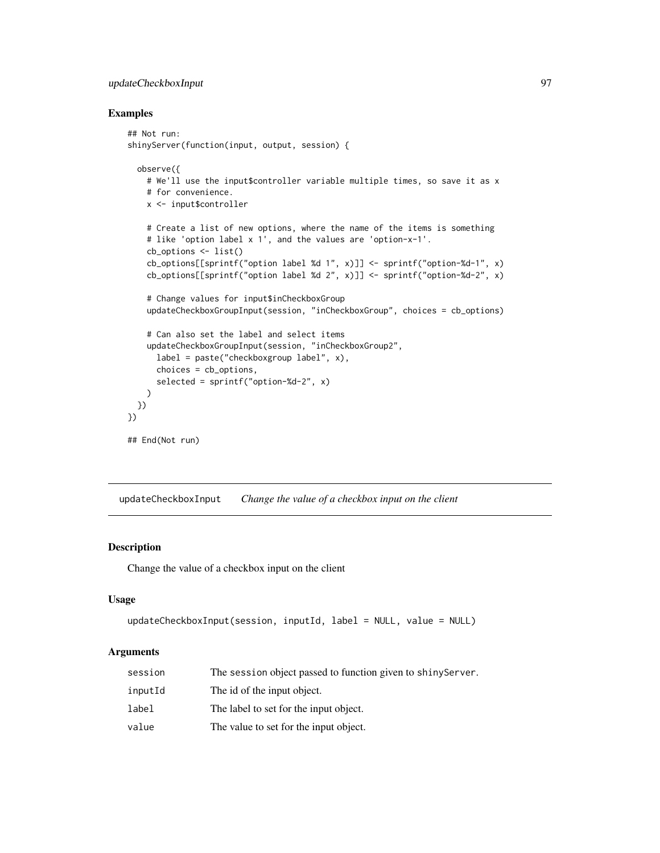## updateCheckboxInput 97

#### Examples

```
## Not run:
shinyServer(function(input, output, session) {
 observe({
   # We'll use the input$controller variable multiple times, so save it as x
   # for convenience.
   x <- input$controller
   # Create a list of new options, where the name of the items is something
    # like 'option label x 1', and the values are 'option-x-1'.
   cb_options <- list()
   cb_options[[sprintf("option label %d 1", x)]] <- sprintf("option-%d-1", x)
   cb_options[[sprintf("option label %d 2", x)]] <- sprintf("option-%d-2", x)
    # Change values for input$inCheckboxGroup
   updateCheckboxGroupInput(session, "inCheckboxGroup", choices = cb_options)
    # Can also set the label and select items
   updateCheckboxGroupInput(session, "inCheckboxGroup2",
     label = paste("checkboxgroup label", x),
     choices = cb_options,
     selected = sprintf("option-%d-2", x)
   )
 })
})
## End(Not run)
```
updateCheckboxInput *Change the value of a checkbox input on the client*

#### Description

Change the value of a checkbox input on the client

#### Usage

```
updateCheckboxInput(session, inputId, label = NULL, value = NULL)
```

| session | The session object passed to function given to shinyServer. |
|---------|-------------------------------------------------------------|
| inputId | The id of the input object.                                 |
| label   | The label to set for the input object.                      |
| value   | The value to set for the input object.                      |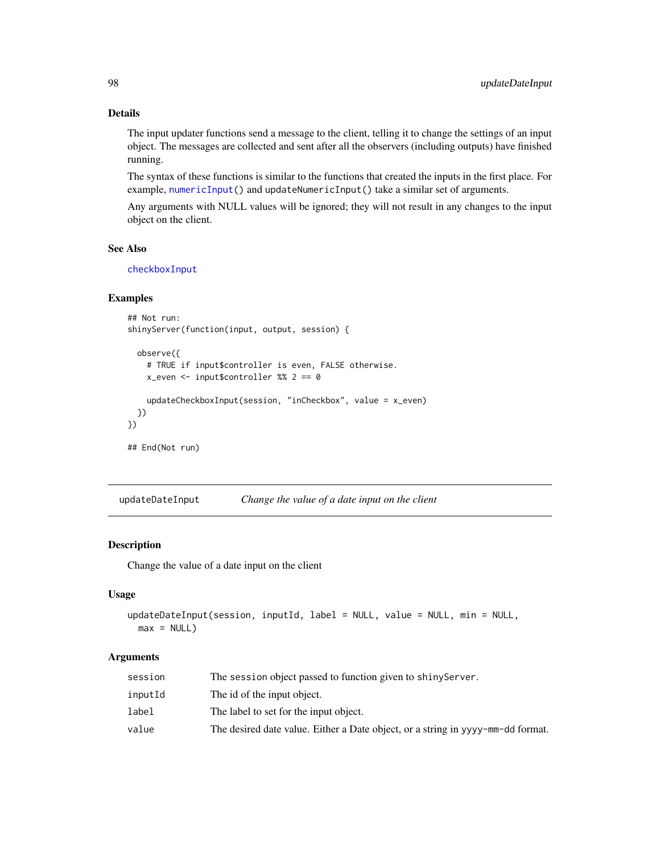## Details

The input updater functions send a message to the client, telling it to change the settings of an input object. The messages are collected and sent after all the observers (including outputs) have finished running.

The syntax of these functions is similar to the functions that created the inputs in the first place. For example, [numericInput\(](#page-41-0)) and updateNumericInput() take a similar set of arguments.

Any arguments with NULL values will be ignored; they will not result in any changes to the input object on the client.

## See Also

[checkboxInput](#page-10-0)

#### Examples

```
## Not run:
shinyServer(function(input, output, session) {
```

```
observe({
   # TRUE if input$controller is even, FALSE otherwise.
   x_even <- input$controller %% 2 == 0
   updateCheckboxInput(session, "inCheckbox", value = x_even)
 })
})
## End(Not run)
```
updateDateInput *Change the value of a date input on the client*

#### Description

Change the value of a date input on the client

#### Usage

```
updateDateInput(session, inputId, label = NULL, value = NULL, min = NULL,
 max = NULL
```

| session | The session object passed to function given to shiny Server.                    |
|---------|---------------------------------------------------------------------------------|
| inputId | The id of the input object.                                                     |
| label   | The label to set for the input object.                                          |
| value   | The desired date value. Either a Date object, or a string in yyyy-mm-dd format. |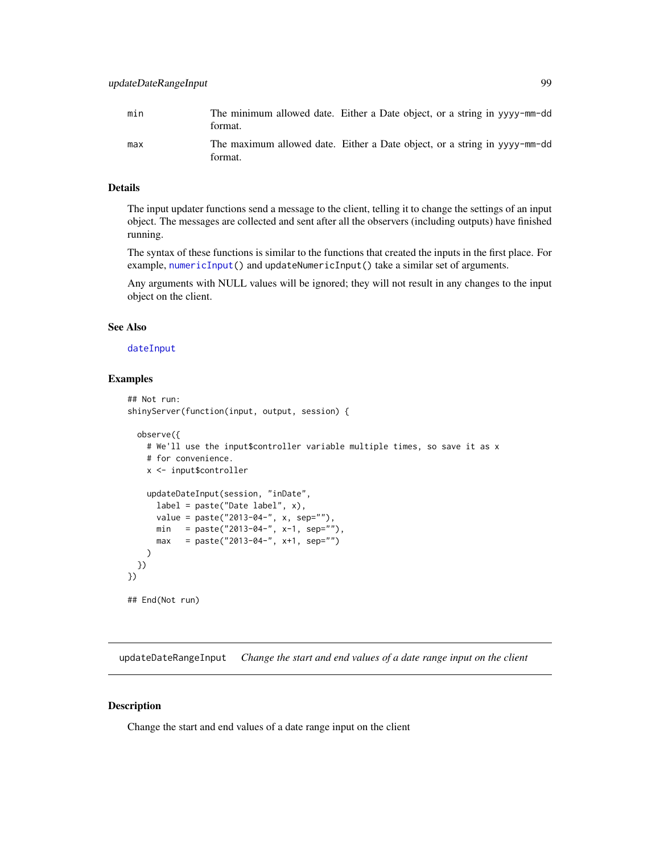| min | format. | The minimum allowed date. Either a Date object, or a string in yyyy-mm-dd |
|-----|---------|---------------------------------------------------------------------------|
| max | format. | The maximum allowed date. Either a Date object, or a string in yyvy-mm-dd |

#### Details

The input updater functions send a message to the client, telling it to change the settings of an input object. The messages are collected and sent after all the observers (including outputs) have finished running.

The syntax of these functions is similar to the functions that created the inputs in the first place. For example, [numericInput\(](#page-41-0)) and updateNumericInput() take a similar set of arguments.

Any arguments with NULL values will be ignored; they will not result in any changes to the input object on the client.

### See Also

#### [dateInput](#page-14-0)

## Examples

```
## Not run:
shinyServer(function(input, output, session) {
 observe({
   # We'll use the input$controller variable multiple times, so save it as x
   # for convenience.
   x <- input$controller
   updateDateInput(session, "inDate",
     label = paste("Date label", x),
     value = paste("2013-04-", x, sep=""),
      min = paste("2013-04-", x-1, sep=""),
      max = paste("2013-04-", x+1, sep="")
   )
 })
})
## End(Not run)
```
updateDateRangeInput *Change the start and end values of a date range input on the client*

## Description

Change the start and end values of a date range input on the client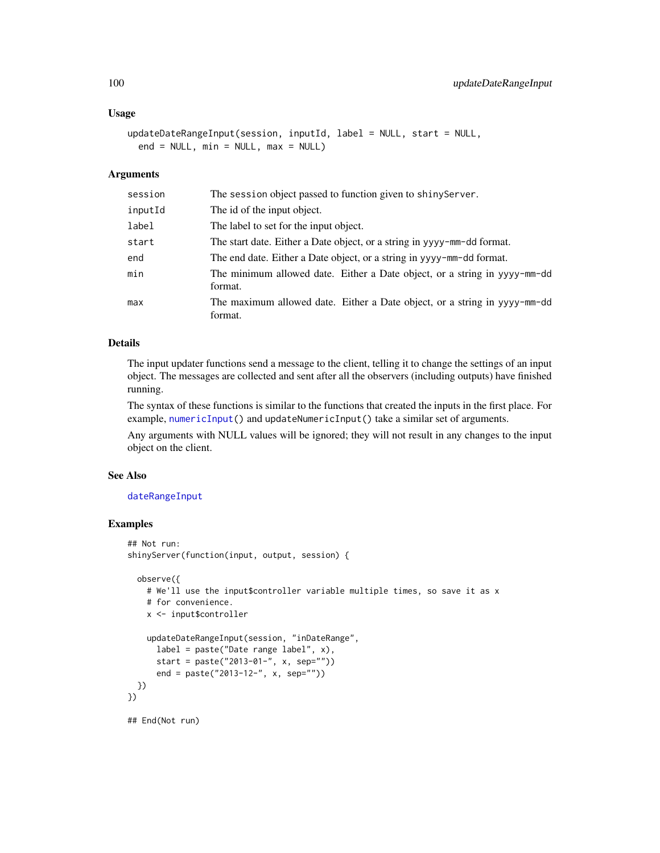#### Usage

```
updateDateRangeInput(session, inputId, label = NULL, start = NULL,
 end = NULL, min = NULL, max = NULL)
```
#### Arguments

| session | The session object passed to function given to shinyServer.                          |
|---------|--------------------------------------------------------------------------------------|
| inputId | The id of the input object.                                                          |
| label   | The label to set for the input object.                                               |
| start   | The start date. Either a Date object, or a string in yyyy-mm-dd format.              |
| end     | The end date. Either a Date object, or a string in yyyy-mm-dd format.                |
| min     | The minimum allowed date. Either a Date object, or a string in yyyy-mm-dd<br>format. |
| max     | The maximum allowed date. Either a Date object, or a string in yyyy-mm-dd<br>format. |

## Details

The input updater functions send a message to the client, telling it to change the settings of an input object. The messages are collected and sent after all the observers (including outputs) have finished running.

The syntax of these functions is similar to the functions that created the inputs in the first place. For example, [numericInput\(](#page-41-0)) and updateNumericInput() take a similar set of arguments.

Any arguments with NULL values will be ignored; they will not result in any changes to the input object on the client.

## See Also

#### [dateRangeInput](#page-15-0)

```
## Not run:
shinyServer(function(input, output, session) {
 observe({
   # We'll use the input$controller variable multiple times, so save it as x
    # for convenience.
    x <- input$controller
   updateDateRangeInput(session, "inDateRange",
     label = paste("Date range label", x),
     start = paste("2013-01-", x, sep=""))
     end = paste("2013-12-", x, sep=""))
 })
})
## End(Not run)
```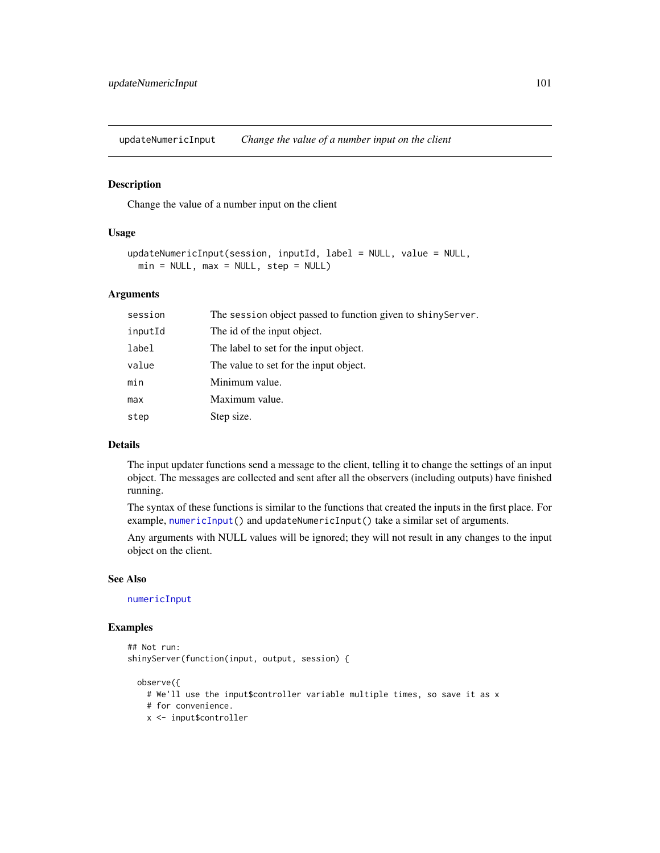updateNumericInput *Change the value of a number input on the client*

## Description

Change the value of a number input on the client

#### Usage

```
updateNumericInput(session, inputId, label = NULL, value = NULL,
 min = NULL, max = NULL, step = NULL)
```
#### Arguments

| session | The session object passed to function given to shiny Server. |
|---------|--------------------------------------------------------------|
| inputId | The id of the input object.                                  |
| label   | The label to set for the input object.                       |
| value   | The value to set for the input object.                       |
| min     | Minimum value.                                               |
| max     | Maximum value.                                               |
| step    | Step size.                                                   |
|         |                                                              |

## Details

The input updater functions send a message to the client, telling it to change the settings of an input object. The messages are collected and sent after all the observers (including outputs) have finished running.

The syntax of these functions is similar to the functions that created the inputs in the first place. For example, [numericInput\(](#page-41-0)) and updateNumericInput() take a similar set of arguments.

Any arguments with NULL values will be ignored; they will not result in any changes to the input object on the client.

#### See Also

### [numericInput](#page-41-0)

```
## Not run:
shinyServer(function(input, output, session) {
 observe({
```

```
# We'll use the input$controller variable multiple times, so save it as x
```

```
# for convenience.
```

```
x <- input$controller
```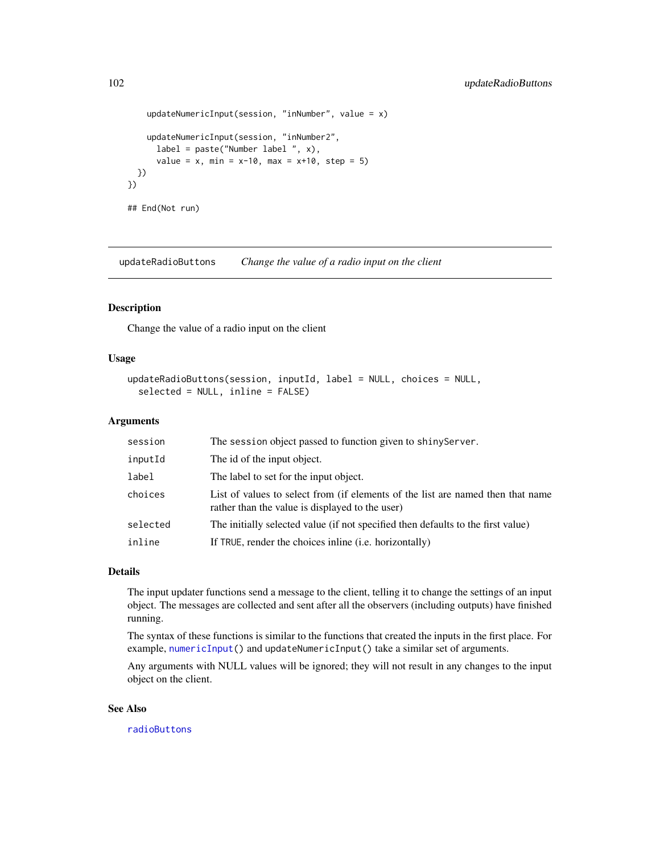```
updateNumericInput(session, "inNumber", value = x)
    updateNumericInput(session, "inNumber2",
      label = paste("Number label ", x),
      value = x, min = x-10, max = x+10, step = 5)
  })
})
## End(Not run)
```
updateRadioButtons *Change the value of a radio input on the client*

## Description

Change the value of a radio input on the client

#### Usage

```
updateRadioButtons(session, inputId, label = NULL, choices = NULL,
  selected = NULL, inline = FALSE)
```
## Arguments

| session  | The session object passed to function given to shinyServer.                                                                        |
|----------|------------------------------------------------------------------------------------------------------------------------------------|
| inputId  | The id of the input object.                                                                                                        |
| label    | The label to set for the input object.                                                                                             |
| choices  | List of values to select from (if elements of the list are named then that name<br>rather than the value is displayed to the user) |
| selected | The initially selected value (if not specified then defaults to the first value)                                                   |
| inline   | If TRUE, render the choices inline (i.e. horizontally)                                                                             |

#### Details

The input updater functions send a message to the client, telling it to change the settings of an input object. The messages are collected and sent after all the observers (including outputs) have finished running.

The syntax of these functions is similar to the functions that created the inputs in the first place. For example, [numericInput\(](#page-41-0)) and updateNumericInput() take a similar set of arguments.

Any arguments with NULL values will be ignored; they will not result in any changes to the input object on the client.

## See Also

[radioButtons](#page-50-0)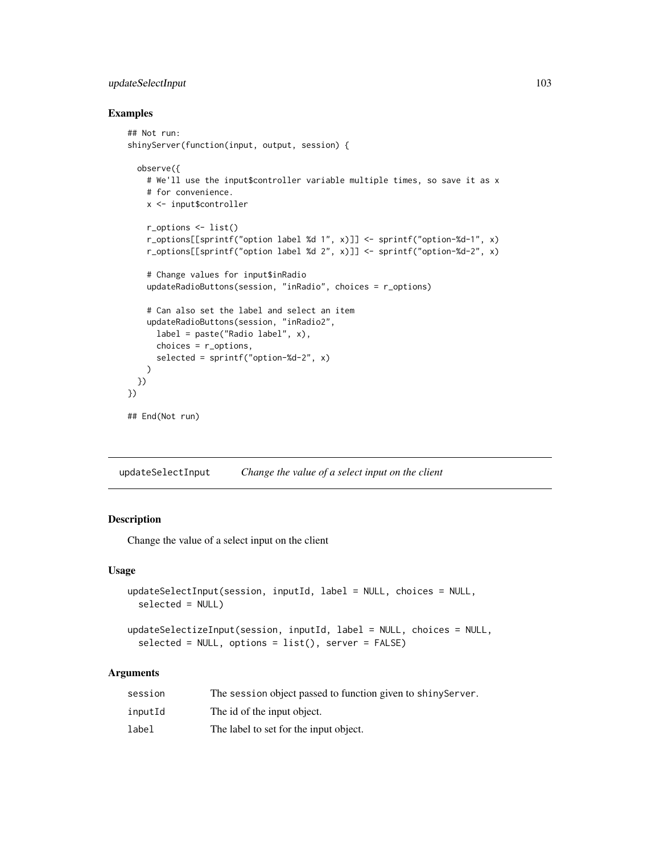## updateSelectInput 103

#### Examples

```
## Not run:
shinyServer(function(input, output, session) {
 observe({
   # We'll use the input$controller variable multiple times, so save it as x
   # for convenience.
   x <- input$controller
   r_options <- list()
   r_options[[sprintf("option label %d 1", x)]] <- sprintf("option-%d-1", x)
   r_options[[sprintf("option label %d 2", x)]] <- sprintf("option-%d-2", x)
    # Change values for input$inRadio
   updateRadioButtons(session, "inRadio", choices = r_options)
   # Can also set the label and select an item
   updateRadioButtons(session, "inRadio2",
     label = paste("Radio label", x),
     choices = r_options,
     selected = sprintf("option-%d-2", x)
   )
 })
})
## End(Not run)
```
<span id="page-102-0"></span>updateSelectInput *Change the value of a select input on the client*

## Description

Change the value of a select input on the client

#### Usage

```
updateSelectInput(session, inputId, label = NULL, choices = NULL,
  selected = NULL)
```

```
updateSelectizeInput(session, inputId, label = NULL, choices = NULL,
  selected = NULL, options = list(), server = FALSE)
```

| session | The session object passed to function given to shiny Server. |
|---------|--------------------------------------------------------------|
| inputId | The id of the input object.                                  |
| label   | The label to set for the input object.                       |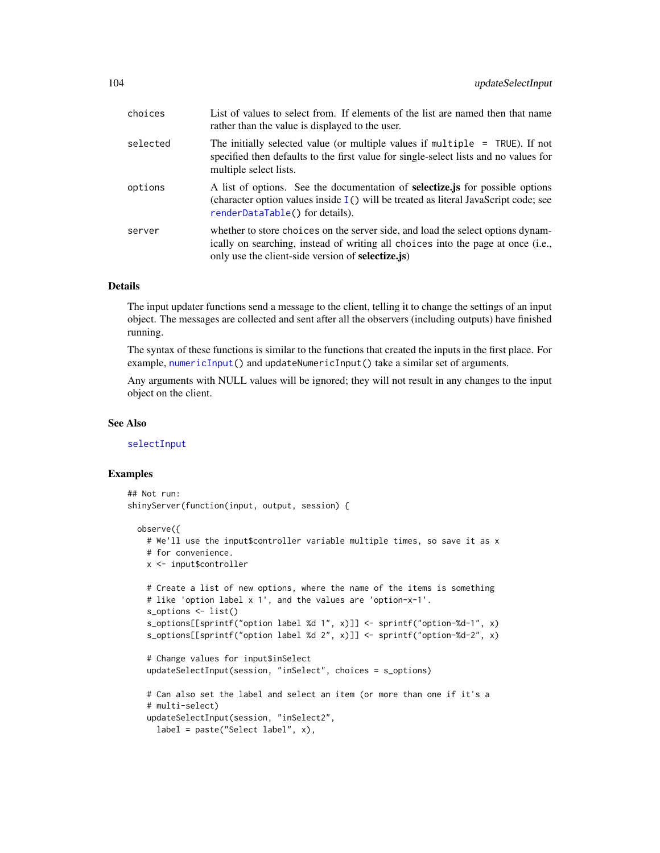| choices  | List of values to select from. If elements of the list are named then that name<br>rather than the value is displayed to the user.                                                                                               |
|----------|----------------------------------------------------------------------------------------------------------------------------------------------------------------------------------------------------------------------------------|
| selected | The initially selected value (or multiple values if multiple $=$ TRUE). If not<br>specified then defaults to the first value for single-select lists and no values for<br>multiple select lists.                                 |
| options  | A list of options. See the documentation of <b>selectize</b> , is for possible options<br>(character option values inside $I()$ will be treated as literal JavaScript code; see<br>renderDataTable() for details).               |
| server   | whether to store choices on the server side, and load the select options dynam-<br>ically on searching, instead of writing all choices into the page at once (i.e.,<br>only use the client-side version of <b>selectize</b> .js) |

## Details

The input updater functions send a message to the client, telling it to change the settings of an input object. The messages are collected and sent after all the observers (including outputs) have finished running.

The syntax of these functions is similar to the functions that created the inputs in the first place. For example, [numericInput\(](#page-41-0)) and updateNumericInput() take a similar set of arguments.

Any arguments with NULL values will be ignored; they will not result in any changes to the input object on the client.

#### See Also

[selectInput](#page-75-0)

```
## Not run:
shinyServer(function(input, output, session) {
 observe({
   # We'll use the input$controller variable multiple times, so save it as x
   # for convenience.
   x <- input$controller
   # Create a list of new options, where the name of the items is something
   # like 'option label x 1', and the values are 'option-x-1'.
   s_options <- list()
   s_options[[sprintf("option label %d 1", x)]] <- sprintf("option-%d-1", x)
   s_options[[sprintf("option label %d 2", x)]] <- sprintf("option-%d-2", x)
   # Change values for input$inSelect
   updateSelectInput(session, "inSelect", choices = s_options)
   # Can also set the label and select an item (or more than one if it's a
   # multi-select)
   updateSelectInput(session, "inSelect2",
     label = paste("Select label", x),
```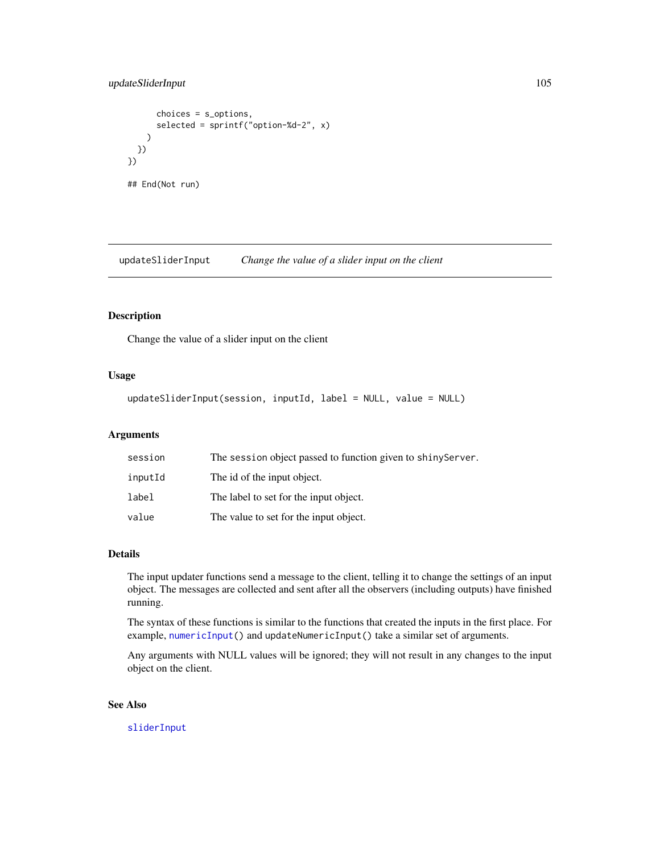## updateSliderInput 105

```
choices = s_options,
      selected = sprintf("option-%d-2", x)
   )
 })
})
## End(Not run)
```
<span id="page-104-0"></span>updateSliderInput *Change the value of a slider input on the client*

## Description

Change the value of a slider input on the client

#### Usage

```
updateSliderInput(session, inputId, label = NULL, value = NULL)
```
## Arguments

| session | The session object passed to function given to shiny Server. |
|---------|--------------------------------------------------------------|
| inputId | The id of the input object.                                  |
| label   | The label to set for the input object.                       |
| value   | The value to set for the input object.                       |

## Details

The input updater functions send a message to the client, telling it to change the settings of an input object. The messages are collected and sent after all the observers (including outputs) have finished running.

The syntax of these functions is similar to the functions that created the inputs in the first place. For example, [numericInput\(](#page-41-0)) and updateNumericInput() take a similar set of arguments.

Any arguments with NULL values will be ignored; they will not result in any changes to the input object on the client.

## See Also

[sliderInput](#page-85-1)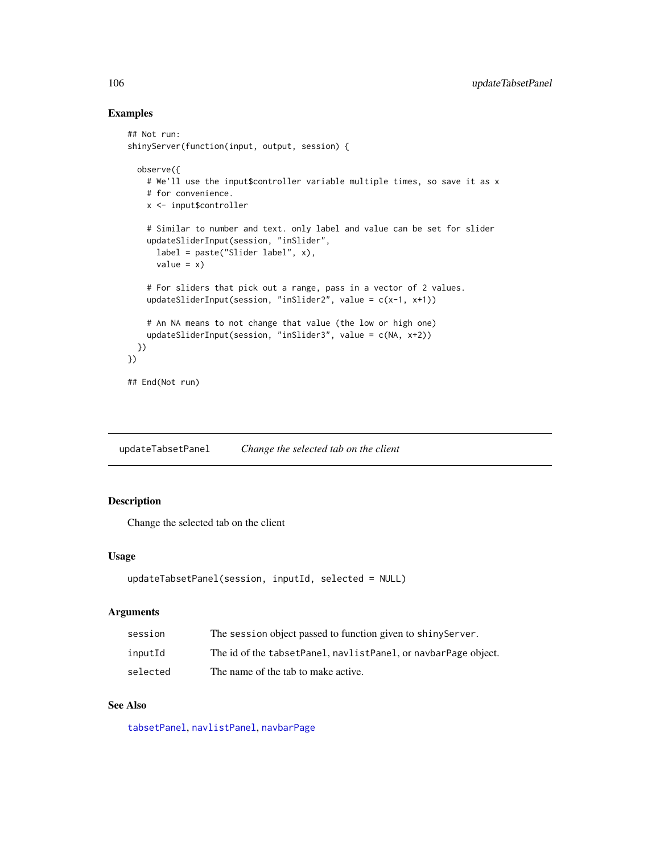## Examples

```
## Not run:
shinyServer(function(input, output, session) {
 observe({
   # We'll use the input$controller variable multiple times, so save it as x
   # for convenience.
   x <- input$controller
   # Similar to number and text. only label and value can be set for slider
   updateSliderInput(session, "inSlider",
     label = paste("Slider label", x),
     value = x)# For sliders that pick out a range, pass in a vector of 2 values.
   updateSliderInput(session, "inSlider2", value = c(x-1, x+1))
    # An NA means to not change that value (the low or high one)
    updateSliderInput(session, "inSlider3", value = c(NA, x+2))
 })
})
## End(Not run)
```
<span id="page-105-0"></span>updateTabsetPanel *Change the selected tab on the client*

## Description

Change the selected tab on the client

## Usage

```
updateTabsetPanel(session, inputId, selected = NULL)
```
#### Arguments

| session  | The session object passed to function given to shiny Server.   |
|----------|----------------------------------------------------------------|
| inputId  | The id of the tabsetPanel, navlistPanel, or navbarPage object. |
| selected | The name of the tab to make active.                            |

## See Also

[tabsetPanel](#page-91-0), [navlistPanel](#page-40-0), [navbarPage](#page-39-0)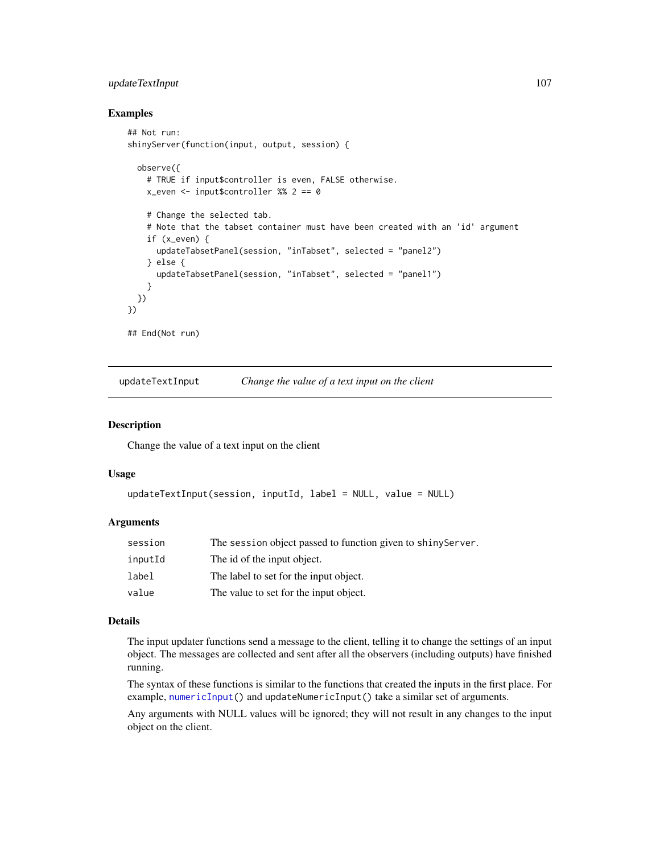## updateTextInput 107

#### Examples

```
## Not run:
shinyServer(function(input, output, session) {
 observe({
    # TRUE if input$controller is even, FALSE otherwise.
   x_even <- input$controller %% 2 == 0
   # Change the selected tab.
    # Note that the tabset container must have been created with an 'id' argument
    if (x_even) {
     updateTabsetPanel(session, "inTabset", selected = "panel2")
    } else {
     updateTabsetPanel(session, "inTabset", selected = "panel1")
    }
 })
})
## End(Not run)
```
<span id="page-106-0"></span>updateTextInput *Change the value of a text input on the client*

## Description

Change the value of a text input on the client

#### Usage

```
updateTextInput(session, inputId, label = NULL, value = NULL)
```
#### **Arguments**

| session | The session object passed to function given to shiny Server. |
|---------|--------------------------------------------------------------|
| inputId | The id of the input object.                                  |
| label   | The label to set for the input object.                       |
| value   | The value to set for the input object.                       |

## Details

The input updater functions send a message to the client, telling it to change the settings of an input object. The messages are collected and sent after all the observers (including outputs) have finished running.

The syntax of these functions is similar to the functions that created the inputs in the first place. For example, [numericInput\(](#page-41-0)) and updateNumericInput() take a similar set of arguments.

Any arguments with NULL values will be ignored; they will not result in any changes to the input object on the client.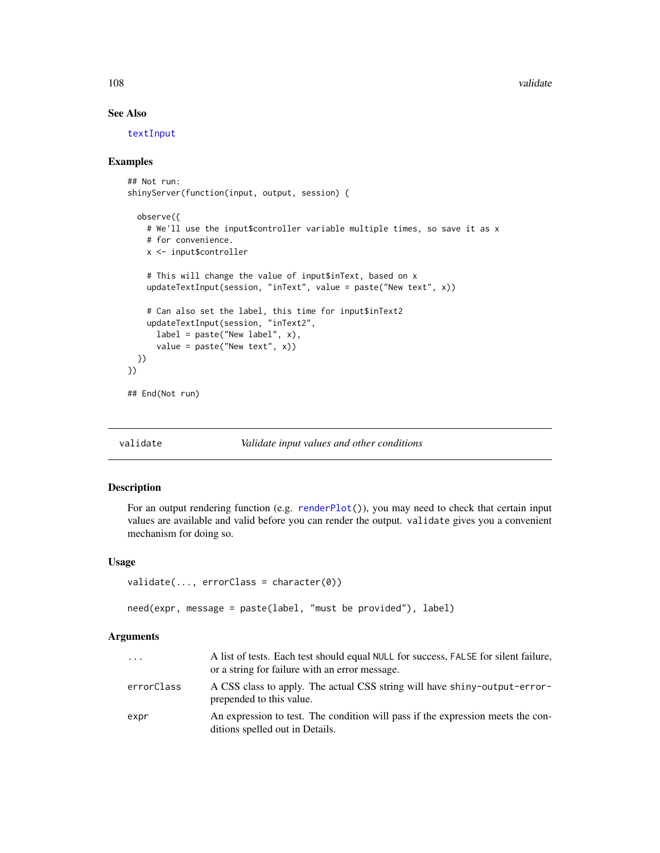108 validate values of the contract of the contract of the contract of the contract of the contract of the contract of the contract of the contract of the contract of the contract of the contract of the contract of the con

## See Also

[textInput](#page-93-0)

## Examples

```
## Not run:
shinyServer(function(input, output, session) {
  observe({
    # We'll use the input$controller variable multiple times, so save it as x
    # for convenience.
   x <- input$controller
    # This will change the value of input$inText, based on x
    updateTextInput(session, "inText", value = paste("New text", x))
    # Can also set the label, this time for input$inText2
   updateTextInput(session, "inText2",
      label = packet("New label", x),value = paste("New text", x))
  })
})
## End(Not run)
```
validate *Validate input values and other conditions*

## Description

For an output rendering function (e.g. [renderPlot\(](#page-65-0))), you may need to check that certain input values are available and valid before you can render the output. validate gives you a convenient mechanism for doing so.

#### Usage

```
validate(..., errorClass = character(0))
```
need(expr, message = paste(label, "must be provided"), label)

| .          | A list of tests. Each test should equal NULL for success, FALSE for silent failure,<br>or a string for failure with an error message. |
|------------|---------------------------------------------------------------------------------------------------------------------------------------|
| errorClass | A CSS class to apply. The actual CSS string will have shiny-output-error-<br>prepended to this value.                                 |
| expr       | An expression to test. The condition will pass if the expression meets the con-<br>ditions spelled out in Details.                    |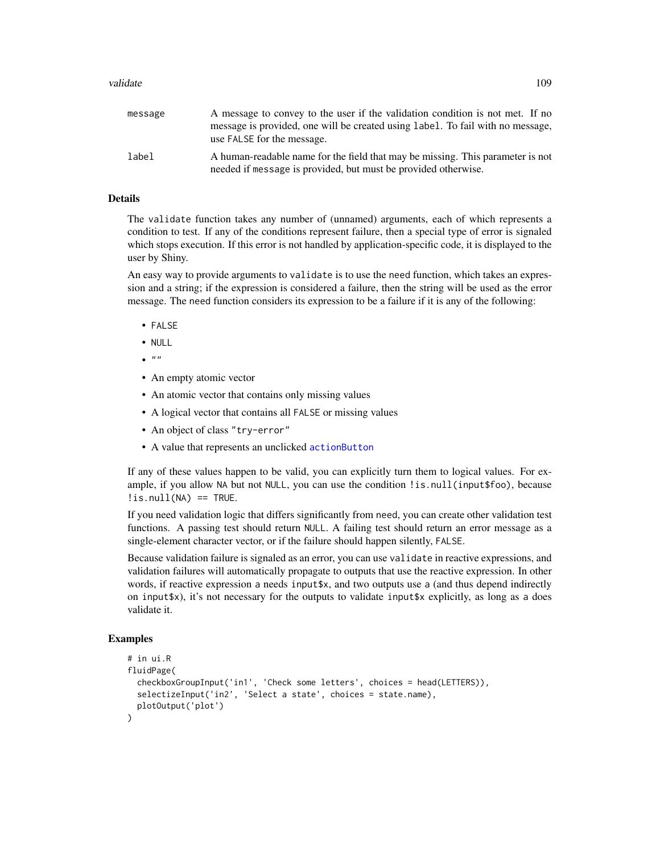#### <span id="page-108-0"></span>validate the contract of the contract of the contract of the contract of the contract of the contract of the contract of the contract of the contract of the contract of the contract of the contract of the contract of the c

| message | A message to convey to the user if the validation condition is not met. If no<br>message is provided, one will be created using label. To fail with no message,<br>use FALSE for the message. |
|---------|-----------------------------------------------------------------------------------------------------------------------------------------------------------------------------------------------|
| label   | A human-readable name for the field that may be missing. This parameter is not<br>needed if message is provided, but must be provided otherwise.                                              |

#### Details

The validate function takes any number of (unnamed) arguments, each of which represents a condition to test. If any of the conditions represent failure, then a special type of error is signaled which stops execution. If this error is not handled by application-specific code, it is displayed to the user by Shiny.

An easy way to provide arguments to validate is to use the need function, which takes an expression and a string; if the expression is considered a failure, then the string will be used as the error message. The need function considers its expression to be a failure if it is any of the following:

- FALSE
- NULL
- $\bullet$  ""
- An empty atomic vector
- An atomic vector that contains only missing values
- A logical vector that contains all FALSE or missing values
- An object of class "try-error"
- A value that represents an unclicked [actionButton](#page-5-0)

If any of these values happen to be valid, you can explicitly turn them to logical values. For example, if you allow NA but not NULL, you can use the condition !is.null(input\$foo), because  $!is.null(NA) == TRUE.$ 

If you need validation logic that differs significantly from need, you can create other validation test functions. A passing test should return NULL. A failing test should return an error message as a single-element character vector, or if the failure should happen silently, FALSE.

Because validation failure is signaled as an error, you can use validate in reactive expressions, and validation failures will automatically propagate to outputs that use the reactive expression. In other words, if reactive expression a needs input\$x, and two outputs use a (and thus depend indirectly on input\$x), it's not necessary for the outputs to validate input\$x explicitly, as long as a does validate it.

```
# in ui.R
fluidPage(
 checkboxGroupInput('in1', 'Check some letters', choices = head(LETTERS)),
 selectizeInput('in2', 'Select a state', choices = state.name),
 plotOutput('plot')
\lambda
```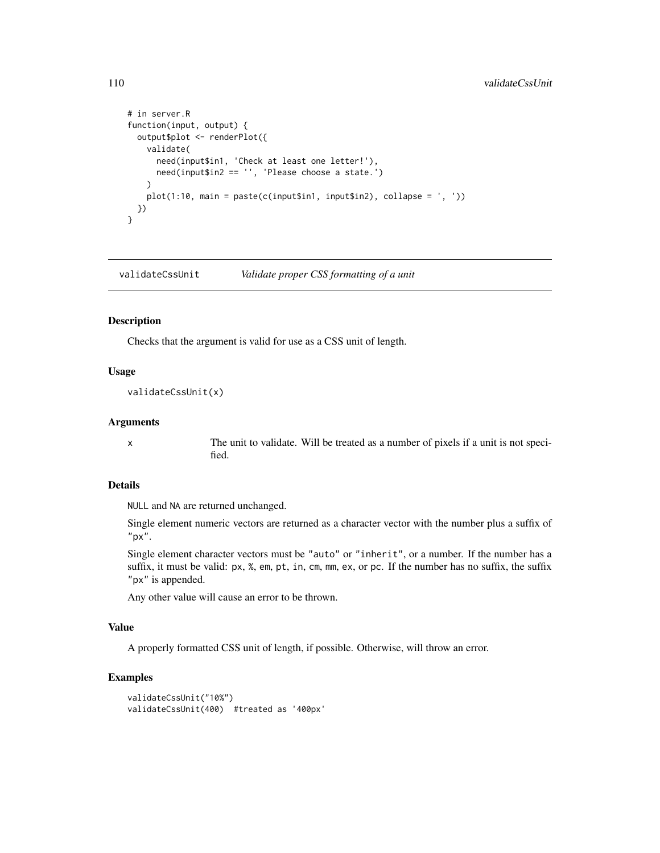```
# in server.R
function(input, output) {
 output$plot <- renderPlot({
   validate(
     need(input$in1, 'Check at least one letter!'),
     need(input$in2 == '', 'Please choose a state.')
   )
   plot(1:10, main = paste(c(inputsin1, inputsin2), collapse = ', '))})
}
```
validateCssUnit *Validate proper CSS formatting of a unit*

#### Description

Checks that the argument is valid for use as a CSS unit of length.

#### Usage

validateCssUnit(x)

#### Arguments

x The unit to validate. Will be treated as a number of pixels if a unit is not specified.

## Details

NULL and NA are returned unchanged.

Single element numeric vectors are returned as a character vector with the number plus a suffix of "px".

Single element character vectors must be "auto" or "inherit", or a number. If the number has a suffix, it must be valid: px, %, em, pt, in, cm, mm, ex, or pc. If the number has no suffix, the suffix "px" is appended.

Any other value will cause an error to be thrown.

# Value

A properly formatted CSS unit of length, if possible. Otherwise, will throw an error.

```
validateCssUnit("10%")
validateCssUnit(400) #treated as '400px'
```
<span id="page-109-0"></span>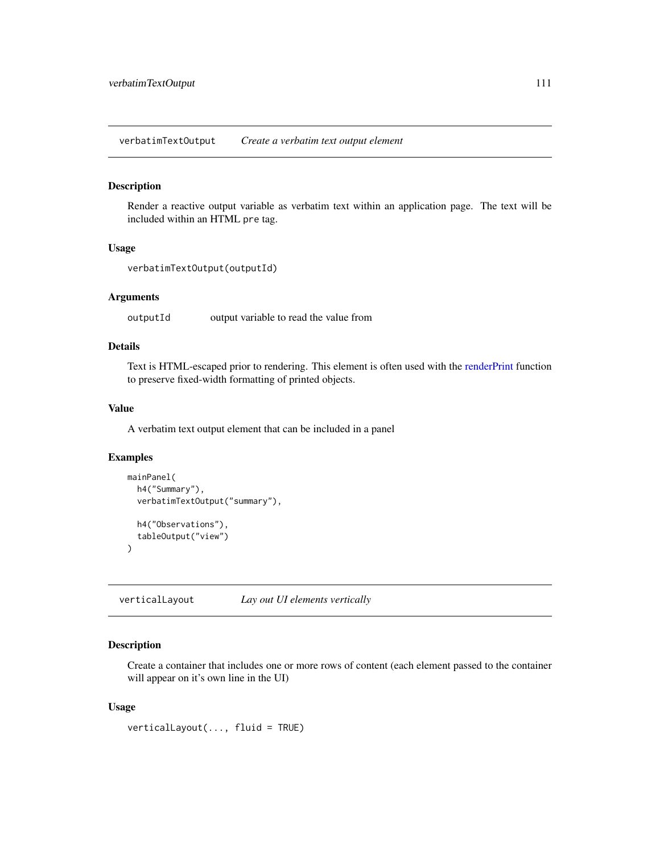<span id="page-110-0"></span>verbatimTextOutput *Create a verbatim text output element*

#### Description

Render a reactive output variable as verbatim text within an application page. The text will be included within an HTML pre tag.

# Usage

```
verbatimTextOutput(outputId)
```
#### Arguments

outputId output variable to read the value from

# Details

Text is HTML-escaped prior to rendering. This element is often used with the [renderPrint](#page-66-0) function to preserve fixed-width formatting of printed objects.

# Value

A verbatim text output element that can be included in a panel

#### Examples

```
mainPanel(
  h4("Summary"),
  verbatimTextOutput("summary"),
  h4("Observations"),
  tableOutput("view")
)
```
verticalLayout *Lay out UI elements vertically*

# Description

Create a container that includes one or more rows of content (each element passed to the container will appear on it's own line in the UI)

#### Usage

verticalLayout(..., fluid = TRUE)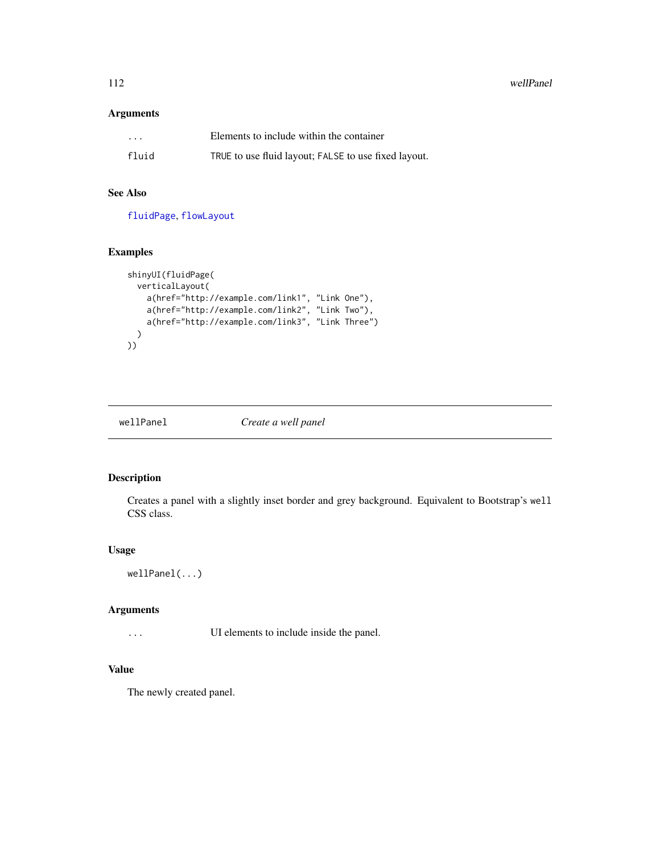<span id="page-111-0"></span>112 wellPanel

# Arguments

| $\cdot$ $\cdot$ $\cdot$ | Elements to include within the container             |
|-------------------------|------------------------------------------------------|
| fluid                   | TRUE to use fluid layout; FALSE to use fixed layout. |

# See Also

[fluidPage](#page-24-0), [flowLayout](#page-24-1)

#### Examples

```
shinyUI(fluidPage(
 verticalLayout(
    a(href="http://example.com/link1", "Link One"),
    a(href="http://example.com/link2", "Link Two"),
    a(href="http://example.com/link3", "Link Three")
 \lambda))
```
wellPanel *Create a well panel*

# Description

Creates a panel with a slightly inset border and grey background. Equivalent to Bootstrap's well CSS class.

# Usage

```
wellPanel(...)
```
# Arguments

... UI elements to include inside the panel.

# Value

The newly created panel.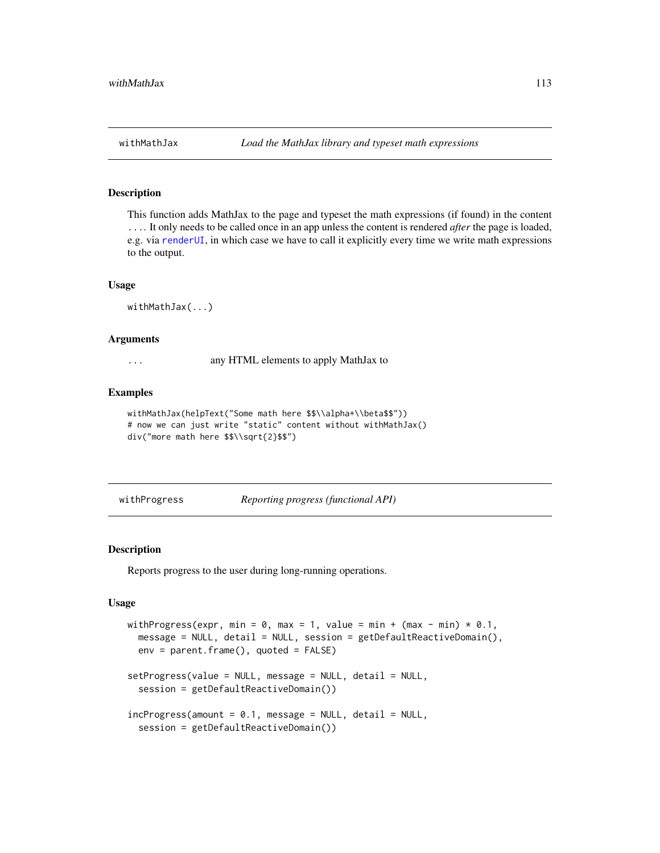#### <span id="page-112-0"></span>Description

This function adds MathJax to the page and typeset the math expressions (if found) in the content .... It only needs to be called once in an app unless the content is rendered *after* the page is loaded, e.g. via [renderUI](#page-70-0), in which case we have to call it explicitly every time we write math expressions to the output.

## Usage

withMathJax(...)

#### Arguments

... any HTML elements to apply MathJax to

#### Examples

```
withMathJax(helpText("Some math here $$\\alpha+\\beta$$"))
# now we can just write "static" content without withMathJax()
div("more math here $$\\sqrt{2}$$")
```
withProgress *Reporting progress (functional API)*

## Description

Reports progress to the user during long-running operations.

# Usage

```
withProgress(expr, min = 0, max = 1, value = min + (max - min) * 0.1,
 message = NULL, detail = NULL, session = getDefaultReactiveDomain(),
 env = parent.frame(), quoted = FALSE)
setProgress(value = NULL, message = NULL, detail = NULL,
  session = getDefaultReactiveDomain())
incProgress(amount = 0.1, message = NULL, detail = NULL,session = getDefaultReactiveDomain())
```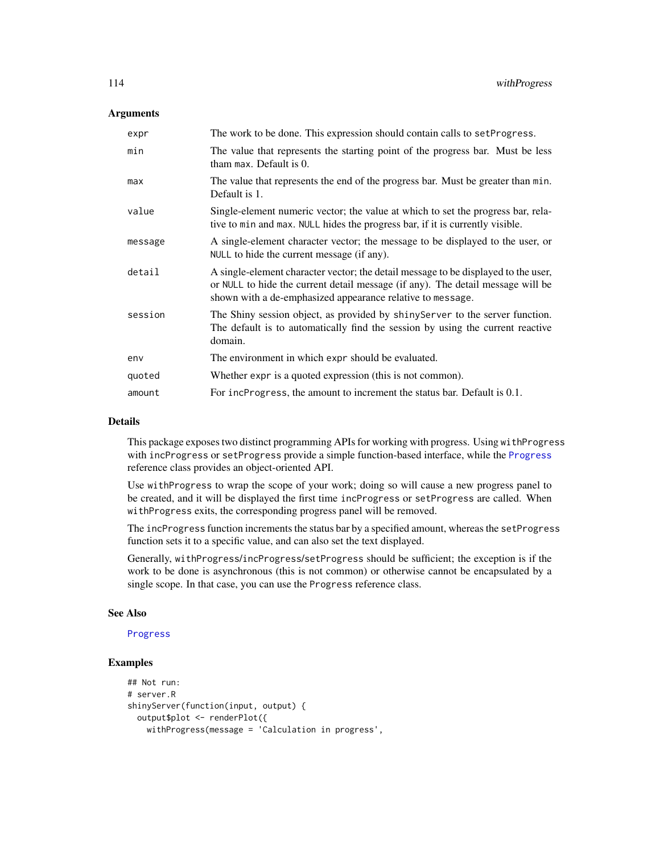# <span id="page-113-0"></span>Arguments

| expr    | The work to be done. This expression should contain calls to set Progress.                                                                                                                                                          |
|---------|-------------------------------------------------------------------------------------------------------------------------------------------------------------------------------------------------------------------------------------|
| min     | The value that represents the starting point of the progress bar. Must be less<br>tham max. Default is 0.                                                                                                                           |
| max     | The value that represents the end of the progress bar. Must be greater than min.<br>Default is 1.                                                                                                                                   |
| value   | Single-element numeric vector; the value at which to set the progress bar, rela-<br>tive to min and max. NULL hides the progress bar, if it is currently visible.                                                                   |
| message | A single-element character vector; the message to be displayed to the user, or<br>NULL to hide the current message (if any).                                                                                                        |
| detail  | A single-element character vector; the detail message to be displayed to the user,<br>or NULL to hide the current detail message (if any). The detail message will be<br>shown with a de-emphasized appearance relative to message. |
| session | The Shiny session object, as provided by shiny Server to the server function.<br>The default is to automatically find the session by using the current reactive<br>domain.                                                          |
| env     | The environment in which expr should be evaluated.                                                                                                                                                                                  |
| quoted  | Whether expr is a quoted expression (this is not common).                                                                                                                                                                           |
| amount  | For incProgress, the amount to increment the status bar. Default is 0.1.                                                                                                                                                            |

#### Details

This package exposes two distinct programming APIs for working with progress. Using withProgress with incProgress or setProgress provide a simple function-based interface, while the [Progress](#page-49-0) reference class provides an object-oriented API.

Use withProgress to wrap the scope of your work; doing so will cause a new progress panel to be created, and it will be displayed the first time incProgress or setProgress are called. When withProgress exits, the corresponding progress panel will be removed.

The incProgress function increments the status bar by a specified amount, whereas the setProgress function sets it to a specific value, and can also set the text displayed.

Generally, withProgress/incProgress/setProgress should be sufficient; the exception is if the work to be done is asynchronous (this is not common) or otherwise cannot be encapsulated by a single scope. In that case, you can use the Progress reference class.

#### See Also

#### [Progress](#page-49-0)

```
## Not run:
# server.R
shinyServer(function(input, output) {
 output$plot <- renderPlot({
   withProgress(message = 'Calculation in progress',
```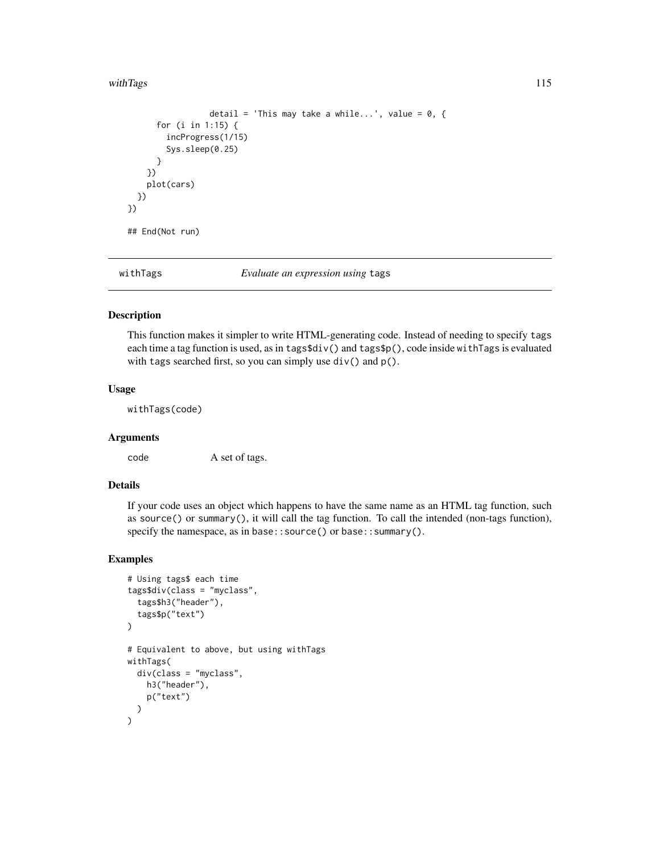#### <span id="page-114-0"></span>withTags 115

```
detail = 'This may take a while...', value = 0, \{for (i in 1:15) {
        incProgress(1/15)
        Sys.sleep(0.25)
      }
   })
   plot(cars)
 })
})
## End(Not run)
```
withTags *Evaluate an expression using* tags

#### Description

This function makes it simpler to write HTML-generating code. Instead of needing to specify tags each time a tag function is used, as in tags\$div() and tags\$p(), code inside withTags is evaluated with tags searched first, so you can simply use  $div()$  and  $p()$ .

#### Usage

withTags(code)

# Arguments

code A set of tags.

# Details

If your code uses an object which happens to have the same name as an HTML tag function, such as source() or summary(), it will call the tag function. To call the intended (non-tags function), specify the namespace, as in base:: source() or base:: summary().

```
# Using tags$ each time
tags$div(class = "myclass",
 tags$h3("header"),
 tags$p("text")
)
# Equivalent to above, but using withTags
withTags(
 div(class = "myclass",
   h3("header"),
   p("text")
 )
)
```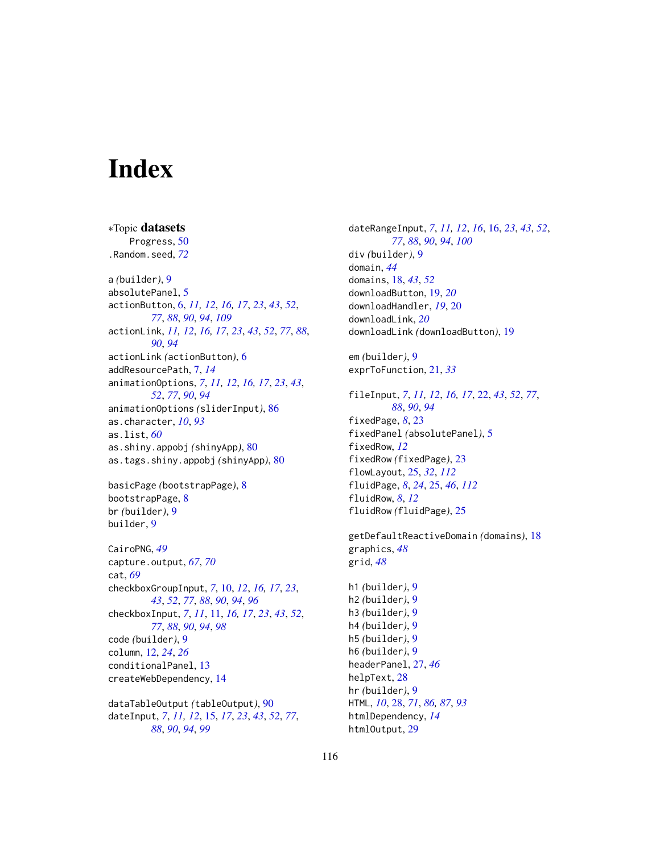# **Index**

∗Topic datasets Progress, [50](#page-49-1) .Random.seed, *[72](#page-71-0)* a *(*builder*)*, [9](#page-8-0) absolutePanel, [5](#page-4-0) actionButton, [6,](#page-5-1) *[11,](#page-10-0) [12](#page-11-0)*, *[16,](#page-15-0) [17](#page-16-0)*, *[23](#page-22-0)*, *[43](#page-42-0)*, *[52](#page-51-0)*, *[77](#page-76-0)*, *[88](#page-87-0)*, *[90](#page-89-0)*, *[94](#page-93-0)*, *[109](#page-108-0)* actionLink, *[11,](#page-10-0) [12](#page-11-0)*, *[16,](#page-15-0) [17](#page-16-0)*, *[23](#page-22-0)*, *[43](#page-42-0)*, *[52](#page-51-0)*, *[77](#page-76-0)*, *[88](#page-87-0)*, *[90](#page-89-0)*, *[94](#page-93-0)* actionLink *(*actionButton*)*, [6](#page-5-1) addResourcePath, [7,](#page-6-0) *[14](#page-13-0)* animationOptions, *[7](#page-6-0)*, *[11,](#page-10-0) [12](#page-11-0)*, *[16,](#page-15-0) [17](#page-16-0)*, *[23](#page-22-0)*, *[43](#page-42-0)*, *[52](#page-51-0)*, *[77](#page-76-0)*, *[90](#page-89-0)*, *[94](#page-93-0)* animationOptions *(*sliderInput*)*, [86](#page-85-0) as.character, *[10](#page-9-0)*, *[93](#page-92-0)* as.list, *[60](#page-59-0)* as.shiny.appobj *(*shinyApp*)*, [80](#page-79-0) as.tags.shiny.appobj *(*shinyApp*)*, [80](#page-79-0)

basicPage *(*bootstrapPage*)*, [8](#page-7-0) bootstrapPage, [8](#page-7-0) br *(*builder*)*, [9](#page-8-0) builder, [9](#page-8-0)

CairoPNG, *[49](#page-48-0)* capture.output, *[67](#page-66-1)*, *[70](#page-69-0)* cat, *[69](#page-68-0)* checkboxGroupInput, *[7](#page-6-0)*, [10,](#page-9-0) *[12](#page-11-0)*, *[16,](#page-15-0) [17](#page-16-0)*, *[23](#page-22-0)*, *[43](#page-42-0)*, *[52](#page-51-0)*, *[77](#page-76-0)*, *[88](#page-87-0)*, *[90](#page-89-0)*, *[94](#page-93-0)*, *[96](#page-95-0)* checkboxInput, *[7](#page-6-0)*, *[11](#page-10-0)*, [11,](#page-10-0) *[16,](#page-15-0) [17](#page-16-0)*, *[23](#page-22-0)*, *[43](#page-42-0)*, *[52](#page-51-0)*, *[77](#page-76-0)*, *[88](#page-87-0)*, *[90](#page-89-0)*, *[94](#page-93-0)*, *[98](#page-97-0)* code *(*builder*)*, [9](#page-8-0) column, [12,](#page-11-0) *[24](#page-23-0)*, *[26](#page-25-0)* conditionalPanel, [13](#page-12-0) createWebDependency, [14](#page-13-0)

dataTableOutput *(*tableOutput*)*, [90](#page-89-0) dateInput, *[7](#page-6-0)*, *[11,](#page-10-0) [12](#page-11-0)*, [15,](#page-14-0) *[17](#page-16-0)*, *[23](#page-22-0)*, *[43](#page-42-0)*, *[52](#page-51-0)*, *[77](#page-76-0)*, *[88](#page-87-0)*, *[90](#page-89-0)*, *[94](#page-93-0)*, *[99](#page-98-0)*

dateRangeInput, *[7](#page-6-0)*, *[11,](#page-10-0) [12](#page-11-0)*, *[16](#page-15-0)*, [16,](#page-15-0) *[23](#page-22-0)*, *[43](#page-42-0)*, *[52](#page-51-0)*, *[77](#page-76-0)*, *[88](#page-87-0)*, *[90](#page-89-0)*, *[94](#page-93-0)*, *[100](#page-99-0)* div *(*builder*)*, [9](#page-8-0) domain, *[44](#page-43-0)* domains, [18,](#page-17-0) *[43](#page-42-0)*, *[52](#page-51-0)* downloadButton, [19,](#page-18-0) *[20](#page-19-0)* downloadHandler, *[19](#page-18-0)*, [20](#page-19-0) downloadLink, *[20](#page-19-0)* downloadLink *(*downloadButton*)*, [19](#page-18-0)

em *(*builder*)*, [9](#page-8-0) exprToFunction, [21,](#page-20-0) *[33](#page-32-0)*

fileInput, *[7](#page-6-0)*, *[11,](#page-10-0) [12](#page-11-0)*, *[16,](#page-15-0) [17](#page-16-0)*, [22,](#page-21-0) *[43](#page-42-0)*, *[52](#page-51-0)*, *[77](#page-76-0)*, *[88](#page-87-0)*, *[90](#page-89-0)*, *[94](#page-93-0)* fixedPage, *[8](#page-7-0)*, [23](#page-22-0) fixedPanel *(*absolutePanel*)*, [5](#page-4-0) fixedRow, *[12](#page-11-0)* fixedRow *(*fixedPage*)*, [23](#page-22-0) flowLayout, [25,](#page-24-2) *[32](#page-31-0)*, *[112](#page-111-0)* fluidPage, *[8](#page-7-0)*, *[24](#page-23-0)*, [25,](#page-24-2) *[46](#page-45-0)*, *[112](#page-111-0)* fluidRow, *[8](#page-7-0)*, *[12](#page-11-0)* fluidRow *(*fluidPage*)*, [25](#page-24-2)

getDefaultReactiveDomain *(*domains*)*, [18](#page-17-0) graphics, *[48](#page-47-0)* grid, *[48](#page-47-0)* h1 *(*builder*)*, [9](#page-8-0)

h2 *(*builder*)*, [9](#page-8-0) h3 *(*builder*)*, [9](#page-8-0) h4 *(*builder*)*, [9](#page-8-0) h5 *(*builder*)*, [9](#page-8-0) h6 *(*builder*)*, [9](#page-8-0) headerPanel, [27,](#page-26-0) *[46](#page-45-0)* helpText, [28](#page-27-0) hr *(*builder*)*, [9](#page-8-0) HTML, *[10](#page-9-0)*, [28,](#page-27-0) *[71](#page-70-1)*, *[86,](#page-85-0) [87](#page-86-0)*, *[93](#page-92-0)* htmlDependency, *[14](#page-13-0)* htmlOutput, [29](#page-28-0)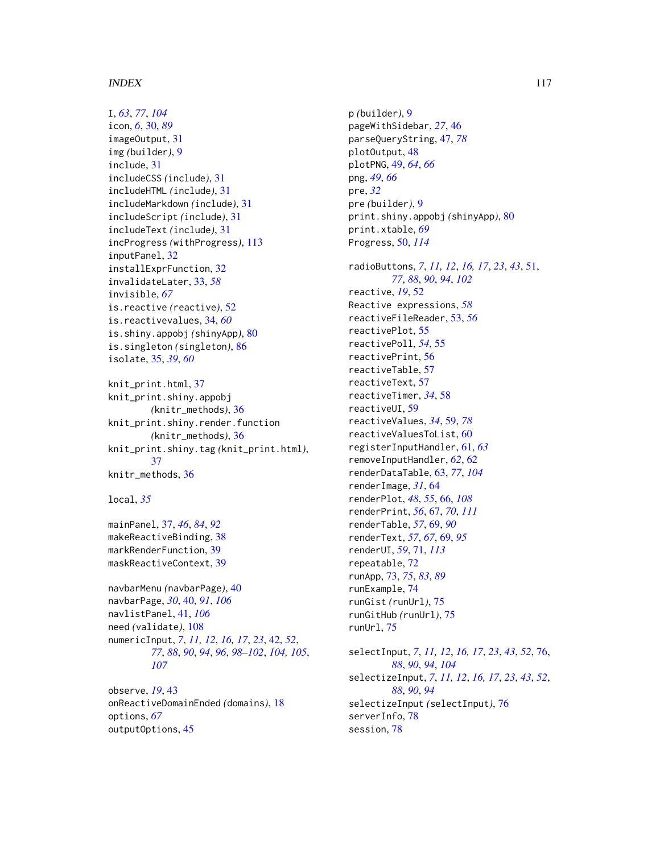#### INDEX 117

I, *[63](#page-62-0)*, *[77](#page-76-0)*, *[104](#page-103-0)* icon, *[6](#page-5-1)*, [30,](#page-29-0) *[89](#page-88-0)* imageOutput, [31](#page-30-0) img *(*builder*)*, [9](#page-8-0) include, [31](#page-30-0) includeCSS *(*include*)*, [31](#page-30-0) includeHTML *(*include*)*, [31](#page-30-0) includeMarkdown *(*include*)*, [31](#page-30-0) includeScript *(*include*)*, [31](#page-30-0) includeText *(*include*)*, [31](#page-30-0) incProgress *(*withProgress*)*, [113](#page-112-0) inputPanel, [32](#page-31-0) installExprFunction, [32](#page-31-0) invalidateLater, [33,](#page-32-0) *[58](#page-57-0)* invisible, *[67](#page-66-1)* is.reactive *(*reactive*)*, [52](#page-51-0) is.reactivevalues, [34,](#page-33-0) *[60](#page-59-0)* is.shiny.appobj *(*shinyApp*)*, [80](#page-79-0) is.singleton *(*singleton*)*, [86](#page-85-0) isolate, [35,](#page-34-0) *[39](#page-38-0)*, *[60](#page-59-0)*

knit\_print.html, [37](#page-36-0) knit\_print.shiny.appobj *(*knitr\_methods*)*, [36](#page-35-0) knit\_print.shiny.render.function *(*knitr\_methods*)*, [36](#page-35-0) knit\_print.shiny.tag *(*knit\_print.html*)*, [37](#page-36-0) knitr\_methods, [36](#page-35-0)

local, *[35](#page-34-0)*

mainPanel, [37,](#page-36-0) *[46](#page-45-0)*, *[84](#page-83-0)*, *[92](#page-91-0)* makeReactiveBinding, [38](#page-37-0) markRenderFunction, [39](#page-38-0) maskReactiveContext, [39](#page-38-0)

navbarMenu *(*navbarPage*)*, [40](#page-39-0) navbarPage, *[30](#page-29-0)*, [40,](#page-39-0) *[91](#page-90-0)*, *[106](#page-105-0)* navlistPanel, [41,](#page-40-0) *[106](#page-105-0)* need *(*validate*)*, [108](#page-107-0) numericInput, *[7](#page-6-0)*, *[11,](#page-10-0) [12](#page-11-0)*, *[16,](#page-15-0) [17](#page-16-0)*, *[23](#page-22-0)*, [42,](#page-41-0) *[52](#page-51-0)*, *[77](#page-76-0)*, *[88](#page-87-0)*, *[90](#page-89-0)*, *[94](#page-93-0)*, *[96](#page-95-0)*, *[98–](#page-97-0)[102](#page-101-0)*, *[104,](#page-103-0) [105](#page-104-0)*, *[107](#page-106-0)*

observe, *[19](#page-18-0)*, [43](#page-42-0) onReactiveDomainEnded *(*domains*)*, [18](#page-17-0) options, *[67](#page-66-1)* outputOptions, [45](#page-44-0)

p *(*builder*)*, [9](#page-8-0) pageWithSidebar, *[27](#page-26-0)*, [46](#page-45-0) parseQueryString, [47,](#page-46-0) *[78](#page-77-0)* plotOutput, [48](#page-47-0) plotPNG, [49,](#page-48-0) *[64](#page-63-0)*, *[66](#page-65-0)* png, *[49](#page-48-0)*, *[66](#page-65-0)* pre, *[32](#page-31-0)* pre *(*builder*)*, [9](#page-8-0) print.shiny.appobj *(*shinyApp*)*, [80](#page-79-0) print.xtable, *[69](#page-68-0)* Progress, [50,](#page-49-1) *[114](#page-113-0)* radioButtons, *[7](#page-6-0)*, *[11,](#page-10-0) [12](#page-11-0)*, *[16,](#page-15-0) [17](#page-16-0)*, *[23](#page-22-0)*, *[43](#page-42-0)*, [51,](#page-50-0) *[77](#page-76-0)*, *[88](#page-87-0)*, *[90](#page-89-0)*, *[94](#page-93-0)*, *[102](#page-101-0)* reactive, *[19](#page-18-0)*, [52](#page-51-0) Reactive expressions, *[58](#page-57-0)* reactiveFileReader, [53,](#page-52-0) *[56](#page-55-0)* reactivePlot, [55](#page-54-0) reactivePoll, *[54](#page-53-0)*, [55](#page-54-0) reactivePrint, [56](#page-55-0) reactiveTable, [57](#page-56-0) reactiveText, [57](#page-56-0) reactiveTimer, *[34](#page-33-0)*, [58](#page-57-0) reactiveUI, [59](#page-58-0) reactiveValues, *[34](#page-33-0)*, [59,](#page-58-0) *[78](#page-77-0)* reactiveValuesToList, [60](#page-59-0) registerInputHandler, [61,](#page-60-0) *[63](#page-62-0)* removeInputHandler, *[62](#page-61-0)*, [62](#page-61-0) renderDataTable, [63,](#page-62-0) *[77](#page-76-0)*, *[104](#page-103-0)* renderImage, *[31](#page-30-0)*, [64](#page-63-0) renderPlot, *[48](#page-47-0)*, *[55](#page-54-0)*, [66,](#page-65-0) *[108](#page-107-0)* renderPrint, *[56](#page-55-0)*, [67,](#page-66-1) *[70](#page-69-0)*, *[111](#page-110-0)* renderTable, *[57](#page-56-0)*, [69,](#page-68-0) *[90](#page-89-0)* renderText, *[57](#page-56-0)*, *[67](#page-66-1)*, [69,](#page-68-0) *[95](#page-94-0)* renderUI, *[59](#page-58-0)*, [71,](#page-70-1) *[113](#page-112-0)* repeatable, [72](#page-71-0) runApp, [73,](#page-72-0) *[75](#page-74-0)*, *[83](#page-82-0)*, *[89](#page-88-0)* runExample, [74](#page-73-0) runGist *(*runUrl*)*, [75](#page-74-0) runGitHub *(*runUrl*)*, [75](#page-74-0) runUrl, [75](#page-74-0) selectInput, *[7](#page-6-0)*, *[11,](#page-10-0) [12](#page-11-0)*, *[16,](#page-15-0) [17](#page-16-0)*, *[23](#page-22-0)*, *[43](#page-42-0)*, *[52](#page-51-0)*, [76,](#page-75-0) *[88](#page-87-0)*, *[90](#page-89-0)*, *[94](#page-93-0)*, *[104](#page-103-0)* selectizeInput, *[7](#page-6-0)*, *[11,](#page-10-0) [12](#page-11-0)*, *[16,](#page-15-0) [17](#page-16-0)*, *[23](#page-22-0)*, *[43](#page-42-0)*, *[52](#page-51-0)*, *[88](#page-87-0)*, *[90](#page-89-0)*, *[94](#page-93-0)*

selectizeInput *(*selectInput*)*, [76](#page-75-0)

serverInfo, [78](#page-77-0) session, [78](#page-77-0)